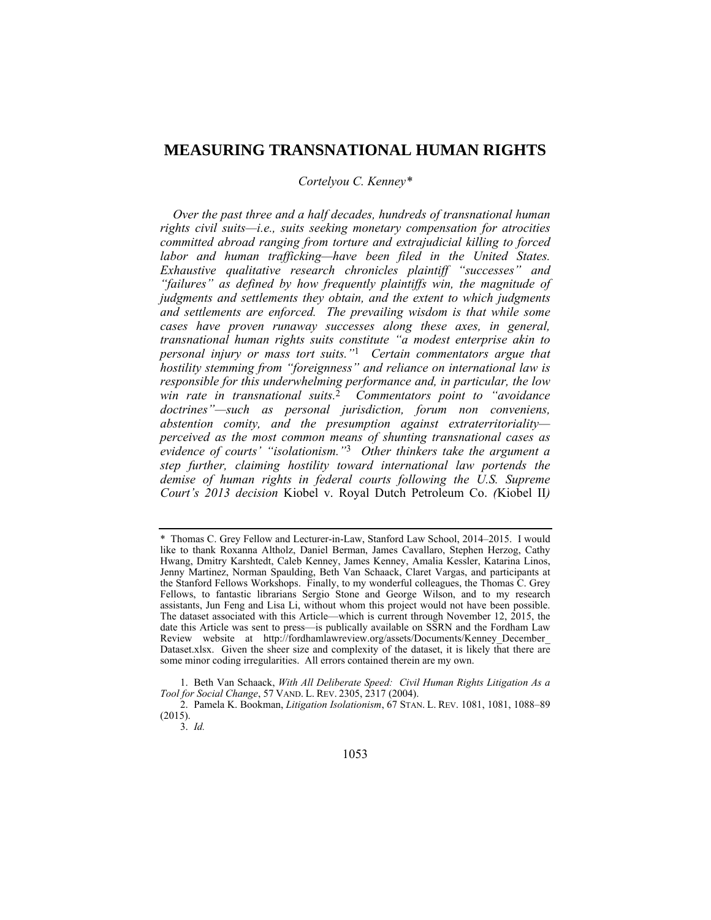# **MEASURING TRANSNATIONAL HUMAN RIGHTS**

## *Cortelyou C. Kenney\**

*Over the past three and a half decades, hundreds of transnational human rights civil suits—i.e., suits seeking monetary compensation for atrocities committed abroad ranging from torture and extrajudicial killing to forced labor and human trafficking—have been filed in the United States. Exhaustive qualitative research chronicles plaintiff "successes" and "failures" as defined by how frequently plaintiffs win, the magnitude of judgments and settlements they obtain, and the extent to which judgments and settlements are enforced. The prevailing wisdom is that while some cases have proven runaway successes along these axes, in general, transnational human rights suits constitute "a modest enterprise akin to personal injury or mass tort suits."*1 *Certain commentators argue that hostility stemming from "foreignness" and reliance on international law is responsible for this underwhelming performance and, in particular, the low win rate in transnational suits.*2 *Commentators point to "avoidance doctrines"—such as personal jurisdiction, forum non conveniens, abstention comity, and the presumption against extraterritoriality perceived as the most common means of shunting transnational cases as evidence of courts' "isolationism."*3 *Other thinkers take the argument a step further, claiming hostility toward international law portends the demise of human rights in federal courts following the U.S. Supreme Court's 2013 decision* Kiobel v. Royal Dutch Petroleum Co. *(*Kiobel II*)* 

 1. Beth Van Schaack, *With All Deliberate Speed: Civil Human Rights Litigation As a Tool for Social Change*, 57 VAND. L. REV. 2305, 2317 (2004).

 2. Pamela K. Bookman, *Litigation Isolationism*, 67 STAN. L. REV. 1081, 1081, 1088–89  $(2015)$ .

3. *Id.*

<sup>\*</sup> Thomas C. Grey Fellow and Lecturer-in-Law, Stanford Law School, 2014–2015. I would like to thank Roxanna Altholz, Daniel Berman, James Cavallaro, Stephen Herzog, Cathy Hwang, Dmitry Karshtedt, Caleb Kenney, James Kenney, Amalia Kessler, Katarina Linos, Jenny Martinez, Norman Spaulding, Beth Van Schaack, Claret Vargas, and participants at the Stanford Fellows Workshops. Finally, to my wonderful colleagues, the Thomas C. Grey Fellows, to fantastic librarians Sergio Stone and George Wilson, and to my research assistants, Jun Feng and Lisa Li, without whom this project would not have been possible. The dataset associated with this Article—which is current through November 12, 2015, the date this Article was sent to press—is publically available on SSRN and the Fordham Law Review website at http://fordhamlawreview.org/assets/Documents/Kenney\_December\_ Dataset.xlsx. Given the sheer size and complexity of the dataset, it is likely that there are some minor coding irregularities. All errors contained therein are my own.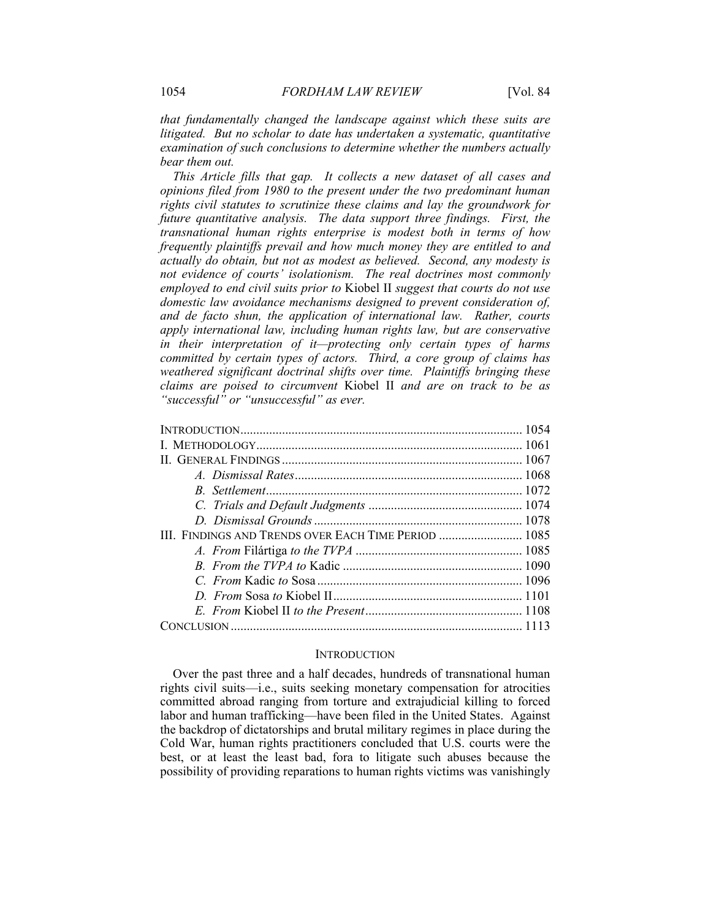*that fundamentally changed the landscape against which these suits are litigated. But no scholar to date has undertaken a systematic, quantitative examination of such conclusions to determine whether the numbers actually bear them out.*

*This Article fills that gap. It collects a new dataset of all cases and opinions filed from 1980 to the present under the two predominant human rights civil statutes to scrutinize these claims and lay the groundwork for future quantitative analysis. The data support three findings. First, the transnational human rights enterprise is modest both in terms of how frequently plaintiffs prevail and how much money they are entitled to and actually do obtain, but not as modest as believed. Second, any modesty is not evidence of courts' isolationism. The real doctrines most commonly employed to end civil suits prior to* Kiobel II *suggest that courts do not use domestic law avoidance mechanisms designed to prevent consideration of, and de facto shun, the application of international law. Rather, courts apply international law, including human rights law, but are conservative in their interpretation of it—protecting only certain types of harms committed by certain types of actors. Third, a core group of claims has weathered significant doctrinal shifts over time. Plaintiffs bringing these claims are poised to circumvent* Kiobel II *and are on track to be as "successful" or "unsuccessful" as ever.*

# **INTRODUCTION**

Over the past three and a half decades, hundreds of transnational human rights civil suits—i.e., suits seeking monetary compensation for atrocities committed abroad ranging from torture and extrajudicial killing to forced labor and human trafficking—have been filed in the United States. Against the backdrop of dictatorships and brutal military regimes in place during the Cold War, human rights practitioners concluded that U.S. courts were the best, or at least the least bad, fora to litigate such abuses because the possibility of providing reparations to human rights victims was vanishingly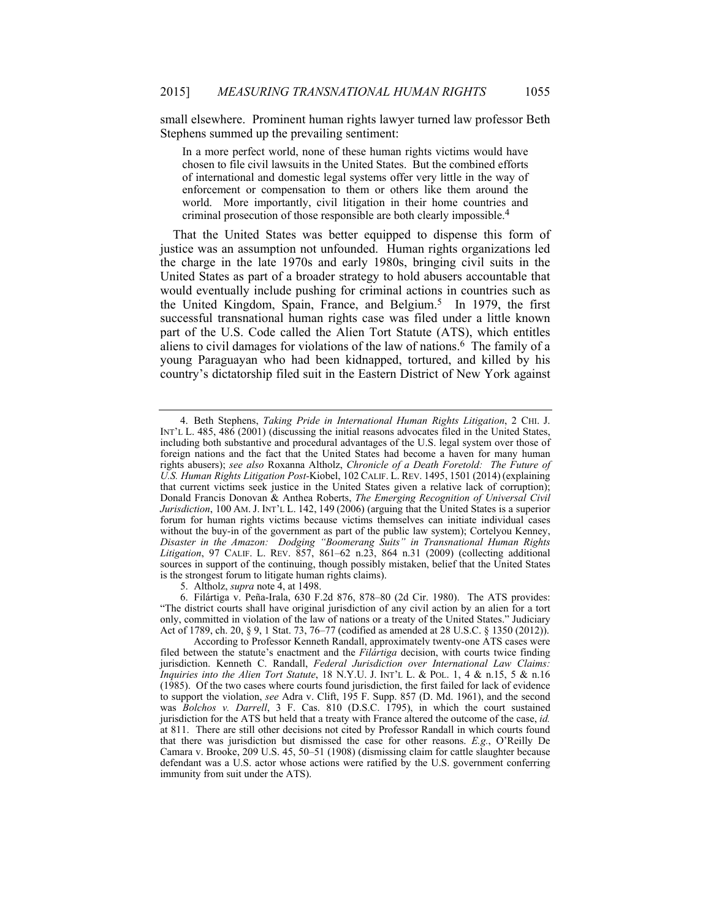small elsewhere. Prominent human rights lawyer turned law professor Beth Stephens summed up the prevailing sentiment:

In a more perfect world, none of these human rights victims would have chosen to file civil lawsuits in the United States. But the combined efforts of international and domestic legal systems offer very little in the way of enforcement or compensation to them or others like them around the world. More importantly, civil litigation in their home countries and criminal prosecution of those responsible are both clearly impossible.4

That the United States was better equipped to dispense this form of justice was an assumption not unfounded. Human rights organizations led the charge in the late 1970s and early 1980s, bringing civil suits in the United States as part of a broader strategy to hold abusers accountable that would eventually include pushing for criminal actions in countries such as the United Kingdom, Spain, France, and Belgium.<sup>5</sup> In 1979, the first successful transnational human rights case was filed under a little known part of the U.S. Code called the Alien Tort Statute (ATS), which entitles aliens to civil damages for violations of the law of nations.6 The family of a young Paraguayan who had been kidnapped, tortured, and killed by his country's dictatorship filed suit in the Eastern District of New York against

5. Altholz, *supra* note 4, at 1498.

 6. Filártiga v. Peña-Irala, 630 F.2d 876, 878–80 (2d Cir. 1980). The ATS provides: "The district courts shall have original jurisdiction of any civil action by an alien for a tort only, committed in violation of the law of nations or a treaty of the United States." Judiciary Act of 1789, ch. 20, § 9, 1 Stat. 73, 76–77 (codified as amended at 28 U.S.C. § 1350 (2012)).

 <sup>4.</sup> Beth Stephens, *Taking Pride in International Human Rights Litigation*, 2 CHI. J. INT'L L. 485, 486 (2001) (discussing the initial reasons advocates filed in the United States, including both substantive and procedural advantages of the U.S. legal system over those of foreign nations and the fact that the United States had become a haven for many human rights abusers); *see also* Roxanna Altholz, *Chronicle of a Death Foretold: The Future of U.S. Human Rights Litigation Post-*Kiobel, 102 CALIF. L. REV. 1495, 1501 (2014) (explaining that current victims seek justice in the United States given a relative lack of corruption); Donald Francis Donovan & Anthea Roberts, *The Emerging Recognition of Universal Civil Jurisdiction*, 100 AM. J. INT'L L. 142, 149 (2006) (arguing that the United States is a superior forum for human rights victims because victims themselves can initiate individual cases without the buy-in of the government as part of the public law system); Cortelyou Kenney, *Disaster in the Amazon: Dodging "Boomerang Suits" in Transnational Human Rights Litigation*, 97 CALIF. L. REV. 857, 861–62 n.23, 864 n.31 (2009) (collecting additional sources in support of the continuing, though possibly mistaken, belief that the United States is the strongest forum to litigate human rights claims).

According to Professor Kenneth Randall, approximately twenty-one ATS cases were filed between the statute's enactment and the *Filártiga* decision, with courts twice finding jurisdiction. Kenneth C. Randall, *Federal Jurisdiction over International Law Claims: Inquiries into the Alien Tort Statute*, 18 N.Y.U. J. INT'L L. & POL. 1, 4 & n.15, 5 & n.16 (1985). Of the two cases where courts found jurisdiction, the first failed for lack of evidence to support the violation, *see* Adra v. Clift, 195 F. Supp. 857 (D. Md. 1961), and the second was *Bolchos v. Darrell*, 3 F. Cas. 810 (D.S.C. 1795), in which the court sustained jurisdiction for the ATS but held that a treaty with France altered the outcome of the case, *id.* at 811. There are still other decisions not cited by Professor Randall in which courts found that there was jurisdiction but dismissed the case for other reasons. *E.g.*, O'Reilly De Camara v. Brooke, 209 U.S. 45, 50–51 (1908) (dismissing claim for cattle slaughter because defendant was a U.S. actor whose actions were ratified by the U.S. government conferring immunity from suit under the ATS).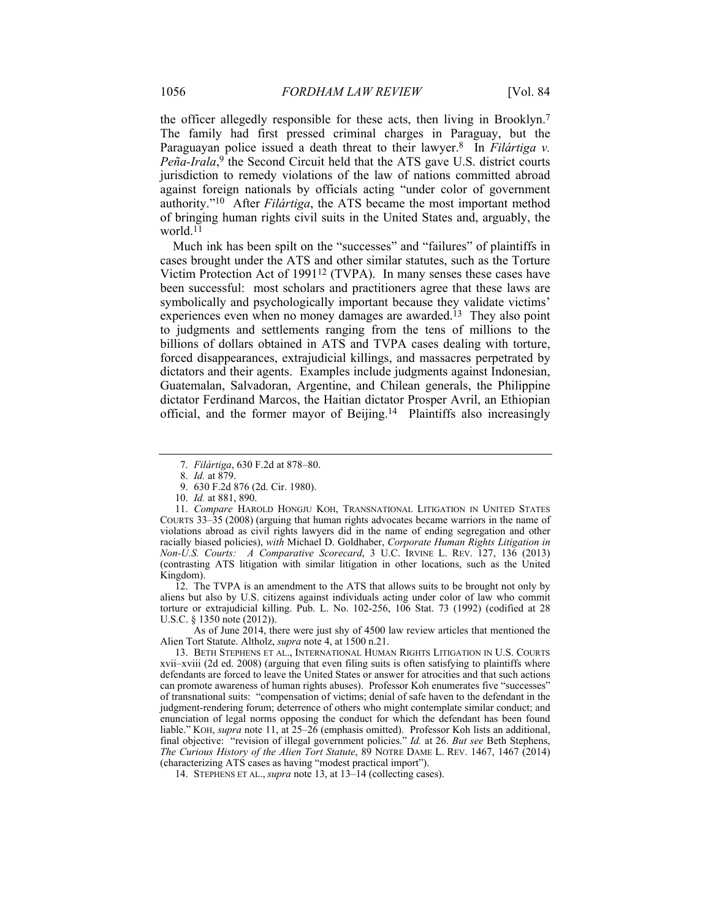the officer allegedly responsible for these acts, then living in Brooklyn.7 The family had first pressed criminal charges in Paraguay, but the Paraguayan police issued a death threat to their lawyer.<sup>8</sup> In *Filártiga v.* Peña-Irala,<sup>9</sup> the Second Circuit held that the ATS gave U.S. district courts jurisdiction to remedy violations of the law of nations committed abroad against foreign nationals by officials acting "under color of government authority."10 After *Filártiga*, the ATS became the most important method of bringing human rights civil suits in the United States and, arguably, the world.<sup>11</sup>

Much ink has been spilt on the "successes" and "failures" of plaintiffs in cases brought under the ATS and other similar statutes, such as the Torture Victim Protection Act of 199112 (TVPA). In many senses these cases have been successful: most scholars and practitioners agree that these laws are symbolically and psychologically important because they validate victims' experiences even when no money damages are awarded.<sup>13</sup> They also point to judgments and settlements ranging from the tens of millions to the billions of dollars obtained in ATS and TVPA cases dealing with torture, forced disappearances, extrajudicial killings, and massacres perpetrated by dictators and their agents. Examples include judgments against Indonesian, Guatemalan, Salvadoran, Argentine, and Chilean generals, the Philippine dictator Ferdinand Marcos, the Haitian dictator Prosper Avril, an Ethiopian official, and the former mayor of Beijing.14 Plaintiffs also increasingly

 12. The TVPA is an amendment to the ATS that allows suits to be brought not only by aliens but also by U.S. citizens against individuals acting under color of law who commit torture or extrajudicial killing. Pub. L. No. 102-256, 106 Stat. 73 (1992) (codified at 28 U.S.C. § 1350 note (2012)).

 As of June 2014, there were just shy of 4500 law review articles that mentioned the Alien Tort Statute. Altholz, *supra* note 4, at 1500 n.21.

 13. BETH STEPHENS ET AL., INTERNATIONAL HUMAN RIGHTS LITIGATION IN U.S. COURTS xvii–xviii (2d ed. 2008) (arguing that even filing suits is often satisfying to plaintiffs where defendants are forced to leave the United States or answer for atrocities and that such actions can promote awareness of human rights abuses). Professor Koh enumerates five "successes" of transnational suits: "compensation of victims; denial of safe haven to the defendant in the judgment-rendering forum; deterrence of others who might contemplate similar conduct; and enunciation of legal norms opposing the conduct for which the defendant has been found liable." KOH, *supra* note 11, at 25–26 (emphasis omitted). Professor Koh lists an additional, final objective: "revision of illegal government policies." *Id.* at 26. *But see* Beth Stephens, *The Curious History of the Alien Tort Statute*, 89 NOTRE DAME L. REV. 1467, 1467 (2014) (characterizing ATS cases as having "modest practical import").

14. STEPHENS ET AL., *supra* note 13, at 13–14 (collecting cases).

 <sup>7.</sup> *Filártiga*, 630 F.2d at 878–80.

 <sup>8.</sup> *Id.* at 879.

 <sup>9. 630</sup> F.2d 876 (2d. Cir. 1980).

 <sup>10.</sup> *Id.* at 881, 890.

 <sup>11.</sup> *Compare* HAROLD HONGJU KOH, TRANSNATIONAL LITIGATION IN UNITED STATES COURTS 33–35 (2008) (arguing that human rights advocates became warriors in the name of violations abroad as civil rights lawyers did in the name of ending segregation and other racially biased policies), *with* Michael D. Goldhaber, *Corporate Human Rights Litigation in Non-U.S. Courts: A Comparative Scorecard*, 3 U.C. IRVINE L. REV. 127, 136 (2013) (contrasting ATS litigation with similar litigation in other locations, such as the United Kingdom).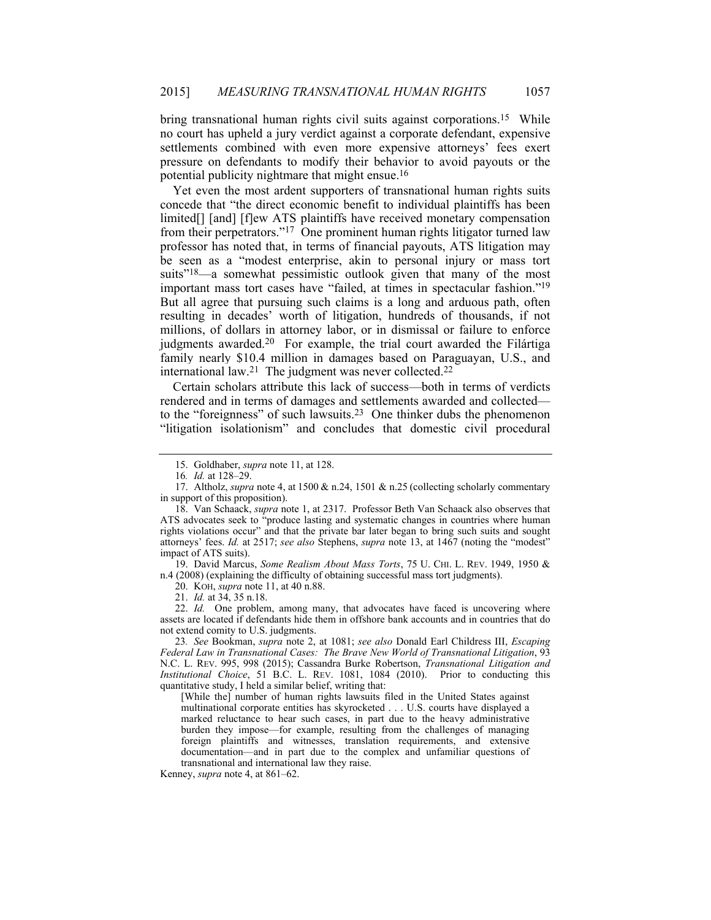bring transnational human rights civil suits against corporations.<sup>15</sup> While no court has upheld a jury verdict against a corporate defendant, expensive settlements combined with even more expensive attorneys' fees exert pressure on defendants to modify their behavior to avoid payouts or the potential publicity nightmare that might ensue.16

Yet even the most ardent supporters of transnational human rights suits concede that "the direct economic benefit to individual plaintiffs has been limited[] [and] [f]ew ATS plaintiffs have received monetary compensation from their perpetrators."17 One prominent human rights litigator turned law professor has noted that, in terms of financial payouts, ATS litigation may be seen as a "modest enterprise, akin to personal injury or mass tort suits<sup>"18</sup>—a somewhat pessimistic outlook given that many of the most important mass tort cases have "failed, at times in spectacular fashion."19 But all agree that pursuing such claims is a long and arduous path, often resulting in decades' worth of litigation, hundreds of thousands, if not millions, of dollars in attorney labor, or in dismissal or failure to enforce judgments awarded.<sup>20</sup> For example, the trial court awarded the Filártiga family nearly \$10.4 million in damages based on Paraguayan, U.S., and international law.<sup>21</sup> The judgment was never collected.<sup>22</sup>

Certain scholars attribute this lack of success—both in terms of verdicts rendered and in terms of damages and settlements awarded and collected to the "foreignness" of such lawsuits.23 One thinker dubs the phenomenon "litigation isolationism" and concludes that domestic civil procedural

 19. David Marcus, *Some Realism About Mass Torts*, 75 U. CHI. L. REV. 1949, 1950 & n.4 (2008) (explaining the difficulty of obtaining successful mass tort judgments).

20. KOH, *supra* note 11, at 40 n.88.

21. *Id.* at 34, 35 n.18.

 22. *Id.* One problem, among many, that advocates have faced is uncovering where assets are located if defendants hide them in offshore bank accounts and in countries that do not extend comity to U.S. judgments.

23*. See* Bookman, *supra* note 2, at 1081; *see also* Donald Earl Childress III, *Escaping Federal Law in Transnational Cases: The Brave New World of Transnational Litigation*, 93 N.C. L. REV. 995, 998 (2015); Cassandra Burke Robertson, *Transnational Litigation and Institutional Choice*, 51 B.C. L. REV. 1081, 1084 (2010). Prior to conducting this quantitative study, I held a similar belief, writing that:

[While the] number of human rights lawsuits filed in the United States against multinational corporate entities has skyrocketed . . . U.S. courts have displayed a marked reluctance to hear such cases, in part due to the heavy administrative burden they impose—for example, resulting from the challenges of managing foreign plaintiffs and witnesses, translation requirements, and extensive documentation—and in part due to the complex and unfamiliar questions of transnational and international law they raise.

Kenney, *supra* note 4, at 861–62.

 <sup>15.</sup> Goldhaber, *supra* note 11, at 128.

<sup>16</sup>*. Id.* at 128–29.

 <sup>17.</sup> Altholz, *supra* note 4, at 1500 & n.24, 1501 & n.25 (collecting scholarly commentary in support of this proposition).

 <sup>18.</sup> Van Schaack, *supra* note 1, at 2317. Professor Beth Van Schaack also observes that ATS advocates seek to "produce lasting and systematic changes in countries where human rights violations occur" and that the private bar later began to bring such suits and sought attorneys' fees. *Id.* at 2517; *see also* Stephens, *supra* note 13, at 1467 (noting the "modest" impact of ATS suits).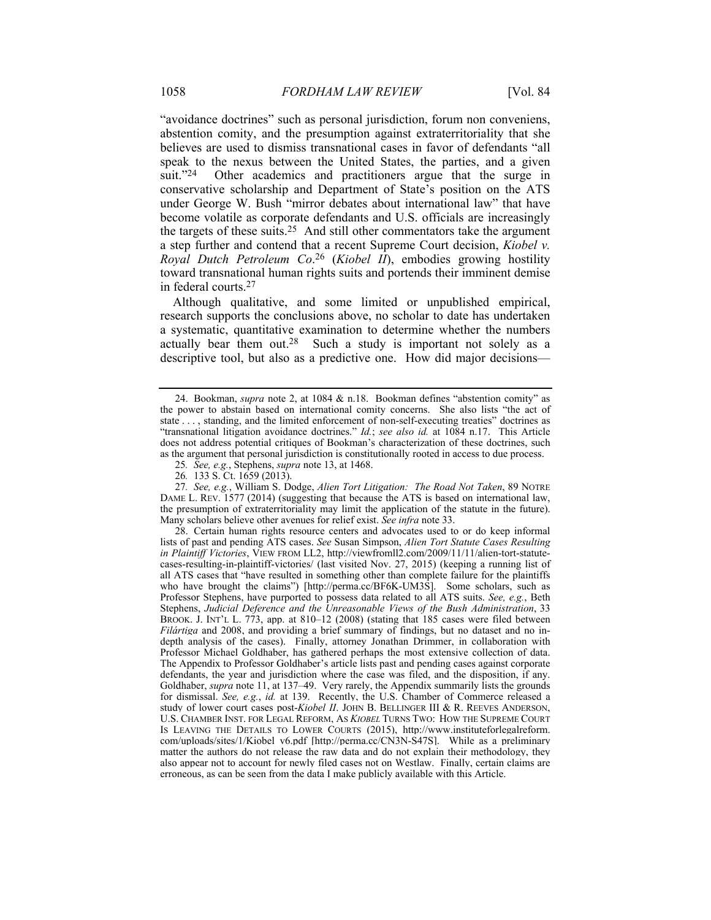"avoidance doctrines" such as personal jurisdiction, forum non conveniens, abstention comity, and the presumption against extraterritoriality that she believes are used to dismiss transnational cases in favor of defendants "all speak to the nexus between the United States, the parties, and a given<br>suit."<sup>24</sup> Other academics and practitioners argue that the surge in Other academics and practitioners argue that the surge in conservative scholarship and Department of State's position on the ATS under George W. Bush "mirror debates about international law" that have become volatile as corporate defendants and U.S. officials are increasingly the targets of these suits.25 And still other commentators take the argument a step further and contend that a recent Supreme Court decision, *Kiobel v. Royal Dutch Petroleum Co*. 26 (*Kiobel II*), embodies growing hostility toward transnational human rights suits and portends their imminent demise in federal courts.27

Although qualitative, and some limited or unpublished empirical, research supports the conclusions above, no scholar to date has undertaken a systematic, quantitative examination to determine whether the numbers actually bear them out.28 Such a study is important not solely as a descriptive tool, but also as a predictive one. How did major decisions—

27*. See, e.g.*, William S. Dodge, *Alien Tort Litigation: The Road Not Taken*, 89 NOTRE DAME L. REV. 1577 (2014) (suggesting that because the ATS is based on international law, the presumption of extraterritoriality may limit the application of the statute in the future). Many scholars believe other avenues for relief exist. *See infra* note 33.

 28. Certain human rights resource centers and advocates used to or do keep informal lists of past and pending ATS cases. *See* Susan Simpson, *Alien Tort Statute Cases Resulting in Plaintiff Victories*, VIEW FROM LL2, http://viewfromll2.com/2009/11/11/alien-tort-statutecases-resulting-in-plaintiff-victories/ (last visited Nov. 27, 2015) (keeping a running list of all ATS cases that "have resulted in something other than complete failure for the plaintiffs who have brought the claims") [http://perma.cc/BF6K-UM3S]. Some scholars, such as Professor Stephens, have purported to possess data related to all ATS suits. *See, e.g.*, Beth Stephens, *Judicial Deference and the Unreasonable Views of the Bush Administration*, 33 BROOK. J. INT'L L. 773, app. at 810–12 (2008) (stating that 185 cases were filed between *Filártiga* and 2008, and providing a brief summary of findings, but no dataset and no indepth analysis of the cases). Finally, attorney Jonathan Drimmer, in collaboration with Professor Michael Goldhaber, has gathered perhaps the most extensive collection of data. The Appendix to Professor Goldhaber's article lists past and pending cases against corporate defendants, the year and jurisdiction where the case was filed, and the disposition, if any. Goldhaber, *supra* note 11, at 137–49. Very rarely, the Appendix summarily lists the grounds for dismissal. *See, e.g.*, *id.* at 139. Recently, the U.S. Chamber of Commerce released a study of lower court cases post-*Kiobel II*. JOHN B. BELLINGER III & R. REEVES ANDERSON, U.S. CHAMBER INST. FOR LEGAL REFORM, AS *KIOBEL* TURNS TWO: HOW THE SUPREME COURT IS LEAVING THE DETAILS TO LOWER COURTS (2015), http://www.instituteforlegalreform. com/uploads/sites/1/Kiobel\_v6.pdf [http://perma.cc/CN3N-S47S]. While as a preliminary matter the authors do not release the raw data and do not explain their methodology, they also appear not to account for newly filed cases not on Westlaw. Finally, certain claims are erroneous, as can be seen from the data I make publicly available with this Article.

 <sup>24.</sup> Bookman, *supra* note 2, at 1084 & n.18. Bookman defines "abstention comity" as the power to abstain based on international comity concerns. She also lists "the act of state . . . , standing, and the limited enforcement of non-self-executing treaties" doctrines as "transnational litigation avoidance doctrines." *Id.*; *see also id.* at 1084 n.17. This Article does not address potential critiques of Bookman's characterization of these doctrines, such as the argument that personal jurisdiction is constitutionally rooted in access to due process.

<sup>25</sup>*. See, e.g.*, Stephens, *supra* note 13, at 1468.

<sup>26</sup>*.* 133 S. Ct. 1659 (2013).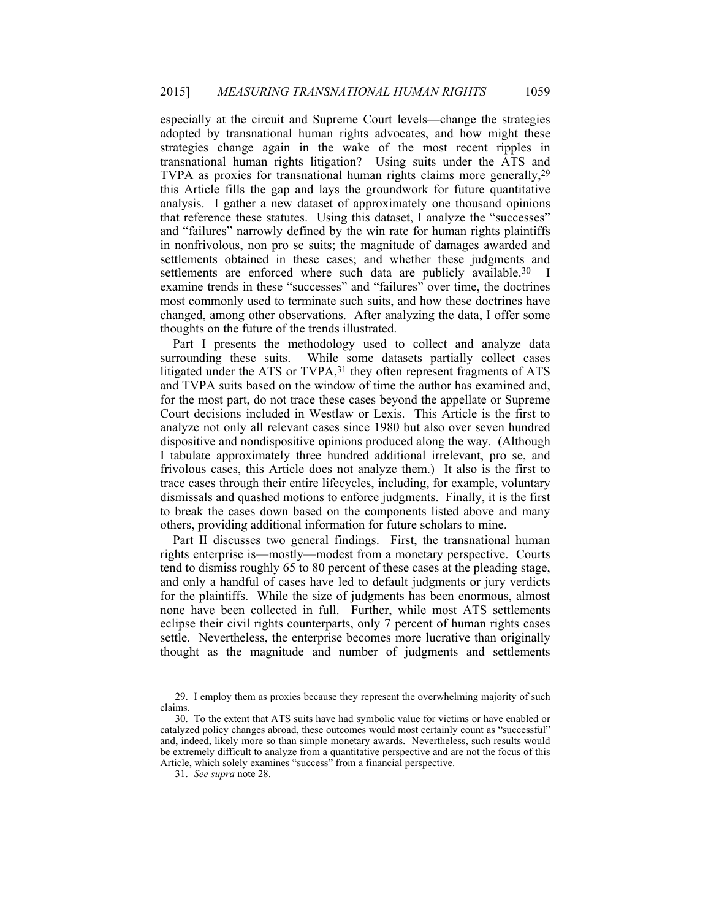especially at the circuit and Supreme Court levels—change the strategies adopted by transnational human rights advocates, and how might these strategies change again in the wake of the most recent ripples in transnational human rights litigation? Using suits under the ATS and TVPA as proxies for transnational human rights claims more generally, <sup>29</sup> this Article fills the gap and lays the groundwork for future quantitative analysis. I gather a new dataset of approximately one thousand opinions that reference these statutes. Using this dataset, I analyze the "successes" and "failures" narrowly defined by the win rate for human rights plaintiffs in nonfrivolous, non pro se suits; the magnitude of damages awarded and settlements obtained in these cases; and whether these judgments and settlements are enforced where such data are publicly available.<sup>30</sup> I examine trends in these "successes" and "failures" over time, the doctrines most commonly used to terminate such suits, and how these doctrines have changed, among other observations. After analyzing the data, I offer some thoughts on the future of the trends illustrated.

Part I presents the methodology used to collect and analyze data surrounding these suits. While some datasets partially collect cases While some datasets partially collect cases litigated under the ATS or TVPA,<sup>31</sup> they often represent fragments of ATS and TVPA suits based on the window of time the author has examined and, for the most part, do not trace these cases beyond the appellate or Supreme Court decisions included in Westlaw or Lexis. This Article is the first to analyze not only all relevant cases since 1980 but also over seven hundred dispositive and nondispositive opinions produced along the way. (Although I tabulate approximately three hundred additional irrelevant, pro se, and frivolous cases, this Article does not analyze them.) It also is the first to trace cases through their entire lifecycles, including, for example, voluntary dismissals and quashed motions to enforce judgments. Finally, it is the first to break the cases down based on the components listed above and many others, providing additional information for future scholars to mine.

Part II discusses two general findings. First, the transnational human rights enterprise is—mostly—modest from a monetary perspective. Courts tend to dismiss roughly 65 to 80 percent of these cases at the pleading stage, and only a handful of cases have led to default judgments or jury verdicts for the plaintiffs. While the size of judgments has been enormous, almost none have been collected in full. Further, while most ATS settlements eclipse their civil rights counterparts, only 7 percent of human rights cases settle. Nevertheless, the enterprise becomes more lucrative than originally thought as the magnitude and number of judgments and settlements

 <sup>29.</sup> I employ them as proxies because they represent the overwhelming majority of such claims.

 <sup>30.</sup> To the extent that ATS suits have had symbolic value for victims or have enabled or catalyzed policy changes abroad, these outcomes would most certainly count as "successful" and, indeed, likely more so than simple monetary awards. Nevertheless, such results would be extremely difficult to analyze from a quantitative perspective and are not the focus of this Article, which solely examines "success" from a financial perspective.

 <sup>31.</sup> *See supra* note 28.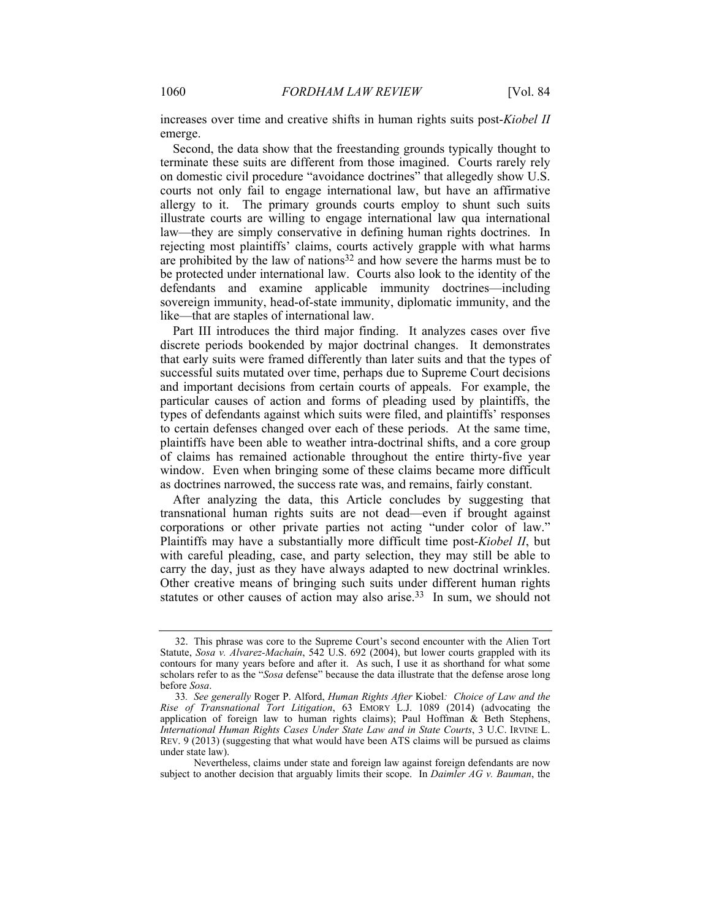increases over time and creative shifts in human rights suits post-*Kiobel II* emerge.

Second, the data show that the freestanding grounds typically thought to terminate these suits are different from those imagined. Courts rarely rely on domestic civil procedure "avoidance doctrines" that allegedly show U.S. courts not only fail to engage international law, but have an affirmative allergy to it. The primary grounds courts employ to shunt such suits illustrate courts are willing to engage international law qua international law—they are simply conservative in defining human rights doctrines. In rejecting most plaintiffs' claims, courts actively grapple with what harms are prohibited by the law of nations32 and how severe the harms must be to be protected under international law. Courts also look to the identity of the defendants and examine applicable immunity doctrines—including sovereign immunity, head-of-state immunity, diplomatic immunity, and the like—that are staples of international law.

Part III introduces the third major finding. It analyzes cases over five discrete periods bookended by major doctrinal changes. It demonstrates that early suits were framed differently than later suits and that the types of successful suits mutated over time, perhaps due to Supreme Court decisions and important decisions from certain courts of appeals. For example, the particular causes of action and forms of pleading used by plaintiffs, the types of defendants against which suits were filed, and plaintiffs' responses to certain defenses changed over each of these periods. At the same time, plaintiffs have been able to weather intra-doctrinal shifts, and a core group of claims has remained actionable throughout the entire thirty-five year window. Even when bringing some of these claims became more difficult as doctrines narrowed, the success rate was, and remains, fairly constant.

After analyzing the data, this Article concludes by suggesting that transnational human rights suits are not dead—even if brought against corporations or other private parties not acting "under color of law." Plaintiffs may have a substantially more difficult time post-*Kiobel II*, but with careful pleading, case, and party selection, they may still be able to carry the day, just as they have always adapted to new doctrinal wrinkles. Other creative means of bringing such suits under different human rights statutes or other causes of action may also arise.<sup>33</sup> In sum, we should not

 <sup>32.</sup> This phrase was core to the Supreme Court's second encounter with the Alien Tort Statute, *Sosa v. Alvarez-Machaín*, 542 U.S. 692 (2004), but lower courts grappled with its contours for many years before and after it. As such, I use it as shorthand for what some scholars refer to as the "*Sosa* defense" because the data illustrate that the defense arose long before *Sosa*.

<sup>33</sup>*. See generally* Roger P. Alford, *Human Rights After* Kiobel*: Choice of Law and the Rise of Transnational Tort Litigation*, 63 EMORY L.J. 1089 (2014) (advocating the application of foreign law to human rights claims); Paul Hoffman & Beth Stephens, *International Human Rights Cases Under State Law and in State Courts*, 3 U.C. IRVINE L. REV. 9 (2013) (suggesting that what would have been ATS claims will be pursued as claims under state law).

Nevertheless, claims under state and foreign law against foreign defendants are now subject to another decision that arguably limits their scope. In *Daimler AG v. Bauman*, the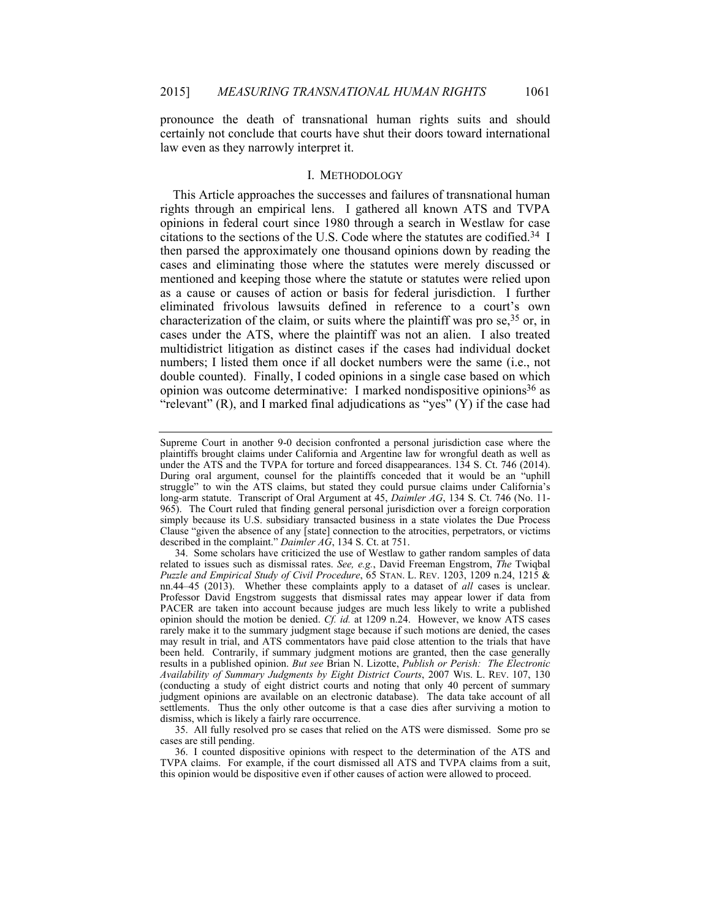pronounce the death of transnational human rights suits and should certainly not conclude that courts have shut their doors toward international law even as they narrowly interpret it.

#### I. METHODOLOGY

This Article approaches the successes and failures of transnational human rights through an empirical lens. I gathered all known ATS and TVPA opinions in federal court since 1980 through a search in Westlaw for case citations to the sections of the U.S. Code where the statutes are codified.34 I then parsed the approximately one thousand opinions down by reading the cases and eliminating those where the statutes were merely discussed or mentioned and keeping those where the statute or statutes were relied upon as a cause or causes of action or basis for federal jurisdiction. I further eliminated frivolous lawsuits defined in reference to a court's own characterization of the claim, or suits where the plaintiff was pro se,  $35$  or, in cases under the ATS, where the plaintiff was not an alien. I also treated multidistrict litigation as distinct cases if the cases had individual docket numbers; I listed them once if all docket numbers were the same (i.e., not double counted). Finally, I coded opinions in a single case based on which opinion was outcome determinative: I marked nondispositive opinions36 as "relevant"  $(R)$ , and I marked final adjudications as "yes"  $(Y)$  if the case had

 35. All fully resolved pro se cases that relied on the ATS were dismissed. Some pro se cases are still pending.

 36. I counted dispositive opinions with respect to the determination of the ATS and TVPA claims. For example, if the court dismissed all ATS and TVPA claims from a suit, this opinion would be dispositive even if other causes of action were allowed to proceed.

Supreme Court in another 9-0 decision confronted a personal jurisdiction case where the plaintiffs brought claims under California and Argentine law for wrongful death as well as under the ATS and the TVPA for torture and forced disappearances. 134 S. Ct. 746 (2014). During oral argument, counsel for the plaintiffs conceded that it would be an "uphill struggle" to win the ATS claims, but stated they could pursue claims under California's long-arm statute. Transcript of Oral Argument at 45, *Daimler AG*, 134 S. Ct. 746 (No. 11- 965). The Court ruled that finding general personal jurisdiction over a foreign corporation simply because its U.S. subsidiary transacted business in a state violates the Due Process Clause "given the absence of any [state] connection to the atrocities, perpetrators, or victims described in the complaint." *Daimler AG*, 134 S. Ct. at 751.

 <sup>34.</sup> Some scholars have criticized the use of Westlaw to gather random samples of data related to issues such as dismissal rates. *See, e.g.*, David Freeman Engstrom, *The* Twiqbal *Puzzle and Empirical Study of Civil Procedure*, 65 STAN. L. REV. 1203, 1209 n.24, 1215 & nn.44–45 (2013). Whether these complaints apply to a dataset of *all* cases is unclear. Professor David Engstrom suggests that dismissal rates may appear lower if data from PACER are taken into account because judges are much less likely to write a published opinion should the motion be denied. *Cf. id.* at 1209 n.24. However, we know ATS cases rarely make it to the summary judgment stage because if such motions are denied, the cases may result in trial, and ATS commentators have paid close attention to the trials that have been held. Contrarily, if summary judgment motions are granted, then the case generally results in a published opinion. *But see* Brian N. Lizotte, *Publish or Perish: The Electronic Availability of Summary Judgments by Eight District Courts*, 2007 WIS. L. REV. 107, 130 (conducting a study of eight district courts and noting that only 40 percent of summary judgment opinions are available on an electronic database). The data take account of all settlements. Thus the only other outcome is that a case dies after surviving a motion to dismiss, which is likely a fairly rare occurrence.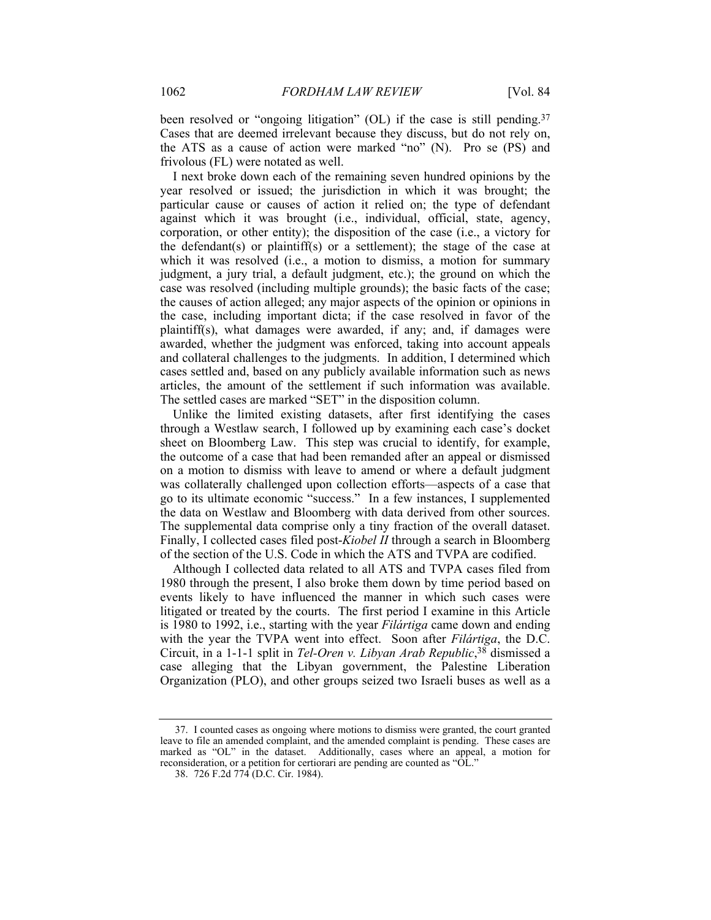been resolved or "ongoing litigation" (OL) if the case is still pending.<sup>37</sup> Cases that are deemed irrelevant because they discuss, but do not rely on, the ATS as a cause of action were marked "no" (N). Pro se (PS) and frivolous (FL) were notated as well.

I next broke down each of the remaining seven hundred opinions by the year resolved or issued; the jurisdiction in which it was brought; the particular cause or causes of action it relied on; the type of defendant against which it was brought (i.e., individual, official, state, agency, corporation, or other entity); the disposition of the case (i.e., a victory for the defendant(s) or plaintiff(s) or a settlement); the stage of the case at which it was resolved (i.e., a motion to dismiss, a motion for summary judgment, a jury trial, a default judgment, etc.); the ground on which the case was resolved (including multiple grounds); the basic facts of the case; the causes of action alleged; any major aspects of the opinion or opinions in the case, including important dicta; if the case resolved in favor of the plaintiff(s), what damages were awarded, if any; and, if damages were awarded, whether the judgment was enforced, taking into account appeals and collateral challenges to the judgments. In addition, I determined which cases settled and, based on any publicly available information such as news articles, the amount of the settlement if such information was available. The settled cases are marked "SET" in the disposition column.

Unlike the limited existing datasets, after first identifying the cases through a Westlaw search, I followed up by examining each case's docket sheet on Bloomberg Law. This step was crucial to identify, for example, the outcome of a case that had been remanded after an appeal or dismissed on a motion to dismiss with leave to amend or where a default judgment was collaterally challenged upon collection efforts—aspects of a case that go to its ultimate economic "success." In a few instances, I supplemented the data on Westlaw and Bloomberg with data derived from other sources. The supplemental data comprise only a tiny fraction of the overall dataset. Finally, I collected cases filed post-*Kiobel II* through a search in Bloomberg of the section of the U.S. Code in which the ATS and TVPA are codified.

Although I collected data related to all ATS and TVPA cases filed from 1980 through the present, I also broke them down by time period based on events likely to have influenced the manner in which such cases were litigated or treated by the courts. The first period I examine in this Article is 1980 to 1992, i.e., starting with the year *Filártiga* came down and ending with the year the TVPA went into effect. Soon after *Filártiga*, the D.C. Circuit, in a 1-1-1 split in *Tel-Oren v. Libyan Arab Republic*, 38 dismissed a case alleging that the Libyan government, the Palestine Liberation Organization (PLO), and other groups seized two Israeli buses as well as a

 <sup>37.</sup> I counted cases as ongoing where motions to dismiss were granted, the court granted leave to file an amended complaint, and the amended complaint is pending. These cases are marked as "OL" in the dataset. Additionally, cases where an appeal, a motion for reconsideration, or a petition for certiorari are pending are counted as "OL."

 <sup>38. 726</sup> F.2d 774 (D.C. Cir. 1984).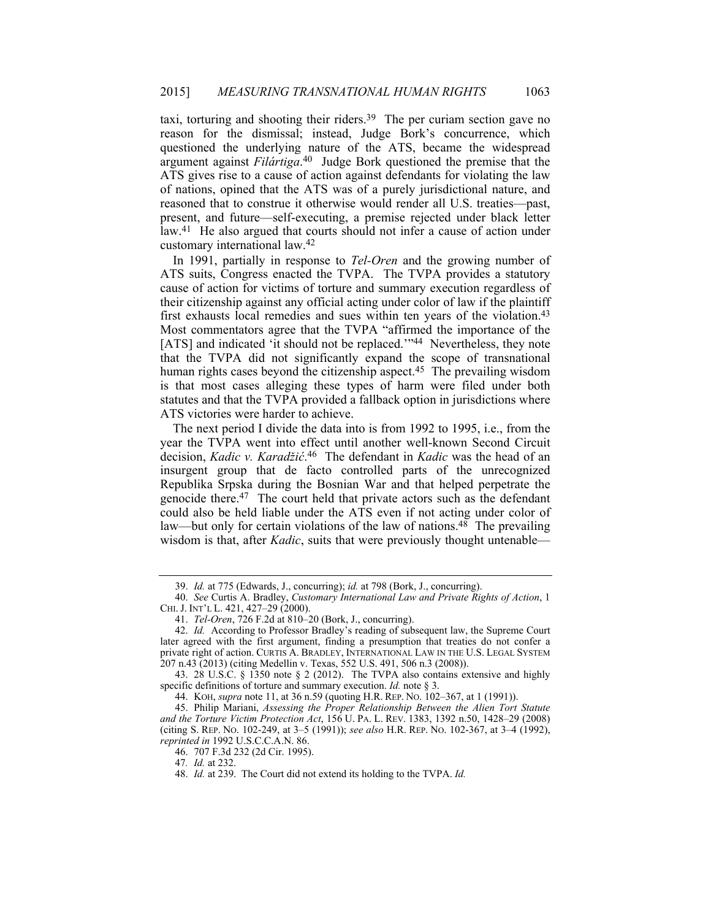taxi, torturing and shooting their riders.39 The per curiam section gave no reason for the dismissal; instead, Judge Bork's concurrence, which questioned the underlying nature of the ATS, became the widespread argument against *Filártiga*. 40 Judge Bork questioned the premise that the ATS gives rise to a cause of action against defendants for violating the law of nations, opined that the ATS was of a purely jurisdictional nature, and reasoned that to construe it otherwise would render all U.S. treaties—past, present, and future—self-executing, a premise rejected under black letter law.41 He also argued that courts should not infer a cause of action under customary international law.42

In 1991, partially in response to *Tel-Oren* and the growing number of ATS suits, Congress enacted the TVPA. The TVPA provides a statutory cause of action for victims of torture and summary execution regardless of their citizenship against any official acting under color of law if the plaintiff first exhausts local remedies and sues within ten years of the violation.<sup>43</sup> Most commentators agree that the TVPA "affirmed the importance of the [ATS] and indicated 'it should not be replaced.'"44 Nevertheless, they note that the TVPA did not significantly expand the scope of transnational human rights cases beyond the citizenship aspect.<sup>45</sup> The prevailing wisdom is that most cases alleging these types of harm were filed under both statutes and that the TVPA provided a fallback option in jurisdictions where ATS victories were harder to achieve.

The next period I divide the data into is from 1992 to 1995, i.e., from the year the TVPA went into effect until another well-known Second Circuit decision, *Kadic v. Karadžić*. 46 The defendant in *Kadic* was the head of an insurgent group that de facto controlled parts of the unrecognized Republika Srpska during the Bosnian War and that helped perpetrate the genocide there.47 The court held that private actors such as the defendant could also be held liable under the ATS even if not acting under color of law—but only for certain violations of the law of nations.<sup>48</sup> The prevailing wisdom is that, after *Kadic*, suits that were previously thought untenable—

 <sup>39.</sup> *Id.* at 775 (Edwards, J., concurring); *id.* at 798 (Bork, J., concurring).

 <sup>40.</sup> *See* Curtis A. Bradley, *Customary International Law and Private Rights of Action*, 1 CHI. J. INT'L L. 421, 427–29 (2000).

 <sup>41.</sup> *Tel-Oren*, 726 F.2d at 810–20 (Bork, J., concurring).

 <sup>42.</sup> *Id.* According to Professor Bradley's reading of subsequent law, the Supreme Court later agreed with the first argument, finding a presumption that treaties do not confer a private right of action. CURTIS A. BRADLEY, INTERNATIONAL LAW IN THE U.S. LEGAL SYSTEM 207 n.43 (2013) (citing Medellin v. Texas, 552 U.S. 491, 506 n.3 (2008)).

 <sup>43. 28</sup> U.S.C. § 1350 note § 2 (2012). The TVPA also contains extensive and highly specific definitions of torture and summary execution. *Id.* note § 3.

 <sup>44.</sup> KOH, *supra* note 11, at 36 n.59 (quoting H.R. REP. NO. 102–367, at 1 (1991)).

 <sup>45.</sup> Philip Mariani, *Assessing the Proper Relationship Between the Alien Tort Statute and the Torture Victim Protection Act*, 156 U. PA. L. REV. 1383, 1392 n.50, 1428–29 (2008) (citing S. REP. NO. 102-249, at 3–5 (1991)); *see also* H.R. REP. NO. 102-367, at 3–4 (1992), *reprinted in* 1992 U.S.C.C.A.N. 86.

 <sup>46. 707</sup> F.3d 232 (2d Cir. 1995).

<sup>47</sup>*. Id.* at 232.

 <sup>48.</sup> *Id.* at 239. The Court did not extend its holding to the TVPA. *Id.*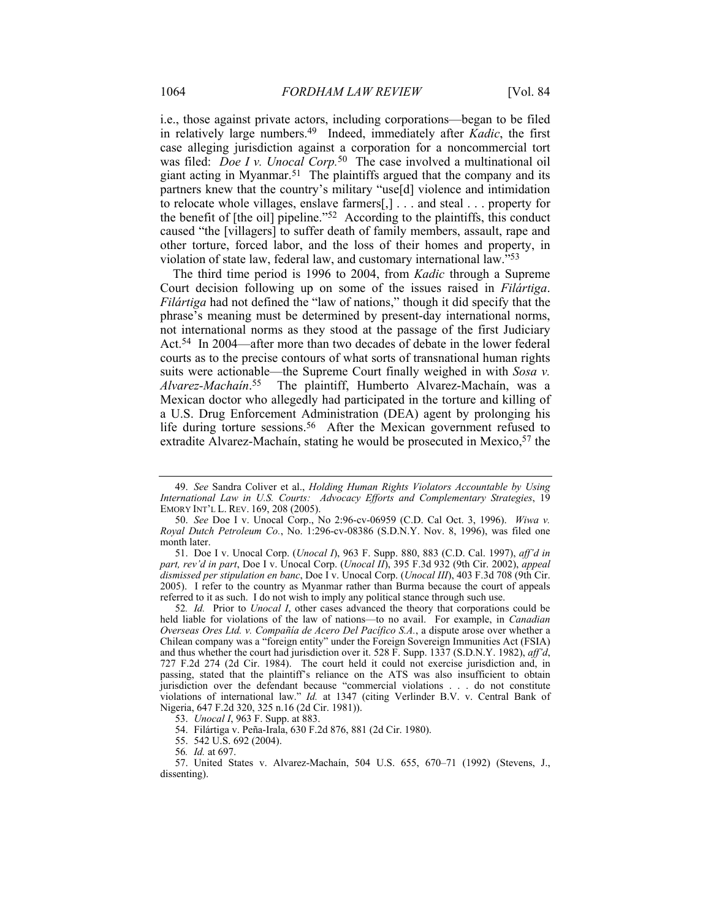i.e., those against private actors, including corporations—began to be filed in relatively large numbers.49 Indeed, immediately after *Kadic*, the first case alleging jurisdiction against a corporation for a noncommercial tort was filed: *Doe I v. Unocal Corp*.<sup>50</sup> The case involved a multinational oil giant acting in Myanmar.51 The plaintiffs argued that the company and its partners knew that the country's military "use[d] violence and intimidation to relocate whole villages, enslave farmers[,] . . . and steal . . . property for the benefit of [the oil] pipeline."52 According to the plaintiffs, this conduct caused "the [villagers] to suffer death of family members, assault, rape and other torture, forced labor, and the loss of their homes and property, in violation of state law, federal law, and customary international law."53

The third time period is 1996 to 2004, from *Kadic* through a Supreme Court decision following up on some of the issues raised in *Filártiga*. *Filártiga* had not defined the "law of nations," though it did specify that the phrase's meaning must be determined by present-day international norms, not international norms as they stood at the passage of the first Judiciary Act.54 In 2004—after more than two decades of debate in the lower federal courts as to the precise contours of what sorts of transnational human rights suits were actionable—the Supreme Court finally weighed in with *Sosa v. Alvarez-Machaín*. 55 The plaintiff, Humberto Alvarez-Machaín, was a Mexican doctor who allegedly had participated in the torture and killing of a U.S. Drug Enforcement Administration (DEA) agent by prolonging his life during torture sessions.<sup>56</sup> After the Mexican government refused to extradite Alvarez-Machaín, stating he would be prosecuted in Mexico, <sup>57</sup> the

 <sup>49.</sup> *See* Sandra Coliver et al., *Holding Human Rights Violators Accountable by Using International Law in U.S. Courts: Advocacy Efforts and Complementary Strategies*, 19 EMORY INT'L L. REV. 169, 208 (2005).

 <sup>50.</sup> *See* Doe I v. Unocal Corp., No 2:96-cv-06959 (C.D. Cal Oct. 3, 1996). *Wiwa v. Royal Dutch Petroleum Co.*, No. 1:296-cv-08386 (S.D.N.Y. Nov. 8, 1996), was filed one month later.

 <sup>51.</sup> Doe I v. Unocal Corp. (*Unocal I*), 963 F. Supp. 880, 883 (C.D. Cal. 1997), *aff'd in part, rev'd in part*, Doe I v. Unocal Corp. (*Unocal II*), 395 F.3d 932 (9th Cir. 2002), *appeal dismissed per stipulation en banc*, Doe I v. Unocal Corp. (*Unocal III*), 403 F.3d 708 (9th Cir. 2005).I refer to the country as Myanmar rather than Burma because the court of appeals referred to it as such. I do not wish to imply any political stance through such use.

<sup>52</sup>*. Id.* Prior to *Unocal I*, other cases advanced the theory that corporations could be held liable for violations of the law of nations—to no avail. For example, in *Canadian Overseas Ores Ltd. v. Compañía de Acero Del Pacífico S.A.*, a dispute arose over whether a Chilean company was a "foreign entity" under the Foreign Sovereign Immunities Act (FSIA) and thus whether the court had jurisdiction over it. 528 F. Supp. 1337 (S.D.N.Y. 1982), *aff'd*, 727 F.2d 274 (2d Cir. 1984). The court held it could not exercise jurisdiction and, in passing, stated that the plaintiff's reliance on the ATS was also insufficient to obtain jurisdiction over the defendant because "commercial violations . . . do not constitute violations of international law." *Id.* at 1347 (citing Verlinder B.V. v. Central Bank of Nigeria, 647 F.2d 320, 325 n.16 (2d Cir. 1981)).

 <sup>53.</sup> *Unocal I*, 963 F. Supp. at 883.

 <sup>54.</sup> Filártiga v. Peña-Irala, 630 F.2d 876, 881 (2d Cir. 1980).

 <sup>55. 542</sup> U.S. 692 (2004).

<sup>56</sup>*. Id.* at 697.

 <sup>57.</sup> United States v. Alvarez-Machaín, 504 U.S. 655, 670–71 (1992) (Stevens, J., dissenting).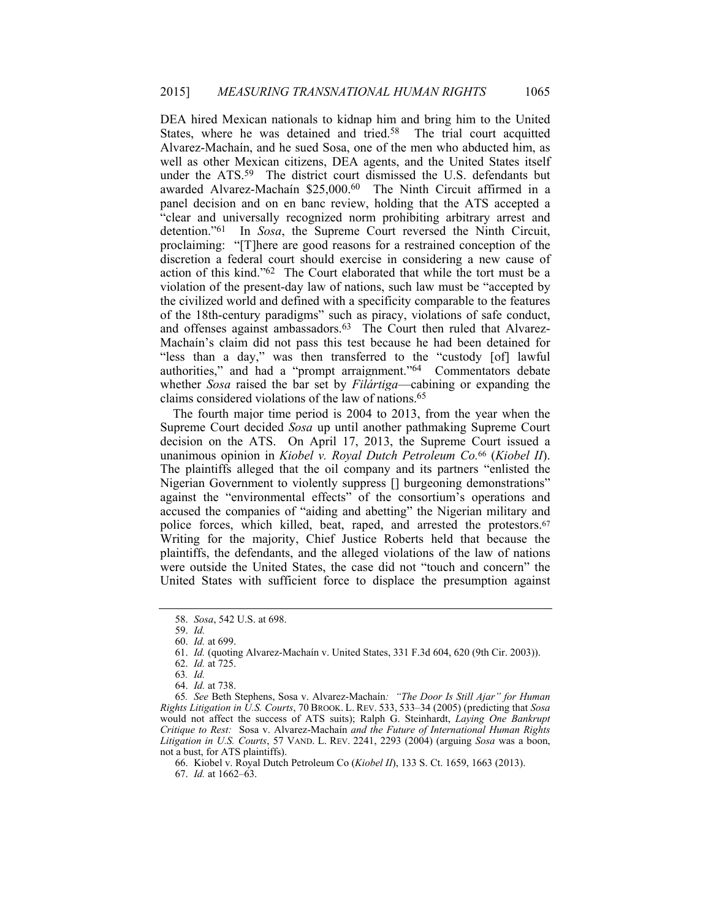DEA hired Mexican nationals to kidnap him and bring him to the United States, where he was detained and tried.<sup>58</sup> The trial court acquitted Alvarez-Machaín, and he sued Sosa, one of the men who abducted him, as well as other Mexican citizens, DEA agents, and the United States itself under the ATS.<sup>59</sup> The district court dismissed the U.S. defendants but awarded Alvarez-Machaín \$25,000.60 The Ninth Circuit affirmed in a panel decision and on en banc review, holding that the ATS accepted a "clear and universally recognized norm prohibiting arbitrary arrest and detention."61 In *Sosa*, the Supreme Court reversed the Ninth Circuit, proclaiming: "[T]here are good reasons for a restrained conception of the discretion a federal court should exercise in considering a new cause of action of this kind."62 The Court elaborated that while the tort must be a violation of the present-day law of nations, such law must be "accepted by the civilized world and defined with a specificity comparable to the features of the 18th-century paradigms" such as piracy, violations of safe conduct, and offenses against ambassadors.<sup>63</sup> The Court then ruled that Alvarez-Machaín's claim did not pass this test because he had been detained for "less than a day," was then transferred to the "custody [of] lawful authorities," and had a "prompt arraignment."64 Commentators debate whether *Sosa* raised the bar set by *Filártiga*—cabining or expanding the claims considered violations of the law of nations.65

The fourth major time period is 2004 to 2013, from the year when the Supreme Court decided *Sosa* up until another pathmaking Supreme Court decision on the ATS. On April 17, 2013, the Supreme Court issued a unanimous opinion in *Kiobel v. Royal Dutch Petroleum Co.*66 (*Kiobel II*). The plaintiffs alleged that the oil company and its partners "enlisted the Nigerian Government to violently suppress [] burgeoning demonstrations" against the "environmental effects" of the consortium's operations and accused the companies of "aiding and abetting" the Nigerian military and police forces, which killed, beat, raped, and arrested the protestors.<sup>67</sup> Writing for the majority, Chief Justice Roberts held that because the plaintiffs, the defendants, and the alleged violations of the law of nations were outside the United States, the case did not "touch and concern" the United States with sufficient force to displace the presumption against

 <sup>58.</sup> *Sosa*, 542 U.S. at 698.

 <sup>59.</sup> *Id.* 

 <sup>60.</sup> *Id.* at 699.

 <sup>61.</sup> *Id.* (quoting Alvarez-Machaín v. United States, 331 F.3d 604, 620 (9th Cir. 2003)).

 <sup>62.</sup> *Id.* at 725.

<sup>63</sup>*. Id.*

 <sup>64.</sup> *Id.* at 738.

<sup>65</sup>*. See* Beth Stephens, Sosa v. Alvarez-Machaín*: "The Door Is Still Ajar" for Human Rights Litigation in U.S. Courts*, 70 BROOK. L. REV. 533, 533–34 (2005) (predicting that *Sosa* would not affect the success of ATS suits); Ralph G. Steinhardt, *Laying One Bankrupt Critique to Rest:* Sosa v. Alvarez-Machaín *and the Future of International Human Rights Litigation in U.S. Courts*, 57 VAND. L. REV. 2241, 2293 (2004) (arguing *Sosa* was a boon, not a bust, for ATS plaintiffs).

 <sup>66.</sup> Kiobel v. Royal Dutch Petroleum Co (*Kiobel II*), 133 S. Ct. 1659, 1663 (2013). 67. *Id.* at 1662–63.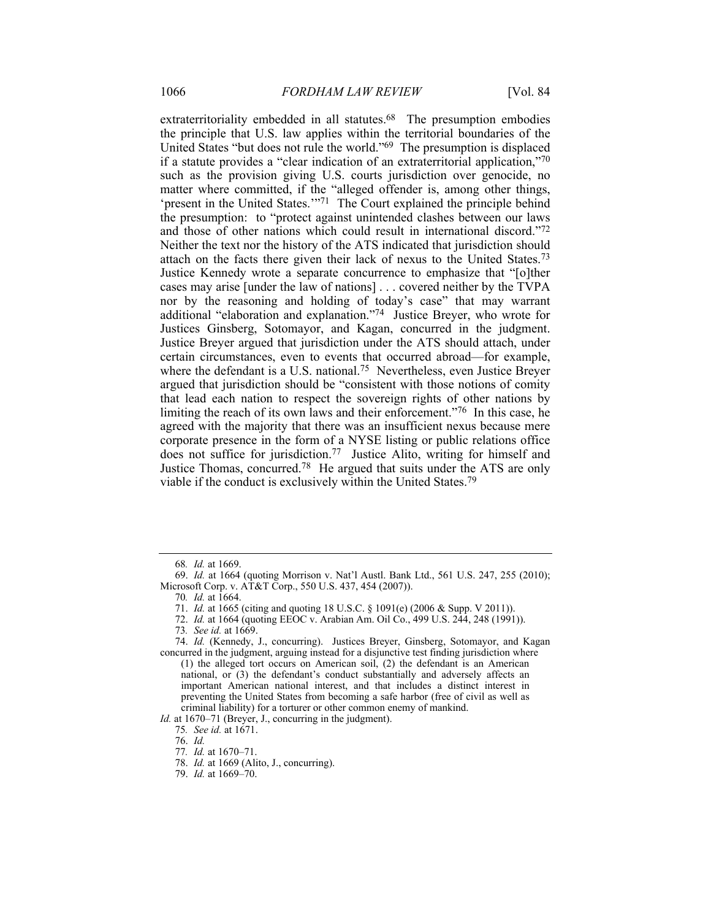extraterritoriality embedded in all statutes.<sup>68</sup> The presumption embodies the principle that U.S. law applies within the territorial boundaries of the United States "but does not rule the world."69 The presumption is displaced if a statute provides a "clear indication of an extraterritorial application,"70 such as the provision giving U.S. courts jurisdiction over genocide, no matter where committed, if the "alleged offender is, among other things, 'present in the United States.'"71 The Court explained the principle behind the presumption: to "protect against unintended clashes between our laws and those of other nations which could result in international discord."72 Neither the text nor the history of the ATS indicated that jurisdiction should attach on the facts there given their lack of nexus to the United States.73 Justice Kennedy wrote a separate concurrence to emphasize that "[o]ther cases may arise [under the law of nations] . . . covered neither by the TVPA nor by the reasoning and holding of today's case" that may warrant additional "elaboration and explanation."74 Justice Breyer, who wrote for Justices Ginsberg, Sotomayor, and Kagan, concurred in the judgment. Justice Breyer argued that jurisdiction under the ATS should attach, under certain circumstances, even to events that occurred abroad—for example, where the defendant is a U.S. national.<sup>75</sup> Nevertheless, even Justice Breyer argued that jurisdiction should be "consistent with those notions of comity that lead each nation to respect the sovereign rights of other nations by limiting the reach of its own laws and their enforcement."76 In this case, he agreed with the majority that there was an insufficient nexus because mere corporate presence in the form of a NYSE listing or public relations office does not suffice for jurisdiction.77 Justice Alito, writing for himself and Justice Thomas, concurred.78 He argued that suits under the ATS are only viable if the conduct is exclusively within the United States.79

*Id.* at 1670–71 (Breyer, J., concurring in the judgment).

<sup>68</sup>*. Id.* at 1669.

 <sup>69.</sup> *Id.* at 1664 (quoting Morrison v. Nat'l Austl. Bank Ltd., 561 U.S. 247, 255 (2010); Microsoft Corp. v. AT&T Corp., 550 U.S. 437, 454 (2007)).

<sup>70</sup>*. Id.* at 1664.

 <sup>71.</sup> *Id.* at 1665 (citing and quoting 18 U.S.C. § 1091(e) (2006 & Supp. V 2011)).

<sup>72.</sup> *Id.* at 1664 (quoting EEOC v. Arabian Am. Oil Co., 499 U.S. 244, 248 (1991)).

<sup>73</sup>*. See id.* at 1669.

 <sup>74.</sup> *Id.* (Kennedy, J., concurring). Justices Breyer, Ginsberg, Sotomayor, and Kagan concurred in the judgment, arguing instead for a disjunctive test finding jurisdiction where

<sup>(1)</sup> the alleged tort occurs on American soil, (2) the defendant is an American national, or (3) the defendant's conduct substantially and adversely affects an important American national interest, and that includes a distinct interest in preventing the United States from becoming a safe harbor (free of civil as well as criminal liability) for a torturer or other common enemy of mankind.

<sup>75</sup>*. See id.* at 1671.

 <sup>76.</sup> *Id.*

<sup>77</sup>*. Id.* at 1670–71.

 <sup>78.</sup> *Id.* at 1669 (Alito, J., concurring).

 <sup>79.</sup> *Id.* at 1669–70.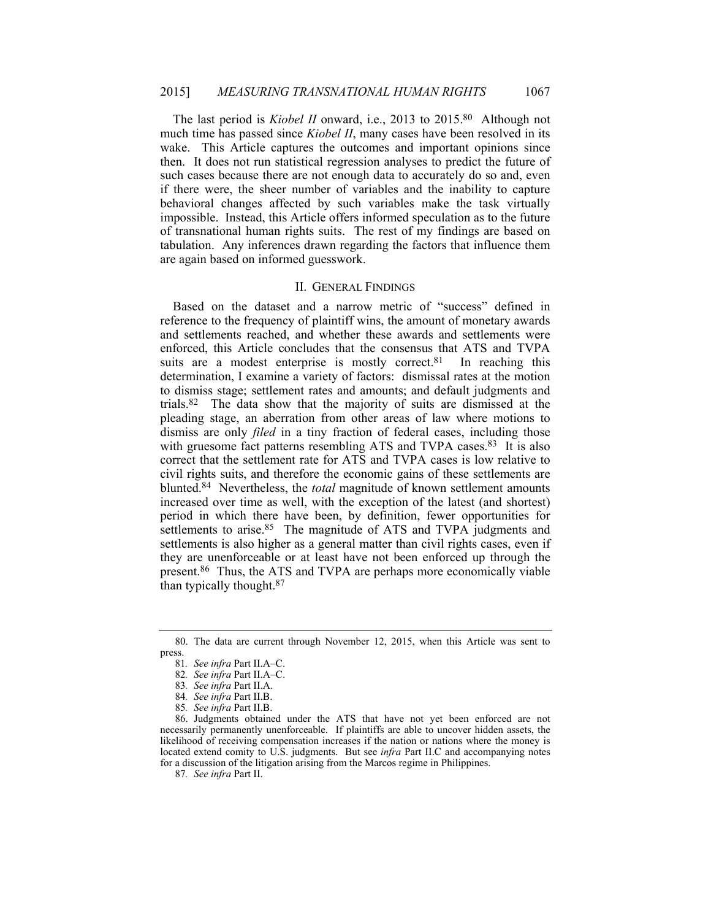The last period is *Kiobel II* onward, i.e., 2013 to 2015.<sup>80</sup> Although not much time has passed since *Kiobel II*, many cases have been resolved in its wake. This Article captures the outcomes and important opinions since then. It does not run statistical regression analyses to predict the future of such cases because there are not enough data to accurately do so and, even if there were, the sheer number of variables and the inability to capture behavioral changes affected by such variables make the task virtually impossible. Instead, this Article offers informed speculation as to the future of transnational human rights suits. The rest of my findings are based on tabulation. Any inferences drawn regarding the factors that influence them are again based on informed guesswork.

# II. GENERAL FINDINGS

Based on the dataset and a narrow metric of "success" defined in reference to the frequency of plaintiff wins, the amount of monetary awards and settlements reached, and whether these awards and settlements were enforced, this Article concludes that the consensus that ATS and TVPA suits are a modest enterprise is mostly correct.<sup>81</sup> In reaching this determination, I examine a variety of factors: dismissal rates at the motion to dismiss stage; settlement rates and amounts; and default judgments and trials.82 The data show that the majority of suits are dismissed at the pleading stage, an aberration from other areas of law where motions to dismiss are only *filed* in a tiny fraction of federal cases, including those with gruesome fact patterns resembling ATS and TVPA cases.<sup>83</sup> It is also correct that the settlement rate for ATS and TVPA cases is low relative to civil rights suits, and therefore the economic gains of these settlements are blunted.84 Nevertheless, the *total* magnitude of known settlement amounts increased over time as well, with the exception of the latest (and shortest) period in which there have been, by definition, fewer opportunities for settlements to arise.<sup>85</sup> The magnitude of ATS and TVPA judgments and settlements is also higher as a general matter than civil rights cases, even if they are unenforceable or at least have not been enforced up through the present.86 Thus, the ATS and TVPA are perhaps more economically viable than typically thought.87

83*. See infra* Part II.A.

 <sup>80.</sup> The data are current through November 12, 2015, when this Article was sent to press.

<sup>81</sup>*. See infra* Part II.A–C.

<sup>82</sup>*. See infra* Part II.A–C.

<sup>84</sup>*. See infra* Part II.B.

<sup>85</sup>*. See infra* Part II.B.

 <sup>86.</sup> Judgments obtained under the ATS that have not yet been enforced are not necessarily permanently unenforceable. If plaintiffs are able to uncover hidden assets, the likelihood of receiving compensation increases if the nation or nations where the money is located extend comity to U.S. judgments. But see *infra* Part II.C and accompanying notes for a discussion of the litigation arising from the Marcos regime in Philippines.

<sup>87</sup>*. See infra* Part II.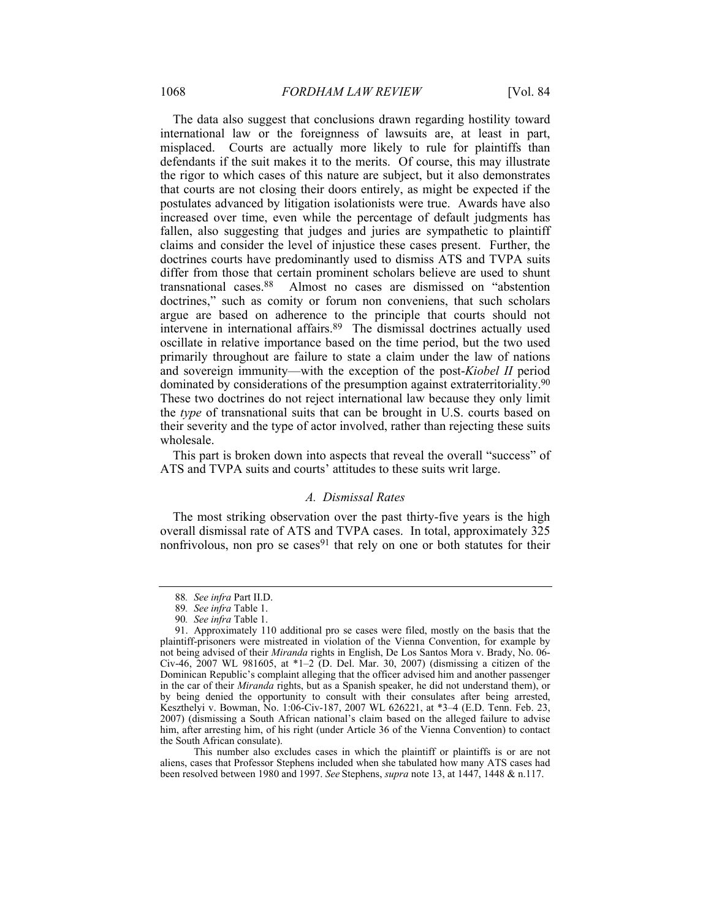The data also suggest that conclusions drawn regarding hostility toward international law or the foreignness of lawsuits are, at least in part, misplaced. Courts are actually more likely to rule for plaintiffs than defendants if the suit makes it to the merits. Of course, this may illustrate the rigor to which cases of this nature are subject, but it also demonstrates that courts are not closing their doors entirely, as might be expected if the postulates advanced by litigation isolationists were true. Awards have also increased over time, even while the percentage of default judgments has fallen, also suggesting that judges and juries are sympathetic to plaintiff claims and consider the level of injustice these cases present. Further, the doctrines courts have predominantly used to dismiss ATS and TVPA suits differ from those that certain prominent scholars believe are used to shunt transnational cases.88 Almost no cases are dismissed on "abstention doctrines," such as comity or forum non conveniens, that such scholars argue are based on adherence to the principle that courts should not intervene in international affairs.89 The dismissal doctrines actually used oscillate in relative importance based on the time period, but the two used primarily throughout are failure to state a claim under the law of nations and sovereign immunity—with the exception of the post-*Kiobel II* period dominated by considerations of the presumption against extraterritoriality.90 These two doctrines do not reject international law because they only limit the *type* of transnational suits that can be brought in U.S. courts based on their severity and the type of actor involved, rather than rejecting these suits wholesale.

This part is broken down into aspects that reveal the overall "success" of ATS and TVPA suits and courts' attitudes to these suits writ large.

### *A. Dismissal Rates*

The most striking observation over the past thirty-five years is the high overall dismissal rate of ATS and TVPA cases. In total, approximately 325 nonfrivolous, non pro se cases<sup>91</sup> that rely on one or both statutes for their

 This number also excludes cases in which the plaintiff or plaintiffs is or are not aliens, cases that Professor Stephens included when she tabulated how many ATS cases had been resolved between 1980 and 1997. *See* Stephens, *supra* note 13, at 1447, 1448 & n.117.

<sup>88</sup>*. See infra* Part II.D.

<sup>89</sup>*. See infra* Table 1.

<sup>90</sup>*. See infra* Table 1.

 <sup>91.</sup> Approximately 110 additional pro se cases were filed, mostly on the basis that the plaintiff-prisoners were mistreated in violation of the Vienna Convention, for example by not being advised of their *Miranda* rights in English, De Los Santos Mora v. Brady, No. 06- Civ-46, 2007 WL 981605, at \*1–2 (D. Del. Mar. 30, 2007) (dismissing a citizen of the Dominican Republic's complaint alleging that the officer advised him and another passenger in the car of their *Miranda* rights, but as a Spanish speaker, he did not understand them), or by being denied the opportunity to consult with their consulates after being arrested, Keszthelyi v. Bowman, No. 1:06-Civ-187, 2007 WL 626221, at \*3–4 (E.D. Tenn. Feb. 23, 2007) (dismissing a South African national's claim based on the alleged failure to advise him, after arresting him, of his right (under Article 36 of the Vienna Convention) to contact the South African consulate).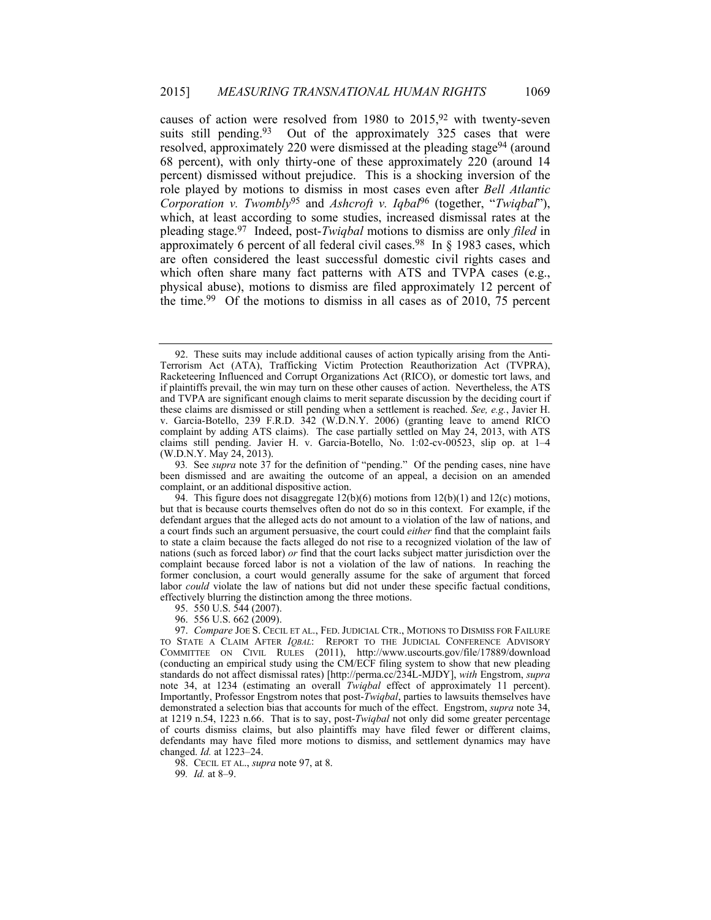causes of action were resolved from 1980 to  $2015$ , <sup>92</sup> with twenty-seven suits still pending.<sup>93</sup> Out of the approximately 325 cases that were resolved, approximately 220 were dismissed at the pleading stage94 (around 68 percent), with only thirty-one of these approximately 220 (around 14 percent) dismissed without prejudice. This is a shocking inversion of the role played by motions to dismiss in most cases even after *Bell Atlantic Corporation v. Twombly*95 and *Ashcroft v. Iqbal*96 (together, "*Twiqbal*"), which, at least according to some studies, increased dismissal rates at the pleading stage.97 Indeed, post-*Twiqbal* motions to dismiss are only *filed* in approximately 6 percent of all federal civil cases.<sup>98</sup> In  $\S$  1983 cases, which are often considered the least successful domestic civil rights cases and which often share many fact patterns with ATS and TVPA cases (e.g., physical abuse), motions to dismiss are filed approximately 12 percent of the time.99 Of the motions to dismiss in all cases as of 2010, 75 percent

95. 550 U.S. 544 (2007).

98. CECIL ET AL., *supra* note 97, at 8.

99*. Id.* at 8–9.

 <sup>92.</sup> These suits may include additional causes of action typically arising from the Anti-Terrorism Act (ATA), Trafficking Victim Protection Reauthorization Act (TVPRA), Racketeering Influenced and Corrupt Organizations Act (RICO), or domestic tort laws, and if plaintiffs prevail, the win may turn on these other causes of action. Nevertheless, the ATS and TVPA are significant enough claims to merit separate discussion by the deciding court if these claims are dismissed or still pending when a settlement is reached. *See, e.g.*, Javier H. v. Garcia-Botello, 239 F.R.D. 342 (W.D.N.Y. 2006) (granting leave to amend RICO complaint by adding ATS claims). The case partially settled on May 24, 2013, with ATS claims still pending. Javier H. v. Garcia-Botello, No. 1:02-cv-00523, slip op. at 1–4 (W.D.N.Y. May 24, 2013).

<sup>93</sup>*.* See *supra* note 37 for the definition of "pending." Of the pending cases, nine have been dismissed and are awaiting the outcome of an appeal, a decision on an amended complaint, or an additional dispositive action.

<sup>94.</sup> This figure does not disaggregate  $12(b)(6)$  motions from  $12(b)(1)$  and  $12(c)$  motions, but that is because courts themselves often do not do so in this context. For example, if the defendant argues that the alleged acts do not amount to a violation of the law of nations, and a court finds such an argument persuasive, the court could *either* find that the complaint fails to state a claim because the facts alleged do not rise to a recognized violation of the law of nations (such as forced labor) *or* find that the court lacks subject matter jurisdiction over the complaint because forced labor is not a violation of the law of nations. In reaching the former conclusion, a court would generally assume for the sake of argument that forced labor *could* violate the law of nations but did not under these specific factual conditions, effectively blurring the distinction among the three motions.

 <sup>96. 556</sup> U.S. 662 (2009).

 <sup>97.</sup> *Compare* JOE S. CECIL ET AL., FED. JUDICIAL CTR., MOTIONS TO DISMISS FOR FAILURE TO STATE A CLAIM AFTER *IQBAL*: REPORT TO THE JUDICIAL CONFERENCE ADVISORY COMMITTEE ON CIVIL RULES (2011), http://www.uscourts.gov/file/17889/download (conducting an empirical study using the CM/ECF filing system to show that new pleading standards do not affect dismissal rates) [http://perma.cc/234L-MJDY], *with* Engstrom, *supra* note 34, at 1234 (estimating an overall *Twiqbal* effect of approximately 11 percent). Importantly, Professor Engstrom notes that post-*Twiqbal*, parties to lawsuits themselves have demonstrated a selection bias that accounts for much of the effect. Engstrom, *supra* note 34, at 1219 n.54, 1223 n.66. That is to say, post-*Twiqbal* not only did some greater percentage of courts dismiss claims, but also plaintiffs may have filed fewer or different claims, defendants may have filed more motions to dismiss, and settlement dynamics may have changed. *Id.* at 1223–24.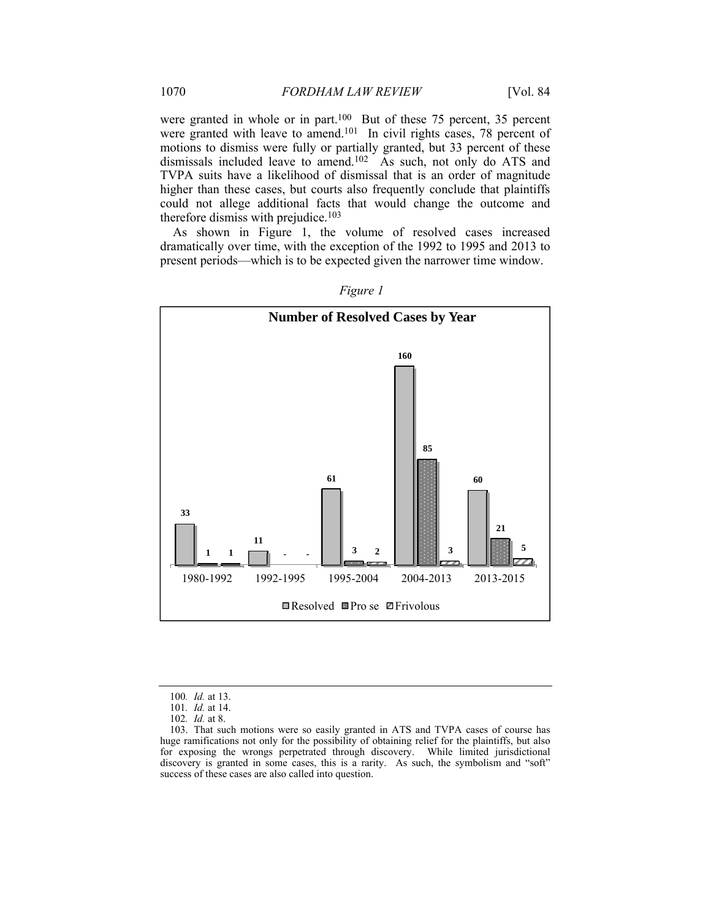were granted in whole or in part.<sup>100</sup> But of these 75 percent, 35 percent were granted with leave to amend.<sup>101</sup> In civil rights cases, 78 percent of motions to dismiss were fully or partially granted, but 33 percent of these dismissals included leave to amend.<sup>102</sup> As such, not only do ATS and TVPA suits have a likelihood of dismissal that is an order of magnitude higher than these cases, but courts also frequently conclude that plaintiffs could not allege additional facts that would change the outcome and therefore dismiss with prejudice.<sup>103</sup>

As shown in Figure 1, the volume of resolved cases increased dramatically over time, with the exception of the 1992 to 1995 and 2013 to present periods—which is to be expected given the narrower time window.



*Figure 1* 

<sup>100</sup>*. Id.* at 13.

<sup>101</sup>*. Id.* at 14.

<sup>102</sup>*. Id.* at 8.

 <sup>103.</sup> That such motions were so easily granted in ATS and TVPA cases of course has huge ramifications not only for the possibility of obtaining relief for the plaintiffs, but also for exposing the wrongs perpetrated through discovery. While limited jurisdictional discovery is granted in some cases, this is a rarity. As such, the symbolism and "soft" success of these cases are also called into question.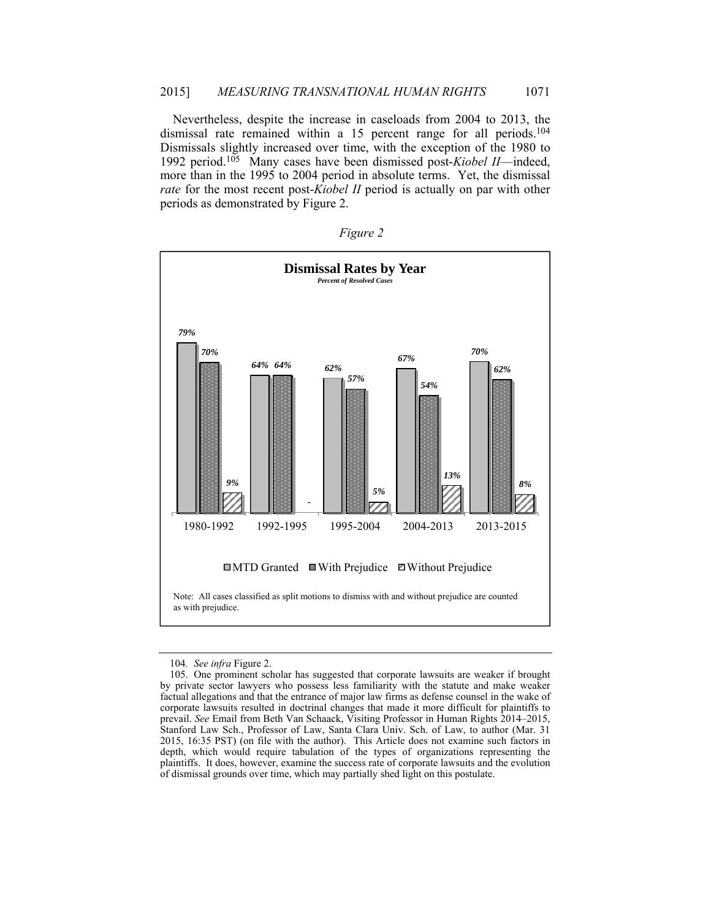Nevertheless, despite the increase in caseloads from 2004 to 2013, the dismissal rate remained within a 15 percent range for all periods.104 Dismissals slightly increased over time, with the exception of the 1980 to 1992 period.105 Many cases have been dismissed post-*Kiobel II*—indeed, more than in the 1995 to 2004 period in absolute terms. Yet, the dismissal *rate* for the most recent post-*Kiobel II* period is actually on par with other periods as demonstrated by Figure 2.

| $\sigma_{llr}$ |  |
|----------------|--|
|                |  |



<sup>104</sup>*. See infra* Figure 2.

 <sup>105.</sup> One prominent scholar has suggested that corporate lawsuits are weaker if brought by private sector lawyers who possess less familiarity with the statute and make weaker factual allegations and that the entrance of major law firms as defense counsel in the wake of corporate lawsuits resulted in doctrinal changes that made it more difficult for plaintiffs to prevail. *See* Email from Beth Van Schaack, Visiting Professor in Human Rights 2014–2015, Stanford Law Sch., Professor of Law, Santa Clara Univ. Sch. of Law, to author (Mar. 31 2015, 16:35 PST) (on file with the author). This Article does not examine such factors in depth, which would require tabulation of the types of organizations representing the plaintiffs. It does, however, examine the success rate of corporate lawsuits and the evolution of dismissal grounds over time, which may partially shed light on this postulate.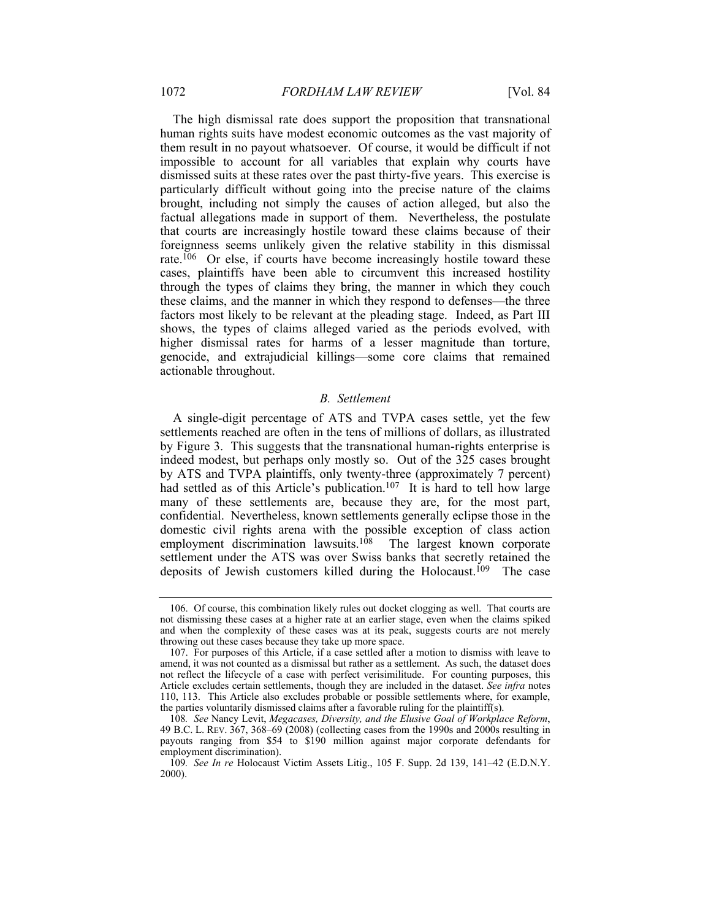The high dismissal rate does support the proposition that transnational human rights suits have modest economic outcomes as the vast majority of them result in no payout whatsoever. Of course, it would be difficult if not impossible to account for all variables that explain why courts have dismissed suits at these rates over the past thirty-five years. This exercise is particularly difficult without going into the precise nature of the claims brought, including not simply the causes of action alleged, but also the factual allegations made in support of them. Nevertheless, the postulate that courts are increasingly hostile toward these claims because of their foreignness seems unlikely given the relative stability in this dismissal rate.106 Or else, if courts have become increasingly hostile toward these cases, plaintiffs have been able to circumvent this increased hostility through the types of claims they bring, the manner in which they couch these claims, and the manner in which they respond to defenses—the three factors most likely to be relevant at the pleading stage. Indeed, as Part III shows, the types of claims alleged varied as the periods evolved, with higher dismissal rates for harms of a lesser magnitude than torture, genocide, and extrajudicial killings—some core claims that remained actionable throughout.

#### *B. Settlement*

A single-digit percentage of ATS and TVPA cases settle, yet the few settlements reached are often in the tens of millions of dollars, as illustrated by Figure 3. This suggests that the transnational human-rights enterprise is indeed modest, but perhaps only mostly so. Out of the 325 cases brought by ATS and TVPA plaintiffs, only twenty-three (approximately 7 percent) had settled as of this Article's publication.<sup>107</sup> It is hard to tell how large many of these settlements are, because they are, for the most part, confidential. Nevertheless, known settlements generally eclipse those in the domestic civil rights arena with the possible exception of class action employment discrimination lawsuits.<sup>108</sup> The largest known corporate settlement under the ATS was over Swiss banks that secretly retained the deposits of Jewish customers killed during the Holocaust.<sup>109</sup> The case

 <sup>106.</sup> Of course, this combination likely rules out docket clogging as well. That courts are not dismissing these cases at a higher rate at an earlier stage, even when the claims spiked and when the complexity of these cases was at its peak, suggests courts are not merely throwing out these cases because they take up more space.

 <sup>107.</sup> For purposes of this Article, if a case settled after a motion to dismiss with leave to amend, it was not counted as a dismissal but rather as a settlement. As such, the dataset does not reflect the lifecycle of a case with perfect verisimilitude. For counting purposes, this Article excludes certain settlements, though they are included in the dataset. *See infra* notes 110, 113. This Article also excludes probable or possible settlements where, for example, the parties voluntarily dismissed claims after a favorable ruling for the plaintiff(s).

<sup>108</sup>*. See* Nancy Levit, *Megacases, Diversity, and the Elusive Goal of Workplace Reform*, 49 B.C. L. REV. 367, 368–69 (2008) (collecting cases from the 1990s and 2000s resulting in payouts ranging from \$54 to \$190 million against major corporate defendants for employment discrimination).

<sup>109</sup>*. See In re* Holocaust Victim Assets Litig., 105 F. Supp. 2d 139, 141–42 (E.D.N.Y. 2000).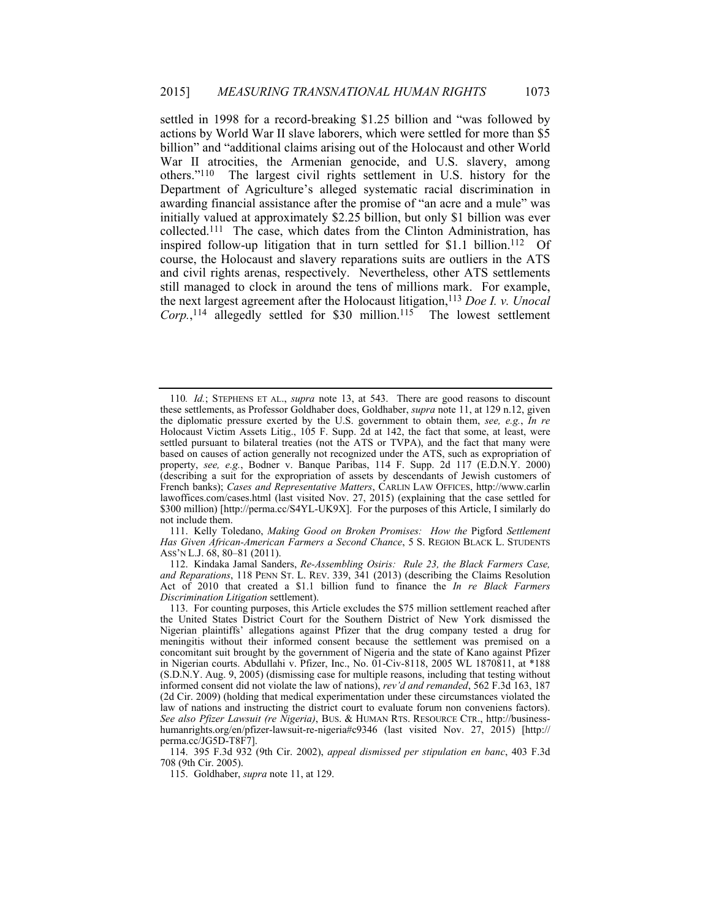settled in 1998 for a record-breaking \$1.25 billion and "was followed by actions by World War II slave laborers, which were settled for more than \$5 billion" and "additional claims arising out of the Holocaust and other World War II atrocities, the Armenian genocide, and U.S. slavery, among others."110 The largest civil rights settlement in U.S. history for the Department of Agriculture's alleged systematic racial discrimination in awarding financial assistance after the promise of "an acre and a mule" was initially valued at approximately \$2.25 billion, but only \$1 billion was ever collected.111 The case, which dates from the Clinton Administration, has inspired follow-up litigation that in turn settled for  $$1.1$  billion.<sup>112</sup> Of course, the Holocaust and slavery reparations suits are outliers in the ATS and civil rights arenas, respectively. Nevertheless, other ATS settlements still managed to clock in around the tens of millions mark. For example, the next largest agreement after the Holocaust litigation,113 *Doe I. v. Unocal*  Corp.,<sup>114</sup> allegedly settled for \$30 million.<sup>115</sup> The lowest settlement

<sup>110</sup>*. Id.*; STEPHENS ET AL., *supra* note 13, at 543. There are good reasons to discount these settlements, as Professor Goldhaber does, Goldhaber, *supra* note 11, at 129 n.12, given the diplomatic pressure exerted by the U.S. government to obtain them, *see, e.g.*, *In re* Holocaust Victim Assets Litig., 105 F. Supp. 2d at 142, the fact that some, at least, were settled pursuant to bilateral treaties (not the ATS or TVPA), and the fact that many were based on causes of action generally not recognized under the ATS, such as expropriation of property, see, e.g., Bodner v. Banque Paribas, 114 F. Supp. 2d 117 (E.D.N.Y. 2000) (describing a suit for the expropriation of assets by descendants of Jewish customers of French banks); *Cases and Representative Matters*, CARLIN LAW OFFICES, http://www.carlin lawoffices.com/cases.html (last visited Nov. 27, 2015) (explaining that the case settled for \$300 million) [http://perma.cc/S4YL-UK9X]. For the purposes of this Article, I similarly do not include them.

 <sup>111.</sup> Kelly Toledano, *Making Good on Broken Promises: How the* Pigford *Settlement Has Given African-American Farmers a Second Chance*, 5 S. REGION BLACK L. STUDENTS ASS'N L.J. 68, 80–81 (2011).

 <sup>112.</sup> Kindaka Jamal Sanders, *Re-Assembling Osiris: Rule 23, the Black Farmers Case, and Reparations*, 118 PENN ST. L. REV. 339, 341 (2013) (describing the Claims Resolution Act of 2010 that created a \$1.1 billion fund to finance the *In re Black Farmers Discrimination Litigation* settlement).

 <sup>113.</sup> For counting purposes, this Article excludes the \$75 million settlement reached after the United States District Court for the Southern District of New York dismissed the Nigerian plaintiffs' allegations against Pfizer that the drug company tested a drug for meningitis without their informed consent because the settlement was premised on a concomitant suit brought by the government of Nigeria and the state of Kano against Pfizer in Nigerian courts. Abdullahi v. Pfizer, Inc., No. 01-Civ-8118, 2005 WL 1870811, at \*188 (S.D.N.Y. Aug. 9, 2005) (dismissing case for multiple reasons, including that testing without informed consent did not violate the law of nations), *rev'd and remanded*, 562 F.3d 163, 187 (2d Cir. 2009) (holding that medical experimentation under these circumstances violated the law of nations and instructing the district court to evaluate forum non conveniens factors). *See also Pfizer Lawsuit (re Nigeria)*, BUS. & HUMAN RTS. RESOURCE CTR., http://businesshumanrights.org/en/pfizer-lawsuit-re-nigeria#c9346 (last visited Nov. 27, 2015) [http:// perma.cc/JG5D-T8F7].

 <sup>114. 395</sup> F.3d 932 (9th Cir. 2002), *appeal dismissed per stipulation en banc*, 403 F.3d 708 (9th Cir. 2005).

 <sup>115.</sup> Goldhaber, *supra* note 11, at 129.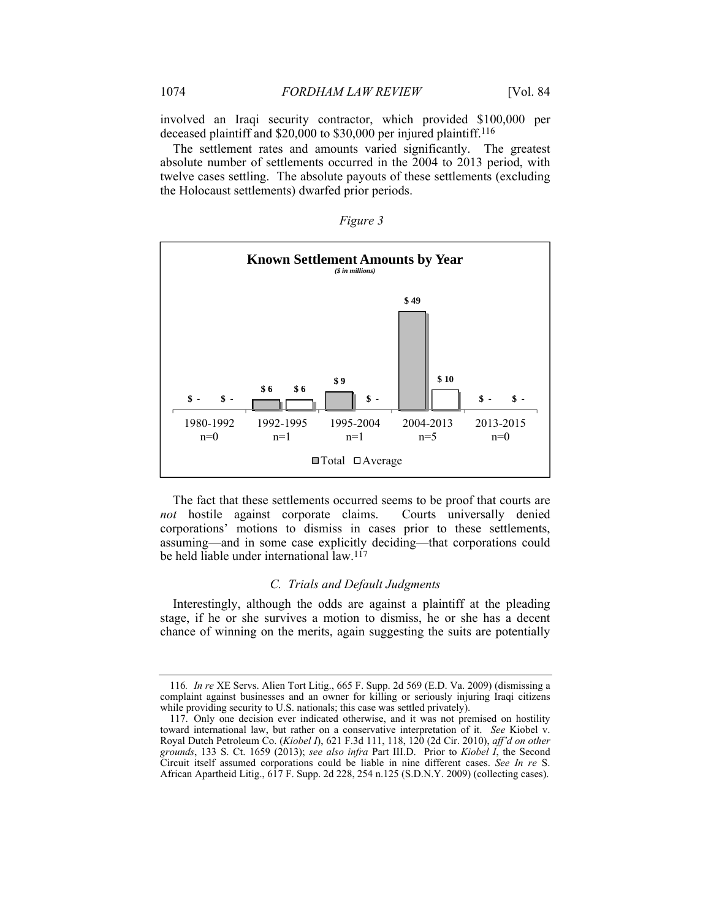involved an Iraqi security contractor, which provided \$100,000 per deceased plaintiff and \$20,000 to \$30,000 per injured plaintiff.<sup>116</sup>

The settlement rates and amounts varied significantly. The greatest absolute number of settlements occurred in the 2004 to 2013 period, with twelve cases settling. The absolute payouts of these settlements (excluding the Holocaust settlements) dwarfed prior periods.

| <b>Known Settlement Amounts by Year</b><br>$($ in millions)$                                         |                    |                                                   |                    |                    |
|------------------------------------------------------------------------------------------------------|--------------------|---------------------------------------------------|--------------------|--------------------|
| \$49<br>\$10<br>\$9<br>\$6<br>\$6<br>$\mathbf{s}$ .<br>$\mathbf{s}$ .<br>$\mathbf s$ .<br>\$-<br>\$- |                    |                                                   |                    |                    |
| 1980-1992<br>$n=0$                                                                                   | 1992-1995<br>$n=1$ | 1995-2004<br>$n=1$<br>$\Box$ Total $\Box$ Average | 2004-2013<br>$n=5$ | 2013-2015<br>$n=0$ |

*Figure 3* 

The fact that these settlements occurred seems to be proof that courts are *not* hostile against corporate claims. Courts universally denied corporations' motions to dismiss in cases prior to these settlements, assuming—and in some case explicitly deciding—that corporations could be held liable under international law.<sup>117</sup>

# *C. Trials and Default Judgments*

Interestingly, although the odds are against a plaintiff at the pleading stage, if he or she survives a motion to dismiss, he or she has a decent chance of winning on the merits, again suggesting the suits are potentially

<sup>116</sup>*. In re* XE Servs. Alien Tort Litig., 665 F. Supp. 2d 569 (E.D. Va. 2009) (dismissing a complaint against businesses and an owner for killing or seriously injuring Iraqi citizens while providing security to U.S. nationals; this case was settled privately).

 <sup>117.</sup> Only one decision ever indicated otherwise, and it was not premised on hostility toward international law, but rather on a conservative interpretation of it. *See* Kiobel v. Royal Dutch Petroleum Co. (*Kiobel I*), 621 F.3d 111, 118, 120 (2d Cir. 2010), *aff'd on other grounds*, 133 S. Ct. 1659 (2013); *see also infra* Part III.D. Prior to *Kiobel I*, the Second Circuit itself assumed corporations could be liable in nine different cases. *See In re* S. African Apartheid Litig., 617 F. Supp. 2d 228, 254 n.125 (S.D.N.Y. 2009) (collecting cases).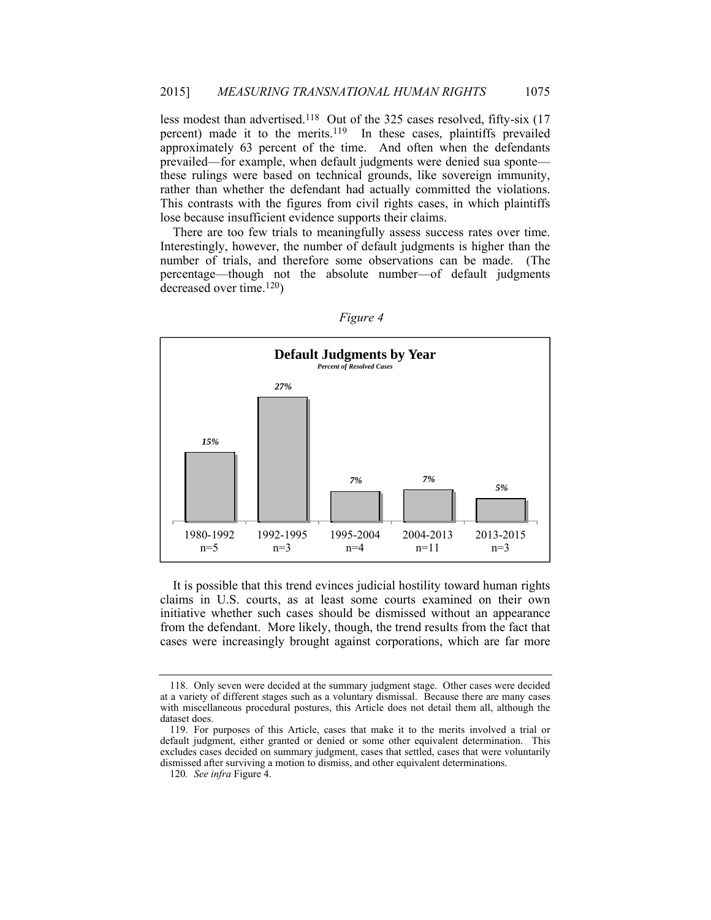less modest than advertised.118 Out of the 325 cases resolved, fifty-six (17 percent) made it to the merits.119 In these cases, plaintiffs prevailed approximately 63 percent of the time. And often when the defendants prevailed—for example, when default judgments were denied sua sponte these rulings were based on technical grounds, like sovereign immunity, rather than whether the defendant had actually committed the violations. This contrasts with the figures from civil rights cases, in which plaintiffs lose because insufficient evidence supports their claims.

There are too few trials to meaningfully assess success rates over time. Interestingly, however, the number of default judgments is higher than the number of trials, and therefore some observations can be made. (The percentage—though not the absolute number—of default judgments decreased over time.120)



*Figure 4* 

It is possible that this trend evinces judicial hostility toward human rights claims in U.S. courts, as at least some courts examined on their own initiative whether such cases should be dismissed without an appearance from the defendant. More likely, though, the trend results from the fact that cases were increasingly brought against corporations, which are far more

 <sup>118.</sup> Only seven were decided at the summary judgment stage. Other cases were decided at a variety of different stages such as a voluntary dismissal. Because there are many cases with miscellaneous procedural postures, this Article does not detail them all, although the dataset does.

 <sup>119.</sup> For purposes of this Article, cases that make it to the merits involved a trial or default judgment, either granted or denied or some other equivalent determination. This excludes cases decided on summary judgment, cases that settled, cases that were voluntarily dismissed after surviving a motion to dismiss, and other equivalent determinations.

<sup>120</sup>*. See infra* Figure 4.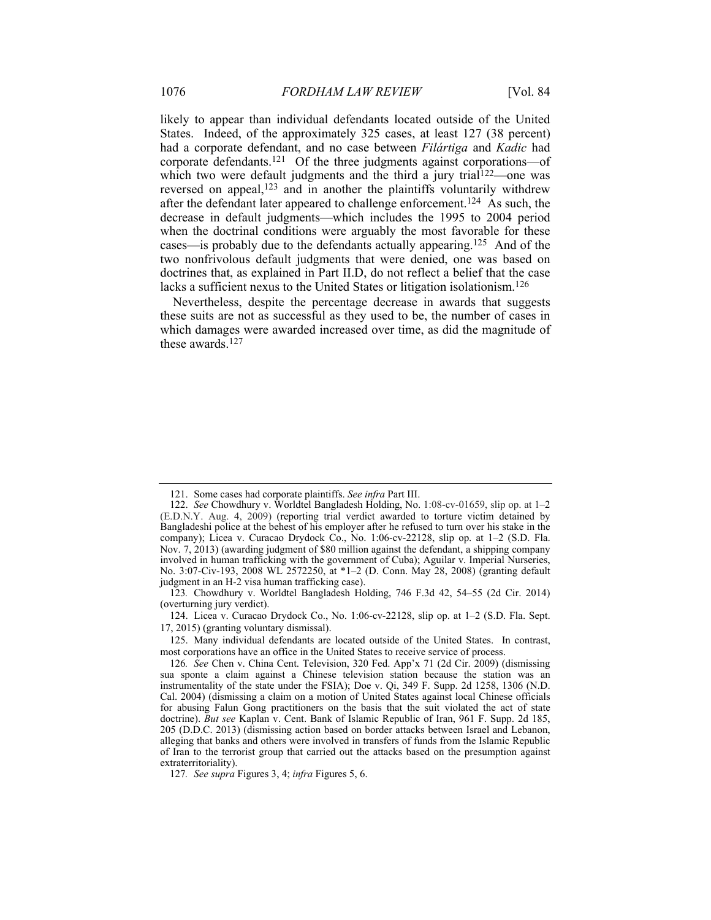likely to appear than individual defendants located outside of the United States. Indeed, of the approximately 325 cases, at least 127 (38 percent) had a corporate defendant, and no case between *Filártiga* and *Kadic* had corporate defendants.121 Of the three judgments against corporations—of which two were default judgments and the third a jury trial<sup>122</sup>—one was reversed on appeal,123 and in another the plaintiffs voluntarily withdrew after the defendant later appeared to challenge enforcement.124 As such, the decrease in default judgments—which includes the 1995 to 2004 period when the doctrinal conditions were arguably the most favorable for these cases—is probably due to the defendants actually appearing.125 And of the two nonfrivolous default judgments that were denied, one was based on doctrines that, as explained in Part II.D, do not reflect a belief that the case lacks a sufficient nexus to the United States or litigation isolationism.<sup>126</sup>

Nevertheless, despite the percentage decrease in awards that suggests these suits are not as successful as they used to be, the number of cases in which damages were awarded increased over time, as did the magnitude of these awards.127

 125. Many individual defendants are located outside of the United States. In contrast, most corporations have an office in the United States to receive service of process.

 <sup>121.</sup> Some cases had corporate plaintiffs. *See infra* Part III.

 <sup>122.</sup> *See* Chowdhury v. Worldtel Bangladesh Holding, No. 1:08-cv-01659, slip op. at 1–2 (E.D.N.Y. Aug. 4, 2009) (reporting trial verdict awarded to torture victim detained by Bangladeshi police at the behest of his employer after he refused to turn over his stake in the company); Licea v. Curacao Drydock Co., No. 1:06-cv-22128, slip op. at 1–2 (S.D. Fla. Nov. 7, 2013) (awarding judgment of \$80 million against the defendant, a shipping company involved in human trafficking with the government of Cuba); Aguilar v. Imperial Nurseries, No. 3:07-Civ-193, 2008 WL 2572250, at \*1–2 (D. Conn. May 28, 2008) (granting default judgment in an H-2 visa human trafficking case).

<sup>123</sup>*.* Chowdhury v. Worldtel Bangladesh Holding, 746 F.3d 42, 54–55 (2d Cir. 2014) (overturning jury verdict).

 <sup>124.</sup> Licea v. Curacao Drydock Co., No. 1:06-cv-22128, slip op. at 1–2 (S.D. Fla. Sept. 17, 2015) (granting voluntary dismissal).

<sup>126</sup>*. See* Chen v. China Cent. Television, 320 Fed. App'x 71 (2d Cir. 2009) (dismissing sua sponte a claim against a Chinese television station because the station was an instrumentality of the state under the FSIA); Doe v. Qi, 349 F. Supp. 2d 1258, 1306 (N.D. Cal. 2004) (dismissing a claim on a motion of United States against local Chinese officials for abusing Falun Gong practitioners on the basis that the suit violated the act of state doctrine). *But see* Kaplan v. Cent. Bank of Islamic Republic of Iran, 961 F. Supp. 2d 185, 205 (D.D.C. 2013) (dismissing action based on border attacks between Israel and Lebanon, alleging that banks and others were involved in transfers of funds from the Islamic Republic of Iran to the terrorist group that carried out the attacks based on the presumption against extraterritoriality).

<sup>127</sup>*. See supra* Figures 3, 4; *infra* Figures 5, 6.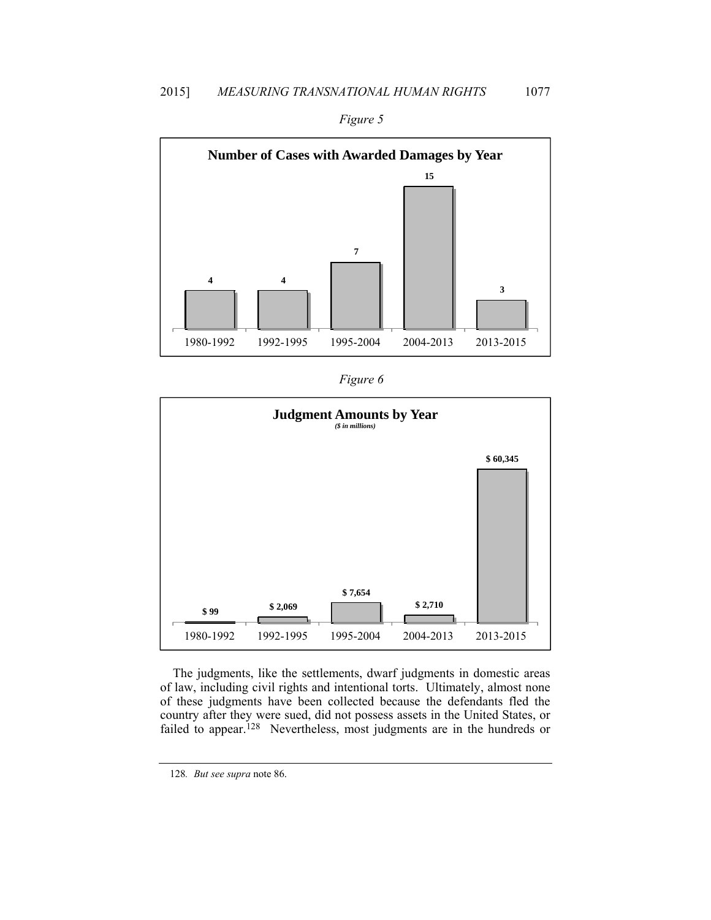



| 1911re |  |
|--------|--|
|        |  |



The judgments, like the settlements, dwarf judgments in domestic areas of law, including civil rights and intentional torts. Ultimately, almost none of these judgments have been collected because the defendants fled the country after they were sued, did not possess assets in the United States, or failed to appear.<sup>128</sup> Nevertheless, most judgments are in the hundreds or

<sup>128</sup>*. But see supra* note 86.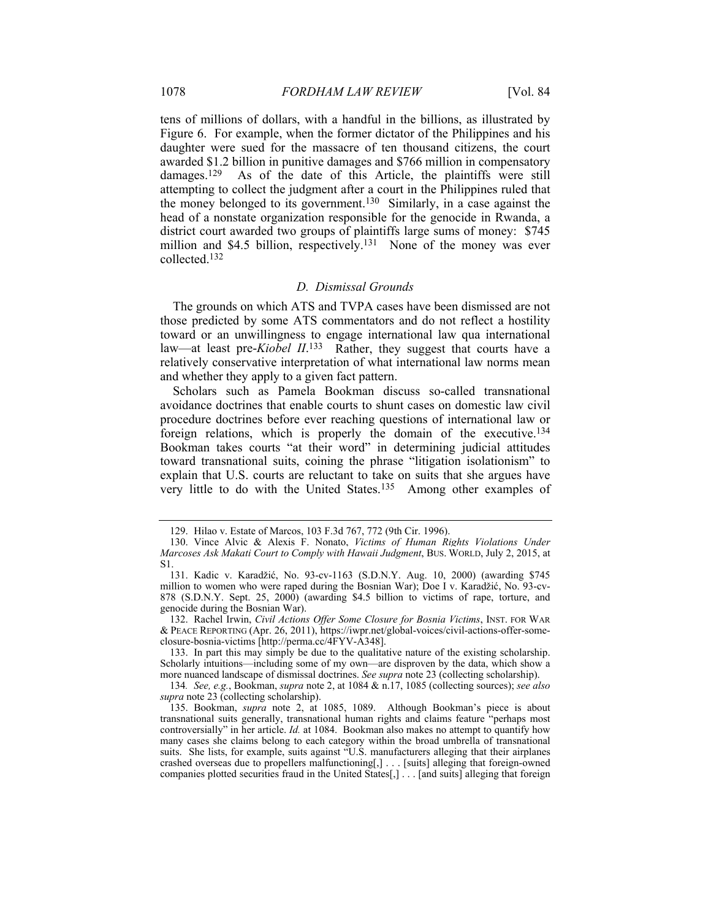tens of millions of dollars, with a handful in the billions, as illustrated by Figure 6. For example, when the former dictator of the Philippines and his daughter were sued for the massacre of ten thousand citizens, the court awarded \$1.2 billion in punitive damages and \$766 million in compensatory damages.129 As of the date of this Article, the plaintiffs were still attempting to collect the judgment after a court in the Philippines ruled that the money belonged to its government.130 Similarly, in a case against the head of a nonstate organization responsible for the genocide in Rwanda, a district court awarded two groups of plaintiffs large sums of money: \$745 million and \$4.5 billion, respectively.<sup>131</sup> None of the money was ever collected.132

# *D. Dismissal Grounds*

The grounds on which ATS and TVPA cases have been dismissed are not those predicted by some ATS commentators and do not reflect a hostility toward or an unwillingness to engage international law qua international law—at least pre-*Kiobel II*. 133 Rather, they suggest that courts have a relatively conservative interpretation of what international law norms mean and whether they apply to a given fact pattern.

Scholars such as Pamela Bookman discuss so-called transnational avoidance doctrines that enable courts to shunt cases on domestic law civil procedure doctrines before ever reaching questions of international law or foreign relations, which is properly the domain of the executive.134 Bookman takes courts "at their word" in determining judicial attitudes toward transnational suits, coining the phrase "litigation isolationism" to explain that U.S. courts are reluctant to take on suits that she argues have very little to do with the United States.135 Among other examples of

 <sup>129.</sup> Hilao v. Estate of Marcos, 103 F.3d 767, 772 (9th Cir. 1996).

 <sup>130.</sup> Vince Alvic & Alexis F. Nonato, *Victims of Human Rights Violations Under Marcoses Ask Makati Court to Comply with Hawaii Judgment*, BUS. WORLD, July 2, 2015, at S1.

 <sup>131.</sup> Kadic v. Karadžić, No. 93-cv-1163 (S.D.N.Y. Aug. 10, 2000) (awarding \$745 million to women who were raped during the Bosnian War); Doe I v. Karadžić, No. 93-cv-878 (S.D.N.Y. Sept. 25, 2000) (awarding \$4.5 billion to victims of rape, torture, and genocide during the Bosnian War).

<sup>132.</sup> Rachel Irwin, *Civil Actions Offer Some Closure for Bosnia Victims*, INST. FOR WAR & PEACE REPORTING (Apr. 26, 2011), https://iwpr.net/global-voices/civil-actions-offer-someclosure-bosnia-victims [http://perma.cc/4FYV-A348].

 <sup>133.</sup> In part this may simply be due to the qualitative nature of the existing scholarship. Scholarly intuitions—including some of my own—are disproven by the data, which show a more nuanced landscape of dismissal doctrines. *See supra* note 23 (collecting scholarship).

<sup>134</sup>*. See, e.g.*, Bookman, *supra* note 2, at 1084 & n.17, 1085 (collecting sources); *see also supra* note 23 (collecting scholarship).

 <sup>135.</sup> Bookman, *supra* note 2, at 1085, 1089. Although Bookman's piece is about transnational suits generally, transnational human rights and claims feature "perhaps most controversially" in her article. *Id.* at 1084. Bookman also makes no attempt to quantify how many cases she claims belong to each category within the broad umbrella of transnational suits. She lists, for example, suits against "U.S. manufacturers alleging that their airplanes crashed overseas due to propellers malfunctioning[,] . . . [suits] alleging that foreign-owned companies plotted securities fraud in the United States[,] . . . [and suits] alleging that foreign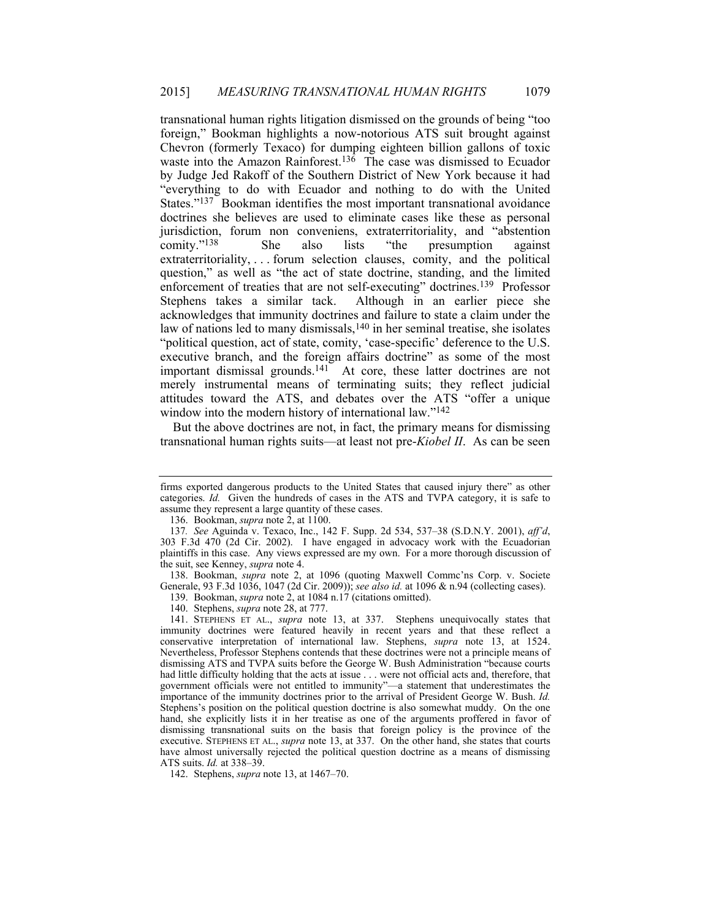transnational human rights litigation dismissed on the grounds of being "too foreign," Bookman highlights a now-notorious ATS suit brought against Chevron (formerly Texaco) for dumping eighteen billion gallons of toxic waste into the Amazon Rainforest.<sup>136</sup> The case was dismissed to Ecuador by Judge Jed Rakoff of the Southern District of New York because it had "everything to do with Ecuador and nothing to do with the United States."<sup>137</sup> Bookman identifies the most important transnational avoidance doctrines she believes are used to eliminate cases like these as personal jurisdiction, forum non conveniens, extraterritoriality, and "abstention comity."<sup>138</sup> She also lists "the presumption against She also lists "the presumption against extraterritoriality, . . . forum selection clauses, comity, and the political question," as well as "the act of state doctrine, standing, and the limited enforcement of treaties that are not self-executing" doctrines.139 Professor Stephens takes a similar tack. Although in an earlier piece she acknowledges that immunity doctrines and failure to state a claim under the law of nations led to many dismissals,140 in her seminal treatise, she isolates "political question, act of state, comity, 'case-specific' deference to the U.S. executive branch, and the foreign affairs doctrine" as some of the most important dismissal grounds.<sup>141</sup> At core, these latter doctrines are not merely instrumental means of terminating suits; they reflect judicial attitudes toward the ATS, and debates over the ATS "offer a unique window into the modern history of international law."<sup>142</sup>

But the above doctrines are not, in fact, the primary means for dismissing transnational human rights suits—at least not pre-*Kiobel II*. As can be seen

136. Bookman, *supra* note 2, at 1100.

 138. Bookman, *supra* note 2, at 1096 (quoting Maxwell Commc'ns Corp. v. Societe Generale, 93 F.3d 1036, 1047 (2d Cir. 2009)); *see also id.* at 1096 & n.94 (collecting cases).

139. Bookman, *supra* note 2, at 1084 n.17 (citations omitted).

140. Stephens, *supra* note 28, at 777.

 141. STEPHENS ET AL., *supra* note 13, at 337. Stephens unequivocally states that immunity doctrines were featured heavily in recent years and that these reflect a conservative interpretation of international law. Stephens, *supra* note 13, at 1524. Nevertheless, Professor Stephens contends that these doctrines were not a principle means of dismissing ATS and TVPA suits before the George W. Bush Administration "because courts had little difficulty holding that the acts at issue . . . were not official acts and, therefore, that government officials were not entitled to immunity"—a statement that underestimates the importance of the immunity doctrines prior to the arrival of President George W. Bush. *Id.* Stephens's position on the political question doctrine is also somewhat muddy. On the one hand, she explicitly lists it in her treatise as one of the arguments proffered in favor of dismissing transnational suits on the basis that foreign policy is the province of the executive. STEPHENS ET AL., *supra* note 13, at 337. On the other hand, she states that courts have almost universally rejected the political question doctrine as a means of dismissing ATS suits. *Id.* at 338–39.

142. Stephens, *supra* note 13, at 1467–70.

firms exported dangerous products to the United States that caused injury there" as other categories. *Id.* Given the hundreds of cases in the ATS and TVPA category, it is safe to assume they represent a large quantity of these cases.

<sup>137</sup>*. See* Aguinda v. Texaco, Inc., 142 F. Supp. 2d 534, 537–38 (S.D.N.Y. 2001), *aff'd*, 303 F.3d 470 (2d Cir. 2002). I have engaged in advocacy work with the Ecuadorian plaintiffs in this case. Any views expressed are my own. For a more thorough discussion of the suit, see Kenney, *supra* note 4.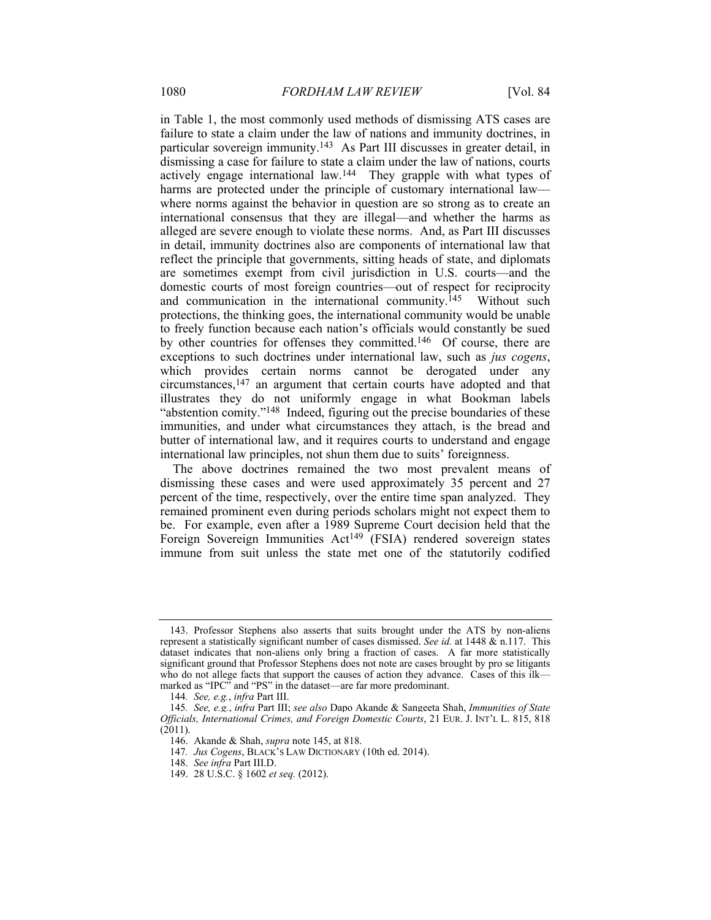in Table 1, the most commonly used methods of dismissing ATS cases are failure to state a claim under the law of nations and immunity doctrines, in particular sovereign immunity.143 As Part III discusses in greater detail, in dismissing a case for failure to state a claim under the law of nations, courts actively engage international law.144 They grapple with what types of harms are protected under the principle of customary international law where norms against the behavior in question are so strong as to create an international consensus that they are illegal—and whether the harms as alleged are severe enough to violate these norms. And, as Part III discusses in detail, immunity doctrines also are components of international law that reflect the principle that governments, sitting heads of state, and diplomats are sometimes exempt from civil jurisdiction in U.S. courts—and the domestic courts of most foreign countries—out of respect for reciprocity and communication in the international community.<sup> $145$ </sup> Without such protections, the thinking goes, the international community would be unable to freely function because each nation's officials would constantly be sued by other countries for offenses they committed.146 Of course, there are exceptions to such doctrines under international law, such as *jus cogens*, which provides certain norms cannot be derogated under any circumstances,147 an argument that certain courts have adopted and that illustrates they do not uniformly engage in what Bookman labels "abstention comity."148 Indeed, figuring out the precise boundaries of these immunities, and under what circumstances they attach, is the bread and butter of international law, and it requires courts to understand and engage international law principles, not shun them due to suits' foreignness.

The above doctrines remained the two most prevalent means of dismissing these cases and were used approximately 35 percent and 27 percent of the time, respectively, over the entire time span analyzed. They remained prominent even during periods scholars might not expect them to be. For example, even after a 1989 Supreme Court decision held that the Foreign Sovereign Immunities  $Act^{149}$  (FSIA) rendered sovereign states immune from suit unless the state met one of the statutorily codified

 <sup>143.</sup> Professor Stephens also asserts that suits brought under the ATS by non-aliens represent a statistically significant number of cases dismissed. *See id.* at 1448 & n.117. This dataset indicates that non-aliens only bring a fraction of cases. A far more statistically significant ground that Professor Stephens does not note are cases brought by pro se litigants who do not allege facts that support the causes of action they advance. Cases of this ilk marked as "IPC" and "PS" in the dataset—are far more predominant.

<sup>144</sup>*. See, e.g.*, *infra* Part III.

<sup>145</sup>*. See, e.g.*, *infra* Part III; *see also* Dapo Akande & Sangeeta Shah, *Immunities of State Officials, International Crimes, and Foreign Domestic Courts*, 21 EUR. J. INT'L L. 815, 818 (2011).

 <sup>146.</sup> Akande & Shah, *supra* note 145, at 818.

<sup>147</sup>*. Jus Cogens*, BLACK'S LAW DICTIONARY (10th ed. 2014).

 <sup>148.</sup> *See infra* Part III.D.

 <sup>149. 28</sup> U.S.C. § 1602 *et seq.* (2012).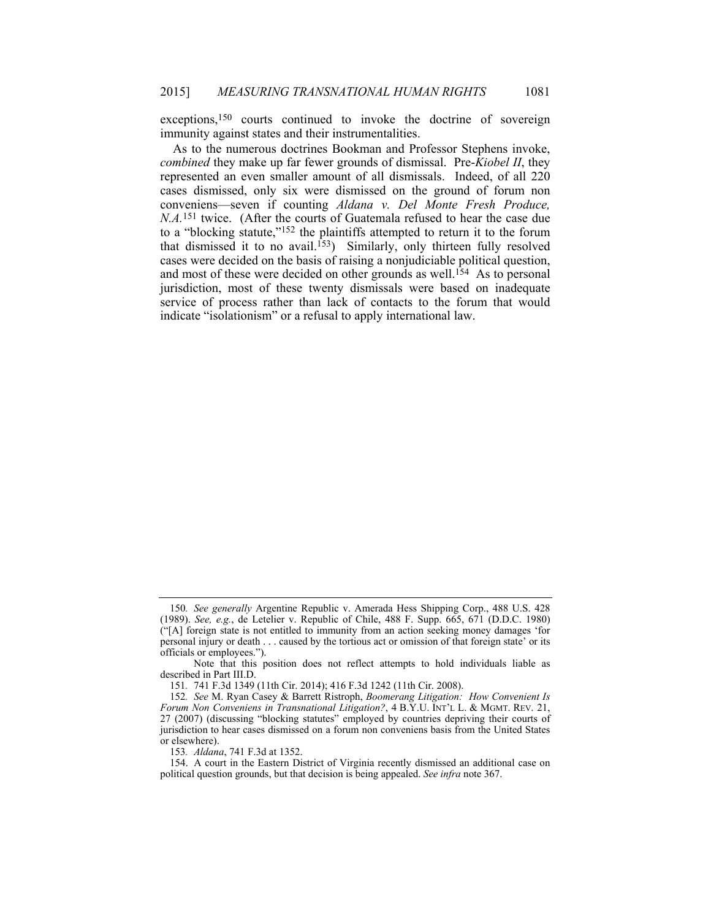exceptions,<sup>150</sup> courts continued to invoke the doctrine of sovereign immunity against states and their instrumentalities.

As to the numerous doctrines Bookman and Professor Stephens invoke, *combined* they make up far fewer grounds of dismissal. Pre-*Kiobel II*, they represented an even smaller amount of all dismissals. Indeed, of all 220 cases dismissed, only six were dismissed on the ground of forum non conveniens—seven if counting *Aldana v. Del Monte Fresh Produce, N.A.*<sup>151</sup> twice. (After the courts of Guatemala refused to hear the case due to a "blocking statute,"152 the plaintiffs attempted to return it to the forum that dismissed it to no avail.153) Similarly, only thirteen fully resolved cases were decided on the basis of raising a nonjudiciable political question, and most of these were decided on other grounds as well.<sup>154</sup> As to personal jurisdiction, most of these twenty dismissals were based on inadequate service of process rather than lack of contacts to the forum that would indicate "isolationism" or a refusal to apply international law.

153*. Aldana*, 741 F.3d at 1352.

<sup>150</sup>*. See generally* Argentine Republic v. Amerada Hess Shipping Corp., 488 U.S. 428 (1989). *See, e.g.*, de Letelier v. Republic of Chile, 488 F. Supp. 665, 671 (D.D.C. 1980) ("[A] foreign state is not entitled to immunity from an action seeking money damages 'for personal injury or death . . . caused by the tortious act or omission of that foreign state' or its officials or employees.").

Note that this position does not reflect attempts to hold individuals liable as described in Part III.D.

<sup>151</sup>*.* 741 F.3d 1349 (11th Cir. 2014); 416 F.3d 1242 (11th Cir. 2008).

<sup>152</sup>*. See* M. Ryan Casey & Barrett Ristroph, *Boomerang Litigation: How Convenient Is Forum Non Conveniens in Transnational Litigation?*, 4 B.Y.U. INT'L L. & MGMT. REV. 21, 27 (2007) (discussing "blocking statutes" employed by countries depriving their courts of jurisdiction to hear cases dismissed on a forum non conveniens basis from the United States or elsewhere).

 <sup>154.</sup> A court in the Eastern District of Virginia recently dismissed an additional case on political question grounds, but that decision is being appealed. *See infra* note 367.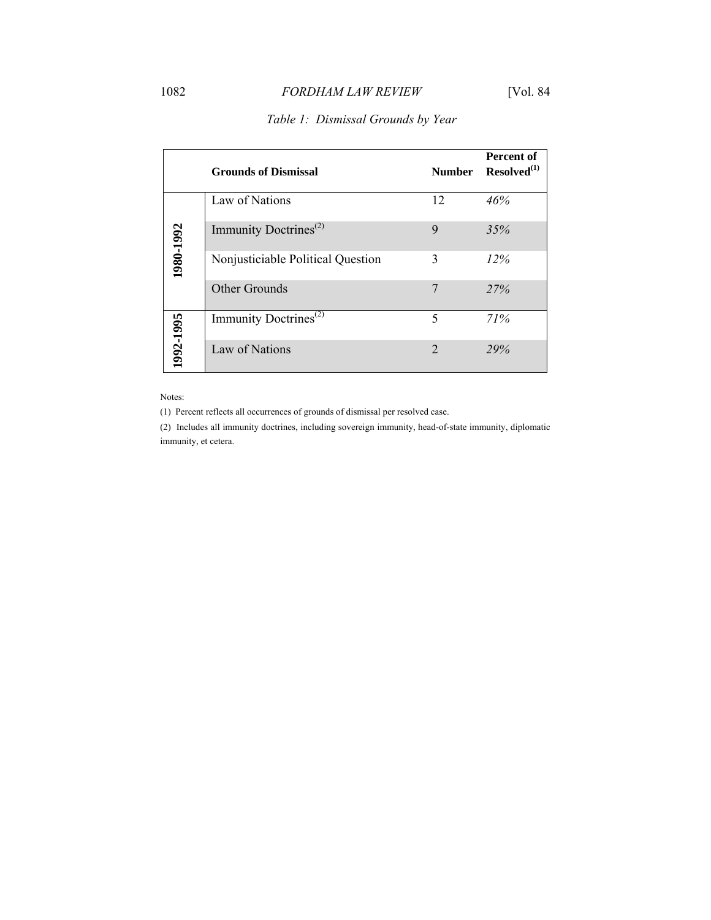# 1082 *FORDHAM LAW REVIEW* [Vol. 84

|           | <b>Grounds of Dismissal</b>       | <b>Number</b>  | Percent of<br>$Resolved^{(1)}$ |
|-----------|-----------------------------------|----------------|--------------------------------|
|           | Law of Nations                    | 12             | 46%                            |
|           | Immunity Doctrines <sup>(2)</sup> | 9              | 35%                            |
| 1980-1992 | Nonjusticiable Political Question | 3              | 12%                            |
|           | <b>Other Grounds</b>              | 7              | 27%                            |
| 1992-1995 | Immunity Doctrines <sup>(2)</sup> | 5              | 71%                            |
|           | Law of Nations                    | $\overline{2}$ | 29%                            |

# *Table 1: Dismissal Grounds by Year*

Notes:

(1) Percent reflects all occurrences of grounds of dismissal per resolved case.

(2) Includes all immunity doctrines, including sovereign immunity, head-of-state immunity, diplomatic immunity, et cetera.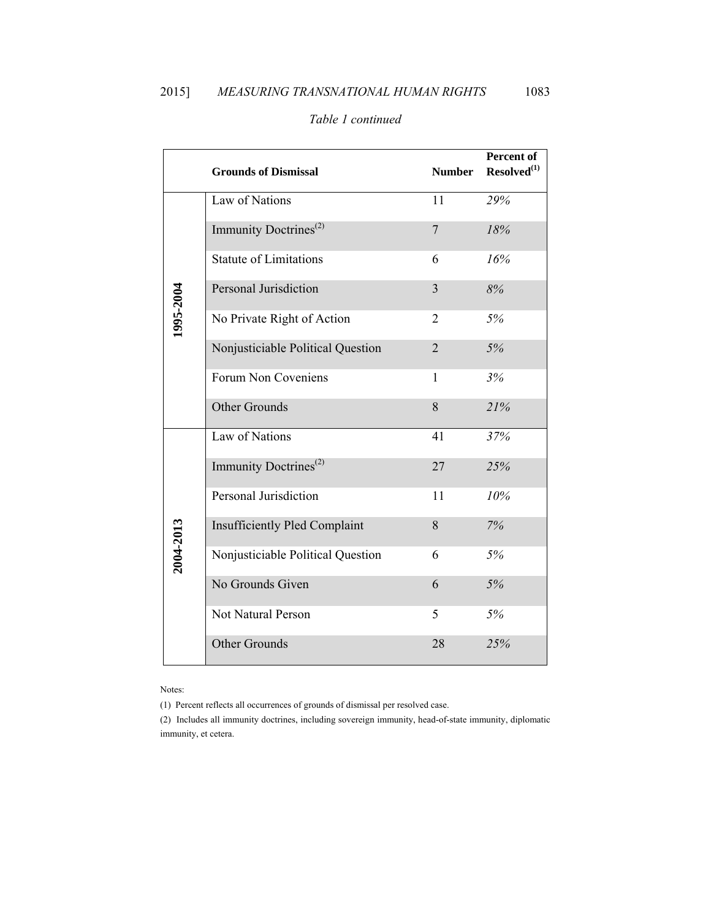|           | <b>Grounds of Dismissal</b>          | <b>Number</b>  | Percent of<br>$Resolved^{(1)}$ |
|-----------|--------------------------------------|----------------|--------------------------------|
|           | Law of Nations                       | 11             | 29%                            |
|           | Immunity Doctrines <sup>(2)</sup>    | $\overline{7}$ | 18%                            |
|           | <b>Statute of Limitations</b>        | 6              | 16%                            |
|           | <b>Personal Jurisdiction</b>         | 3              | 8%                             |
| 1995-2004 | No Private Right of Action           | 2              | 5%                             |
|           | Nonjusticiable Political Question    | $\overline{2}$ | 5%                             |
|           | Forum Non Coveniens                  | 1              | 3%                             |
|           | Other Grounds                        | 8              | 21%                            |
|           | Law of Nations                       | 41             | 37%                            |
|           | Immunity Doctrines <sup>(2)</sup>    | 27             | 25%                            |
| 2004-2013 | Personal Jurisdiction                | 11             | 10%                            |
|           | <b>Insufficiently Pled Complaint</b> | 8              | 7%                             |
|           | Nonjusticiable Political Question    | 6              | 5%                             |
|           | No Grounds Given                     | 6              | 5%                             |
|           | Not Natural Person                   | 5              | 5%                             |
|           | Other Grounds                        | 28             | 25%                            |

# *Table 1 continued*

Notes:

(1) Percent reflects all occurrences of grounds of dismissal per resolved case.

(2) Includes all immunity doctrines, including sovereign immunity, head-of-state immunity, diplomatic immunity, et cetera.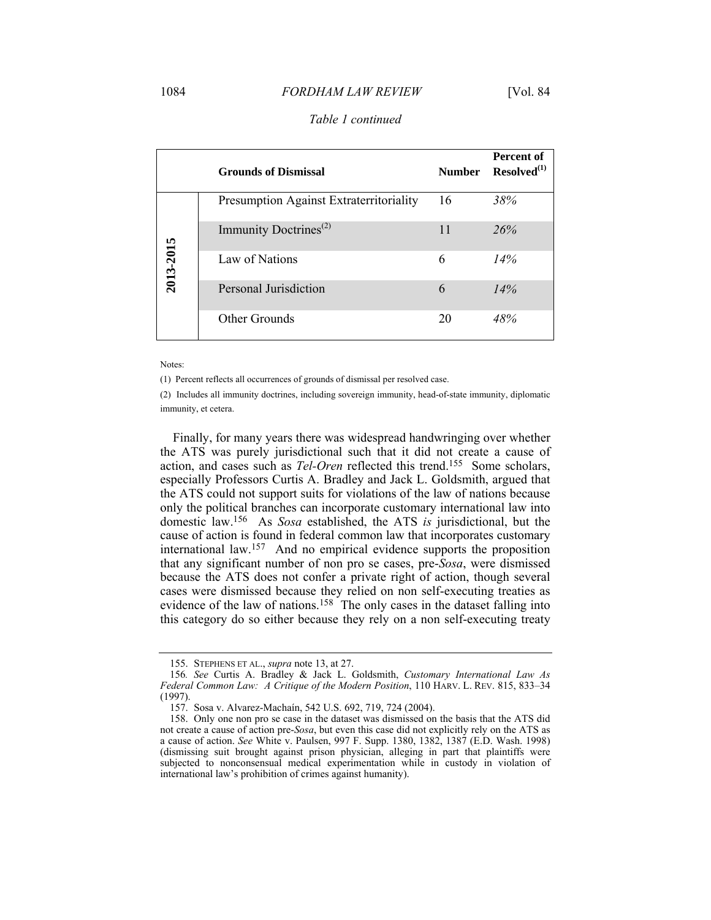### 1084 *FORDHAM LAW REVIEW* [Vol. 84

|           | <b>Grounds of Dismissal</b>             | <b>Number</b> | Percent of<br>$Resolved^{(1)}$ |
|-----------|-----------------------------------------|---------------|--------------------------------|
|           | Presumption Against Extraterritoriality | 16            | 38%                            |
|           | Immunity Doctrines <sup>(2)</sup>       | 11            | 26%                            |
| 2013-2015 | Law of Nations                          | 6             | 14%                            |
|           | Personal Jurisdiction                   | 6             | 14%                            |
|           | Other Grounds                           | 20            | 48%                            |

# *Table 1 continued*

Notes:

(1) Percent reflects all occurrences of grounds of dismissal per resolved case.

(2) Includes all immunity doctrines, including sovereign immunity, head-of-state immunity, diplomatic immunity, et cetera.

Finally, for many years there was widespread handwringing over whether the ATS was purely jurisdictional such that it did not create a cause of action, and cases such as *Tel-Oren* reflected this trend.155 Some scholars, especially Professors Curtis A. Bradley and Jack L. Goldsmith, argued that the ATS could not support suits for violations of the law of nations because only the political branches can incorporate customary international law into domestic law.156 As *Sosa* established, the ATS *is* jurisdictional, but the cause of action is found in federal common law that incorporates customary international law.157 And no empirical evidence supports the proposition that any significant number of non pro se cases, pre-*Sosa*, were dismissed because the ATS does not confer a private right of action, though several cases were dismissed because they relied on non self-executing treaties as evidence of the law of nations.<sup>158</sup> The only cases in the dataset falling into this category do so either because they rely on a non self-executing treaty

 <sup>155.</sup> STEPHENS ET AL., *supra* note 13, at 27.

<sup>156</sup>*. See* Curtis A. Bradley & Jack L. Goldsmith, *Customary International Law As Federal Common Law: A Critique of the Modern Position*, 110 HARV. L. REV. 815, 833–34 (1997).

 <sup>157.</sup> Sosa v. Alvarez-Machaín, 542 U.S. 692, 719, 724 (2004).

 <sup>158.</sup> Only one non pro se case in the dataset was dismissed on the basis that the ATS did not create a cause of action pre-*Sosa*, but even this case did not explicitly rely on the ATS as a cause of action. *See* White v. Paulsen, 997 F. Supp. 1380, 1382, 1387 (E.D. Wash. 1998) (dismissing suit brought against prison physician, alleging in part that plaintiffs were subjected to nonconsensual medical experimentation while in custody in violation of international law's prohibition of crimes against humanity).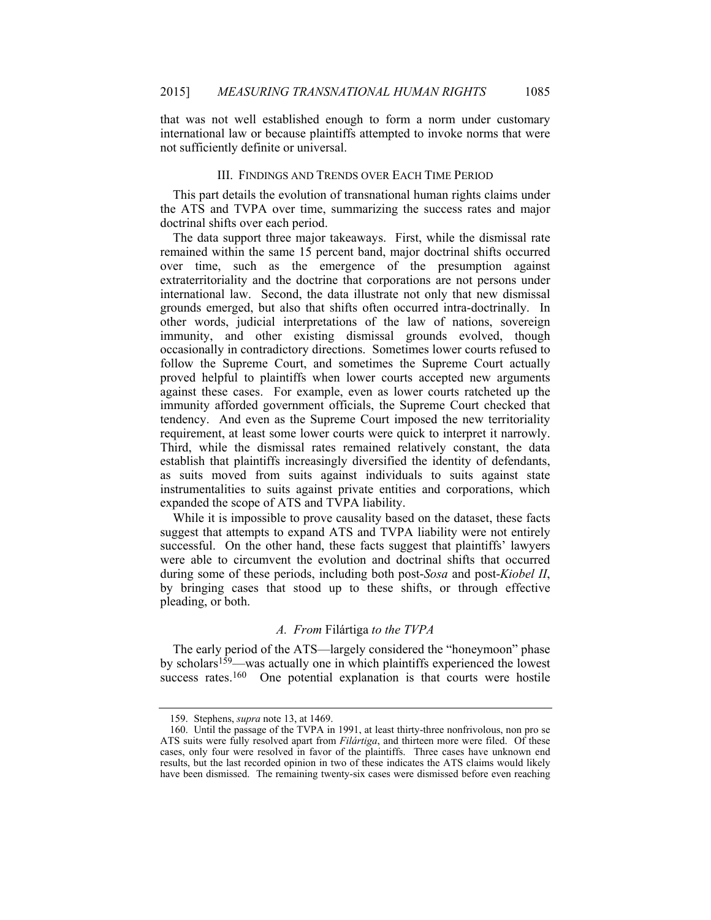that was not well established enough to form a norm under customary international law or because plaintiffs attempted to invoke norms that were not sufficiently definite or universal.

# III. FINDINGS AND TRENDS OVER EACH TIME PERIOD

This part details the evolution of transnational human rights claims under the ATS and TVPA over time, summarizing the success rates and major doctrinal shifts over each period.

The data support three major takeaways. First, while the dismissal rate remained within the same 15 percent band, major doctrinal shifts occurred over time, such as the emergence of the presumption against extraterritoriality and the doctrine that corporations are not persons under international law. Second, the data illustrate not only that new dismissal grounds emerged, but also that shifts often occurred intra-doctrinally. In other words, judicial interpretations of the law of nations, sovereign immunity, and other existing dismissal grounds evolved, though occasionally in contradictory directions. Sometimes lower courts refused to follow the Supreme Court, and sometimes the Supreme Court actually proved helpful to plaintiffs when lower courts accepted new arguments against these cases. For example, even as lower courts ratcheted up the immunity afforded government officials, the Supreme Court checked that tendency. And even as the Supreme Court imposed the new territoriality requirement, at least some lower courts were quick to interpret it narrowly. Third, while the dismissal rates remained relatively constant, the data establish that plaintiffs increasingly diversified the identity of defendants, as suits moved from suits against individuals to suits against state instrumentalities to suits against private entities and corporations, which expanded the scope of ATS and TVPA liability.

While it is impossible to prove causality based on the dataset, these facts suggest that attempts to expand ATS and TVPA liability were not entirely successful. On the other hand, these facts suggest that plaintiffs' lawyers were able to circumvent the evolution and doctrinal shifts that occurred during some of these periods, including both post-*Sosa* and post-*Kiobel II*, by bringing cases that stood up to these shifts, or through effective pleading, or both.

# *A. From* Filártiga *to the TVPA*

The early period of the ATS—largely considered the "honeymoon" phase by scholars<sup>159</sup>—was actually one in which plaintiffs experienced the lowest success rates.<sup>160</sup> One potential explanation is that courts were hostile

 <sup>159.</sup> Stephens, *supra* note 13, at 1469.

 <sup>160.</sup> Until the passage of the TVPA in 1991, at least thirty-three nonfrivolous, non pro se ATS suits were fully resolved apart from *Filártiga*, and thirteen more were filed. Of these cases, only four were resolved in favor of the plaintiffs. Three cases have unknown end results, but the last recorded opinion in two of these indicates the ATS claims would likely have been dismissed. The remaining twenty-six cases were dismissed before even reaching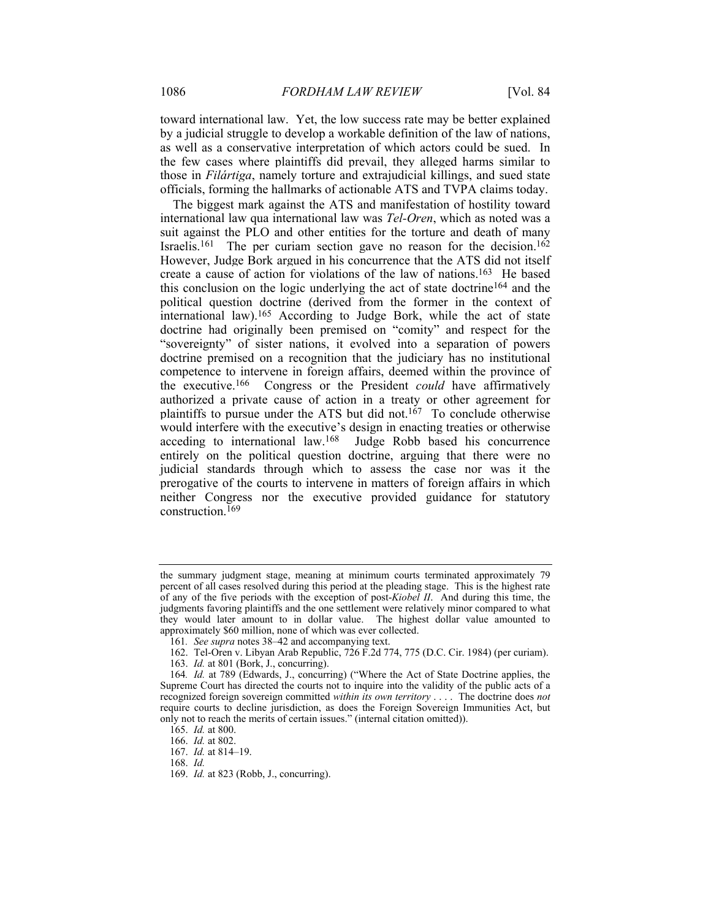toward international law. Yet, the low success rate may be better explained by a judicial struggle to develop a workable definition of the law of nations, as well as a conservative interpretation of which actors could be sued. In the few cases where plaintiffs did prevail, they alleged harms similar to those in *Filártiga*, namely torture and extrajudicial killings, and sued state officials, forming the hallmarks of actionable ATS and TVPA claims today.

The biggest mark against the ATS and manifestation of hostility toward international law qua international law was *Tel-Oren*, which as noted was a suit against the PLO and other entities for the torture and death of many Israelis.<sup>161</sup> The per curiam section gave no reason for the decision.<sup>162</sup> However, Judge Bork argued in his concurrence that the ATS did not itself create a cause of action for violations of the law of nations.163 He based this conclusion on the logic underlying the act of state doctrine164 and the political question doctrine (derived from the former in the context of international law).165 According to Judge Bork, while the act of state doctrine had originally been premised on "comity" and respect for the "sovereignty" of sister nations, it evolved into a separation of powers doctrine premised on a recognition that the judiciary has no institutional competence to intervene in foreign affairs, deemed within the province of the executive.166 Congress or the President *could* have affirmatively authorized a private cause of action in a treaty or other agreement for plaintiffs to pursue under the ATS but did not.<sup>167</sup> To conclude otherwise would interfere with the executive's design in enacting treaties or otherwise acceding to international law.168 Judge Robb based his concurrence entirely on the political question doctrine, arguing that there were no judicial standards through which to assess the case nor was it the prerogative of the courts to intervene in matters of foreign affairs in which neither Congress nor the executive provided guidance for statutory construction.<sup>169</sup>

the summary judgment stage, meaning at minimum courts terminated approximately 79 percent of all cases resolved during this period at the pleading stage. This is the highest rate of any of the five periods with the exception of post-*Kiobel II*. And during this time, the judgments favoring plaintiffs and the one settlement were relatively minor compared to what they would later amount to in dollar value. The highest dollar value amounted to approximately \$60 million, none of which was ever collected.

<sup>161</sup>*. See supra* notes 38–42 and accompanying text.

 <sup>162.</sup> Tel-Oren v. Libyan Arab Republic, 726 F.2d 774, 775 (D.C. Cir. 1984) (per curiam).

 <sup>163.</sup> *Id.* at 801 (Bork, J., concurring).

<sup>164</sup>*. Id.* at 789 (Edwards, J., concurring) ("Where the Act of State Doctrine applies, the Supreme Court has directed the courts not to inquire into the validity of the public acts of a recognized foreign sovereign committed *within its own territory* . . . . The doctrine does *not* require courts to decline jurisdiction, as does the Foreign Sovereign Immunities Act, but only not to reach the merits of certain issues." (internal citation omitted)).

 <sup>165.</sup> *Id.* at 800.

 <sup>166.</sup> *Id.* at 802.

 <sup>167.</sup> *Id.* at 814–19.

 <sup>168.</sup> *Id.*

 <sup>169.</sup> *Id.* at 823 (Robb, J., concurring).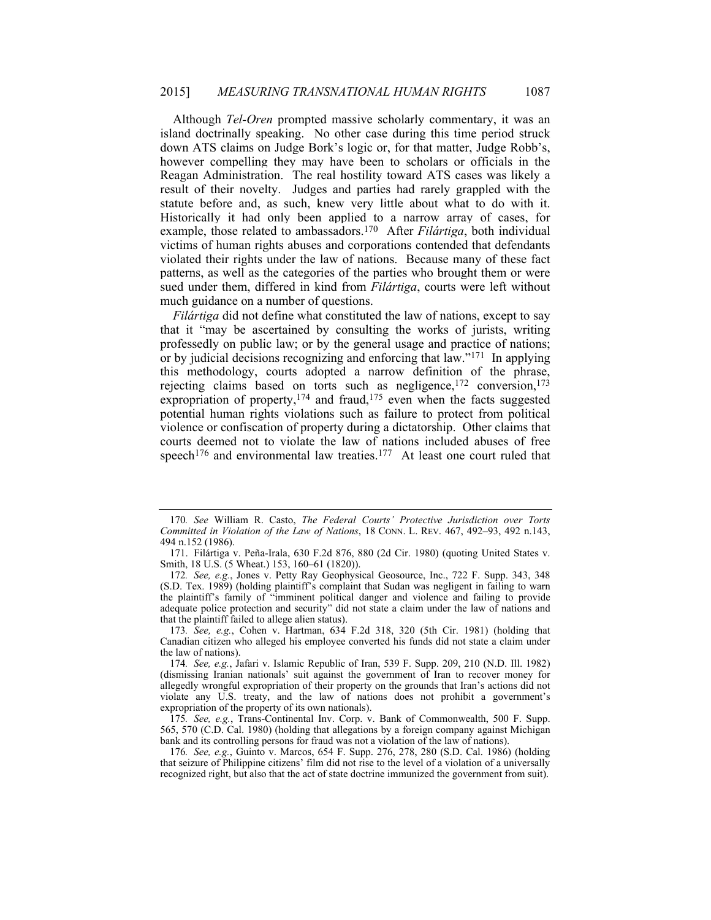Although *Tel-Oren* prompted massive scholarly commentary, it was an island doctrinally speaking. No other case during this time period struck down ATS claims on Judge Bork's logic or, for that matter, Judge Robb's, however compelling they may have been to scholars or officials in the Reagan Administration. The real hostility toward ATS cases was likely a result of their novelty. Judges and parties had rarely grappled with the statute before and, as such, knew very little about what to do with it. Historically it had only been applied to a narrow array of cases, for example, those related to ambassadors.170 After *Filártiga*, both individual victims of human rights abuses and corporations contended that defendants violated their rights under the law of nations. Because many of these fact patterns, as well as the categories of the parties who brought them or were sued under them, differed in kind from *Filártiga*, courts were left without much guidance on a number of questions.

*Filártiga* did not define what constituted the law of nations, except to say that it "may be ascertained by consulting the works of jurists, writing professedly on public law; or by the general usage and practice of nations; or by judicial decisions recognizing and enforcing that law."171 In applying this methodology, courts adopted a narrow definition of the phrase, rejecting claims based on torts such as negligence,<sup>172</sup> conversion,<sup>173</sup> expropriation of property, $174$  and fraud, $175$  even when the facts suggested potential human rights violations such as failure to protect from political violence or confiscation of property during a dictatorship. Other claims that courts deemed not to violate the law of nations included abuses of free speech<sup>176</sup> and environmental law treaties.<sup>177</sup> At least one court ruled that

<sup>170</sup>*. See* William R. Casto, *The Federal Courts' Protective Jurisdiction over Torts Committed in Violation of the Law of Nations*, 18 CONN. L. REV. 467, 492–93, 492 n.143, 494 n.152 (1986).

 <sup>171.</sup> Filártiga v. Peña-Irala, 630 F.2d 876, 880 (2d Cir. 1980) (quoting United States v. Smith, 18 U.S. (5 Wheat.) 153, 160–61 (1820)).

<sup>172</sup>*. See, e.g.*, Jones v. Petty Ray Geophysical Geosource, Inc., 722 F. Supp. 343, 348 (S.D. Tex. 1989) (holding plaintiff's complaint that Sudan was negligent in failing to warn the plaintiff's family of "imminent political danger and violence and failing to provide adequate police protection and security" did not state a claim under the law of nations and that the plaintiff failed to allege alien status).

<sup>173</sup>*. See, e.g.*, Cohen v. Hartman, 634 F.2d 318, 320 (5th Cir. 1981) (holding that Canadian citizen who alleged his employee converted his funds did not state a claim under the law of nations).

<sup>174</sup>*. See, e.g.*, Jafari v. Islamic Republic of Iran, 539 F. Supp. 209, 210 (N.D. Ill. 1982) (dismissing Iranian nationals' suit against the government of Iran to recover money for allegedly wrongful expropriation of their property on the grounds that Iran's actions did not violate any U.S. treaty, and the law of nations does not prohibit a government's expropriation of the property of its own nationals).

<sup>175</sup>*. See, e.g.*, Trans-Continental Inv. Corp. v. Bank of Commonwealth, 500 F. Supp. 565, 570 (C.D. Cal. 1980) (holding that allegations by a foreign company against Michigan bank and its controlling persons for fraud was not a violation of the law of nations).

<sup>176</sup>*. See, e.g.*, Guinto v. Marcos, 654 F. Supp. 276, 278, 280 (S.D. Cal. 1986) (holding that seizure of Philippine citizens' film did not rise to the level of a violation of a universally recognized right, but also that the act of state doctrine immunized the government from suit).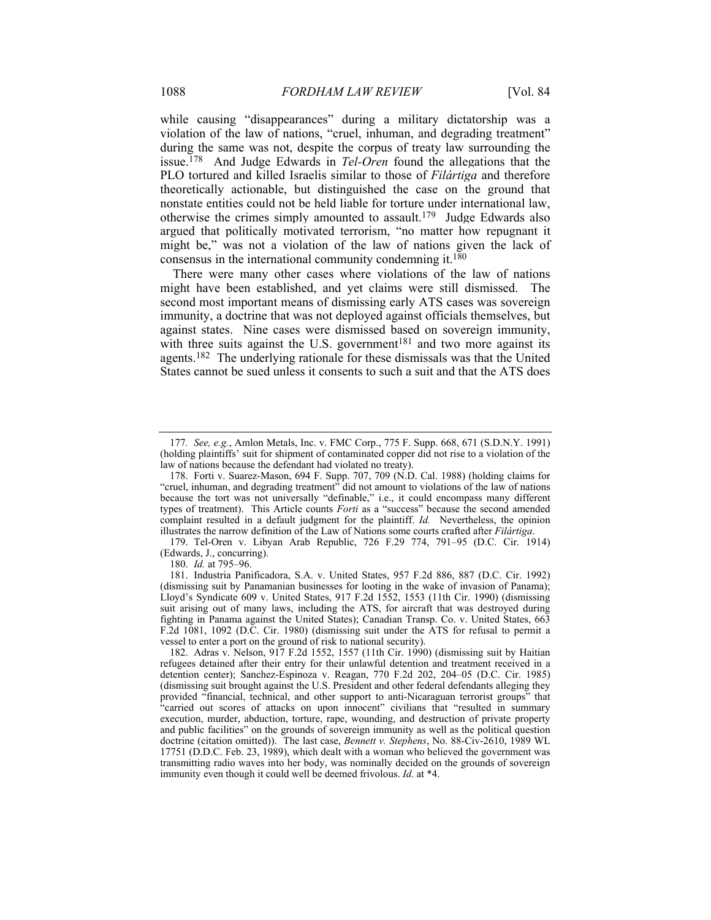while causing "disappearances" during a military dictatorship was a violation of the law of nations, "cruel, inhuman, and degrading treatment" during the same was not, despite the corpus of treaty law surrounding the issue.178 And Judge Edwards in *Tel-Oren* found the allegations that the PLO tortured and killed Israelis similar to those of *Filártiga* and therefore theoretically actionable, but distinguished the case on the ground that nonstate entities could not be held liable for torture under international law, otherwise the crimes simply amounted to assault.179 Judge Edwards also argued that politically motivated terrorism, "no matter how repugnant it might be," was not a violation of the law of nations given the lack of consensus in the international community condemning it.180

There were many other cases where violations of the law of nations might have been established, and yet claims were still dismissed. The second most important means of dismissing early ATS cases was sovereign immunity, a doctrine that was not deployed against officials themselves, but against states. Nine cases were dismissed based on sovereign immunity, with three suits against the U.S. government<sup>181</sup> and two more against its agents.182 The underlying rationale for these dismissals was that the United States cannot be sued unless it consents to such a suit and that the ATS does

 179. Tel-Oren v. Libyan Arab Republic, 726 F.29 774, 791–95 (D.C. Cir. 1914) (Edwards, J., concurring).

180. *Id.* at 795–96.

<sup>177</sup>*. See, e.g.*, Amlon Metals, Inc. v. FMC Corp., 775 F. Supp. 668, 671 (S.D.N.Y. 1991) (holding plaintiffs' suit for shipment of contaminated copper did not rise to a violation of the law of nations because the defendant had violated no treaty).

 <sup>178.</sup> Forti v. Suarez-Mason, 694 F. Supp. 707, 709 (N.D. Cal. 1988) (holding claims for "cruel, inhuman, and degrading treatment" did not amount to violations of the law of nations because the tort was not universally "definable," i.e., it could encompass many different types of treatment). This Article counts *Forti* as a "success" because the second amended complaint resulted in a default judgment for the plaintiff. *Id.* Nevertheless, the opinion illustrates the narrow definition of the Law of Nations some courts crafted after *Filártiga*.

 <sup>181.</sup> Industria Panificadora, S.A. v. United States, 957 F.2d 886, 887 (D.C. Cir. 1992) (dismissing suit by Panamanian businesses for looting in the wake of invasion of Panama); Lloyd's Syndicate 609 v. United States, 917 F.2d 1552, 1553 (11th Cir. 1990) (dismissing suit arising out of many laws, including the ATS, for aircraft that was destroyed during fighting in Panama against the United States); Canadian Transp. Co. v. United States, 663 F.2d 1081, 1092 (D.C. Cir. 1980) (dismissing suit under the ATS for refusal to permit a vessel to enter a port on the ground of risk to national security).

 <sup>182.</sup> Adras v. Nelson, 917 F.2d 1552, 1557 (11th Cir. 1990) (dismissing suit by Haitian refugees detained after their entry for their unlawful detention and treatment received in a detention center); Sanchez-Espinoza v. Reagan, 770 F.2d 202, 204–05 (D.C. Cir. 1985) (dismissing suit brought against the U.S. President and other federal defendants alleging they provided "financial, technical, and other support to anti-Nicaraguan terrorist groups" that "carried out scores of attacks on upon innocent" civilians that "resulted in summary execution, murder, abduction, torture, rape, wounding, and destruction of private property and public facilities" on the grounds of sovereign immunity as well as the political question doctrine (citation omitted)). The last case, *Bennett v. Stephens*, No. 88-Civ-2610, 1989 WL 17751 (D.D.C. Feb. 23, 1989), which dealt with a woman who believed the government was transmitting radio waves into her body, was nominally decided on the grounds of sovereign immunity even though it could well be deemed frivolous. *Id.* at \*4.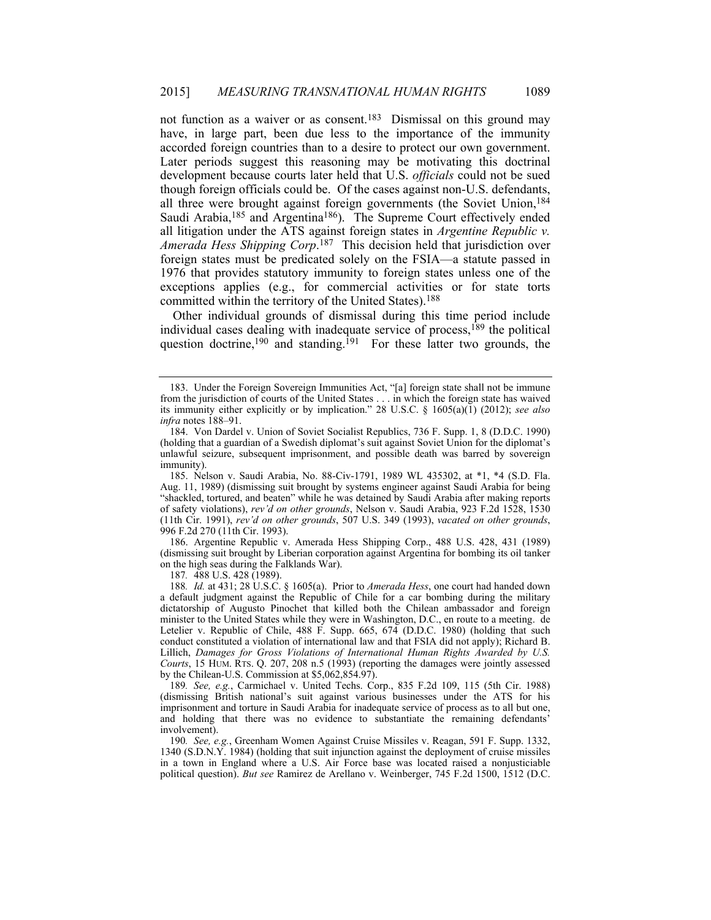not function as a waiver or as consent.183 Dismissal on this ground may have, in large part, been due less to the importance of the immunity accorded foreign countries than to a desire to protect our own government. Later periods suggest this reasoning may be motivating this doctrinal development because courts later held that U.S. *officials* could not be sued though foreign officials could be. Of the cases against non-U.S. defendants, all three were brought against foreign governments (the Soviet Union,<sup>184</sup> Saudi Arabia,<sup>185</sup> and Argentina<sup>186</sup>). The Supreme Court effectively ended all litigation under the ATS against foreign states in *Argentine Republic v. Amerada Hess Shipping Corp*. 187 This decision held that jurisdiction over foreign states must be predicated solely on the FSIA—a statute passed in 1976 that provides statutory immunity to foreign states unless one of the exceptions applies (e.g., for commercial activities or for state torts committed within the territory of the United States).188

Other individual grounds of dismissal during this time period include individual cases dealing with inadequate service of process, $189$  the political question doctrine,<sup>190</sup> and standing.<sup>191</sup> For these latter two grounds, the

187*.* 488 U.S. 428 (1989).

 <sup>183.</sup> Under the Foreign Sovereign Immunities Act, "[a] foreign state shall not be immune from the jurisdiction of courts of the United States . . . in which the foreign state has waived its immunity either explicitly or by implication." 28 U.S.C. § 1605(a)(1) (2012); *see also infra* notes 188–91.

 <sup>184.</sup> Von Dardel v. Union of Soviet Socialist Republics, 736 F. Supp. 1, 8 (D.D.C. 1990) (holding that a guardian of a Swedish diplomat's suit against Soviet Union for the diplomat's unlawful seizure, subsequent imprisonment, and possible death was barred by sovereign immunity).

 <sup>185.</sup> Nelson v. Saudi Arabia, No. 88-Civ-1791, 1989 WL 435302, at \*1, \*4 (S.D. Fla. Aug. 11, 1989) (dismissing suit brought by systems engineer against Saudi Arabia for being "shackled, tortured, and beaten" while he was detained by Saudi Arabia after making reports of safety violations), *rev'd on other grounds*, Nelson v. Saudi Arabia, 923 F.2d 1528, 1530 (11th Cir. 1991), *rev'd on other grounds*, 507 U.S. 349 (1993), *vacated on other grounds*, 996 F.2d 270 (11th Cir. 1993).

 <sup>186.</sup> Argentine Republic v. Amerada Hess Shipping Corp., 488 U.S. 428, 431 (1989) (dismissing suit brought by Liberian corporation against Argentina for bombing its oil tanker on the high seas during the Falklands War).

<sup>188</sup>*. Id.* at 431; 28 U.S.C. § 1605(a). Prior to *Amerada Hess*, one court had handed down a default judgment against the Republic of Chile for a car bombing during the military dictatorship of Augusto Pinochet that killed both the Chilean ambassador and foreign minister to the United States while they were in Washington, D.C., en route to a meeting. de Letelier v. Republic of Chile, 488 F. Supp. 665, 674 (D.D.C. 1980) (holding that such conduct constituted a violation of international law and that FSIA did not apply); Richard B. Lillich, *Damages for Gross Violations of International Human Rights Awarded by U.S.*  Courts, 15 HUM. RTS. Q. 207, 208 n.5 (1993) (reporting the damages were jointly assessed by the Chilean-U.S. Commission at \$5,062,854.97).

<sup>189</sup>*. See, e.g.*, Carmichael v. United Techs. Corp., 835 F.2d 109, 115 (5th Cir. 1988) (dismissing British national's suit against various businesses under the ATS for his imprisonment and torture in Saudi Arabia for inadequate service of process as to all but one, and holding that there was no evidence to substantiate the remaining defendants' involvement).

<sup>190</sup>*. See, e.g.*, Greenham Women Against Cruise Missiles v. Reagan, 591 F. Supp. 1332, 1340 (S.D.N.Y. 1984) (holding that suit injunction against the deployment of cruise missiles in a town in England where a U.S. Air Force base was located raised a nonjusticiable political question). *But see* Ramirez de Arellano v. Weinberger, 745 F.2d 1500, 1512 (D.C.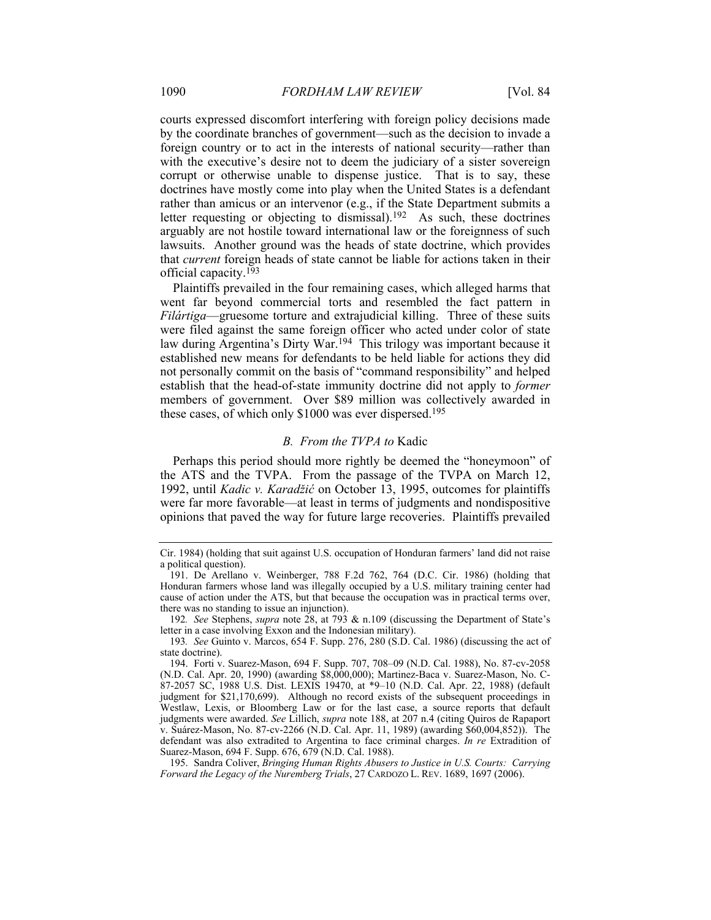courts expressed discomfort interfering with foreign policy decisions made by the coordinate branches of government—such as the decision to invade a foreign country or to act in the interests of national security—rather than with the executive's desire not to deem the judiciary of a sister sovereign corrupt or otherwise unable to dispense justice. That is to say, these doctrines have mostly come into play when the United States is a defendant rather than amicus or an intervenor (e.g., if the State Department submits a letter requesting or objecting to dismissal).192 As such, these doctrines arguably are not hostile toward international law or the foreignness of such lawsuits. Another ground was the heads of state doctrine, which provides that *current* foreign heads of state cannot be liable for actions taken in their official capacity.193

Plaintiffs prevailed in the four remaining cases, which alleged harms that went far beyond commercial torts and resembled the fact pattern in *Filártiga*—gruesome torture and extrajudicial killing. Three of these suits were filed against the same foreign officer who acted under color of state law during Argentina's Dirty War.<sup>194</sup> This trilogy was important because it established new means for defendants to be held liable for actions they did not personally commit on the basis of "command responsibility" and helped establish that the head-of-state immunity doctrine did not apply to *former* members of government. Over \$89 million was collectively awarded in these cases, of which only \$1000 was ever dispersed.<sup>195</sup>

### *B. From the TVPA to* Kadic

Perhaps this period should more rightly be deemed the "honeymoon" of the ATS and the TVPA. From the passage of the TVPA on March 12, 1992, until *Kadic v. Karadžić* on October 13, 1995, outcomes for plaintiffs were far more favorable—at least in terms of judgments and nondispositive opinions that paved the way for future large recoveries. Plaintiffs prevailed

Cir. 1984) (holding that suit against U.S. occupation of Honduran farmers' land did not raise a political question).

 <sup>191.</sup> De Arellano v. Weinberger, 788 F.2d 762, 764 (D.C. Cir. 1986) (holding that Honduran farmers whose land was illegally occupied by a U.S. military training center had cause of action under the ATS, but that because the occupation was in practical terms over, there was no standing to issue an injunction).

<sup>192</sup>*. See* Stephens, *supra* note 28, at 793 & n.109 (discussing the Department of State's letter in a case involving Exxon and the Indonesian military).

<sup>193</sup>*. See* Guinto v. Marcos, 654 F. Supp. 276, 280 (S.D. Cal. 1986) (discussing the act of state doctrine).

 <sup>194.</sup> Forti v. Suarez-Mason, 694 F. Supp. 707, 708–09 (N.D. Cal. 1988), No. 87-cv-2058 (N.D. Cal. Apr. 20, 1990) (awarding \$8,000,000); Martinez-Baca v. Suarez-Mason, No. C-87-2057 SC, 1988 U.S. Dist. LEXIS 19470, at \*9–10 (N.D. Cal. Apr. 22, 1988) (default judgment for \$21,170,699). Although no record exists of the subsequent proceedings in Westlaw, Lexis, or Bloomberg Law or for the last case, a source reports that default judgments were awarded. *See* Lillich, *supra* note 188, at 207 n.4 (citing Quiros de Rapaport v. Suárez-Mason, No. 87-cv-2266 (N.D. Cal. Apr. 11, 1989) (awarding \$60,004,852)). The defendant was also extradited to Argentina to face criminal charges. *In re* Extradition of Suarez-Mason, 694 F. Supp. 676, 679 (N.D. Cal. 1988).

 <sup>195.</sup> Sandra Coliver, *Bringing Human Rights Abusers to Justice in U.S. Courts: Carrying Forward the Legacy of the Nuremberg Trials*, 27 CARDOZO L. REV. 1689, 1697 (2006).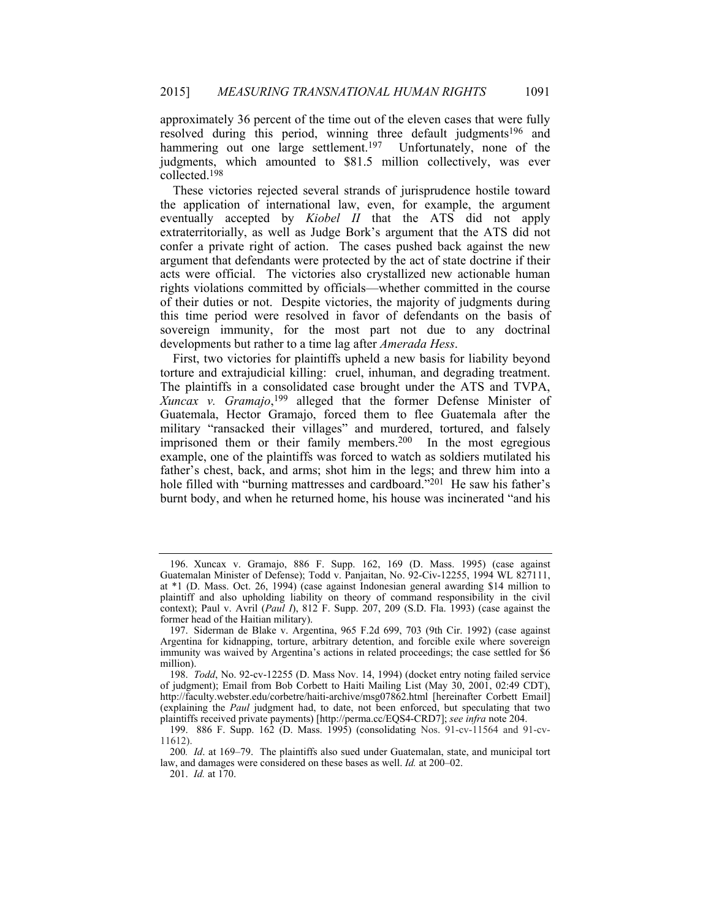approximately 36 percent of the time out of the eleven cases that were fully resolved during this period, winning three default judgments<sup>196</sup> and hammering out one large settlement.<sup>197</sup> Unfortunately, none of the judgments, which amounted to \$81.5 million collectively, was ever collected.198

These victories rejected several strands of jurisprudence hostile toward the application of international law, even, for example, the argument eventually accepted by *Kiobel II* that the ATS did not apply extraterritorially, as well as Judge Bork's argument that the ATS did not confer a private right of action. The cases pushed back against the new argument that defendants were protected by the act of state doctrine if their acts were official. The victories also crystallized new actionable human rights violations committed by officials—whether committed in the course of their duties or not. Despite victories, the majority of judgments during this time period were resolved in favor of defendants on the basis of sovereign immunity, for the most part not due to any doctrinal developments but rather to a time lag after *Amerada Hess*.

First, two victories for plaintiffs upheld a new basis for liability beyond torture and extrajudicial killing: cruel, inhuman, and degrading treatment. The plaintiffs in a consolidated case brought under the ATS and TVPA, *Xuncax v. Gramajo*, 199 alleged that the former Defense Minister of Guatemala, Hector Gramajo, forced them to flee Guatemala after the military "ransacked their villages" and murdered, tortured, and falsely imprisoned them or their family members.200 In the most egregious example, one of the plaintiffs was forced to watch as soldiers mutilated his father's chest, back, and arms; shot him in the legs; and threw him into a hole filled with "burning mattresses and cardboard."<sup>201</sup> He saw his father's burnt body, and when he returned home, his house was incinerated "and his

 <sup>196.</sup> Xuncax v. Gramajo, 886 F. Supp. 162, 169 (D. Mass. 1995) (case against Guatemalan Minister of Defense); Todd v. Panjaitan, No. 92-Civ-12255, 1994 WL 827111, at \*1 (D. Mass. Oct. 26, 1994) (case against Indonesian general awarding \$14 million to plaintiff and also upholding liability on theory of command responsibility in the civil context); Paul v. Avril (*Paul I*), 812 F. Supp. 207, 209 (S.D. Fla. 1993) (case against the former head of the Haitian military).

 <sup>197.</sup> Siderman de Blake v. Argentina, 965 F.2d 699, 703 (9th Cir. 1992) (case against Argentina for kidnapping, torture, arbitrary detention, and forcible exile where sovereign immunity was waived by Argentina's actions in related proceedings; the case settled for \$6 million).

 <sup>198.</sup> *Todd*, No. 92-cv-12255 (D. Mass Nov. 14, 1994) (docket entry noting failed service of judgment); Email from Bob Corbett to Haiti Mailing List (May 30, 2001, 02:49 CDT), http://faculty.webster.edu/corbetre/haiti-archive/msg07862.html [hereinafter Corbett Email] (explaining the *Paul* judgment had, to date, not been enforced, but speculating that two plaintiffs received private payments) [http://perma.cc/EQS4-CRD7]; *see infra* note 204.

 <sup>199. 886</sup> F. Supp. 162 (D. Mass. 1995) (consolidating Nos. 91-cv-11564 and 91-cv-11612).

<sup>200</sup>*. Id*. at 169–79. The plaintiffs also sued under Guatemalan, state, and municipal tort law, and damages were considered on these bases as well. *Id.* at 200–02.

 <sup>201.</sup> *Id.* at 170.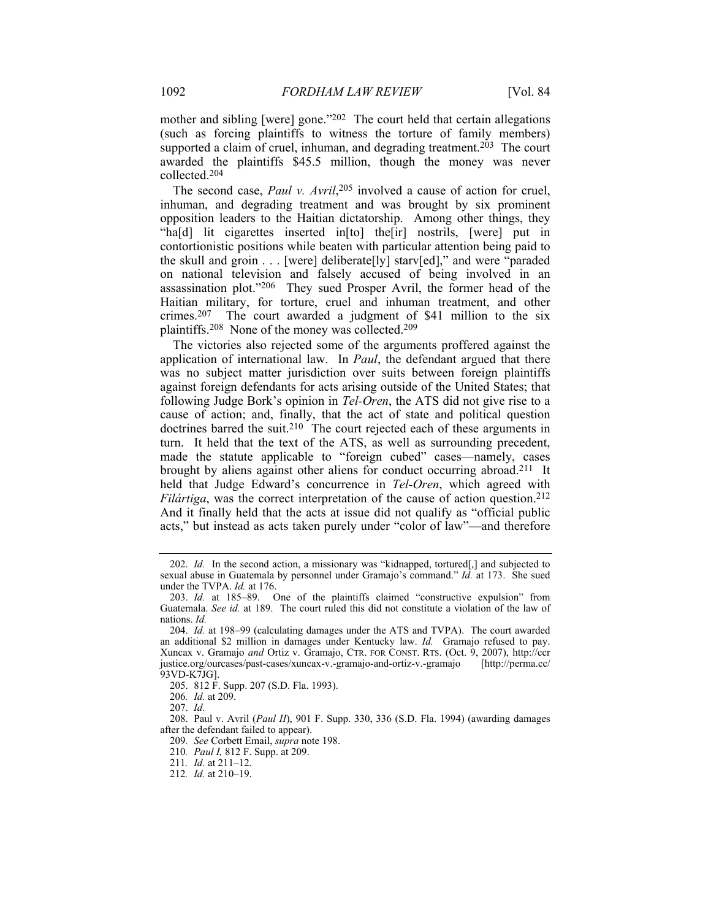mother and sibling [were] gone."<sup>202</sup> The court held that certain allegations (such as forcing plaintiffs to witness the torture of family members) supported a claim of cruel, inhuman, and degrading treatment.<sup>203</sup> The court awarded the plaintiffs \$45.5 million, though the money was never collected.204

The second case, *Paul v. Avril*, 205 involved a cause of action for cruel, inhuman, and degrading treatment and was brought by six prominent opposition leaders to the Haitian dictatorship. Among other things, they "ha[d] lit cigarettes inserted in[to] the[ir] nostrils, [were] put in contortionistic positions while beaten with particular attention being paid to the skull and groin  $\ldots$  [were] deliberate[ly] starv[ed]," and were "paraded on national television and falsely accused of being involved in an assassination plot."206 They sued Prosper Avril, the former head of the Haitian military, for torture, cruel and inhuman treatment, and other crimes.207 The court awarded a judgment of \$41 million to the six plaintiffs.208 None of the money was collected.209

The victories also rejected some of the arguments proffered against the application of international law. In *Paul*, the defendant argued that there was no subject matter jurisdiction over suits between foreign plaintiffs against foreign defendants for acts arising outside of the United States; that following Judge Bork's opinion in *Tel-Oren*, the ATS did not give rise to a cause of action; and, finally, that the act of state and political question doctrines barred the suit.<sup>210</sup> The court rejected each of these arguments in turn. It held that the text of the ATS, as well as surrounding precedent, made the statute applicable to "foreign cubed" cases—namely, cases brought by aliens against other aliens for conduct occurring abroad.211 It held that Judge Edward's concurrence in *Tel-Oren*, which agreed with *Filártiga*, was the correct interpretation of the cause of action question.<sup>212</sup> And it finally held that the acts at issue did not qualify as "official public acts," but instead as acts taken purely under "color of law"—and therefore

209*. See* Corbett Email, *supra* note 198.

 <sup>202.</sup> *Id.* In the second action, a missionary was "kidnapped, tortured[,] and subjected to sexual abuse in Guatemala by personnel under Gramajo's command." *Id.* at 173. She sued under the TVPA. *Id.* at 176.

 <sup>203.</sup> *Id.* at 185–89. One of the plaintiffs claimed "constructive expulsion" from Guatemala. *See id.* at 189. The court ruled this did not constitute a violation of the law of nations. *Id.*

 <sup>204.</sup> *Id.* at 198–99 (calculating damages under the ATS and TVPA). The court awarded an additional \$2 million in damages under Kentucky law. *Id.* Gramajo refused to pay. Xuncax v. Gramajo *and* Ortiz v. Gramajo, CTR. FOR CONST. RTS. (Oct. 9, 2007), http://ccr justice.org/ourcases/past-cases/xuncax-v.-gramajo-and-ortiz-v.-gramajo [http://perma.cc/ 93VD-K7JG].

 <sup>205. 812</sup> F. Supp. 207 (S.D. Fla. 1993).

<sup>206</sup>*. Id.* at 209.

 <sup>207.</sup> *Id.* 

 <sup>208.</sup> Paul v. Avril (*Paul II*), 901 F. Supp. 330, 336 (S.D. Fla. 1994) (awarding damages after the defendant failed to appear).

<sup>210</sup>*. Paul I,* 812 F. Supp. at 209.

<sup>211</sup>*. Id.* at 211–12.

<sup>212</sup>*. Id.* at 210–19.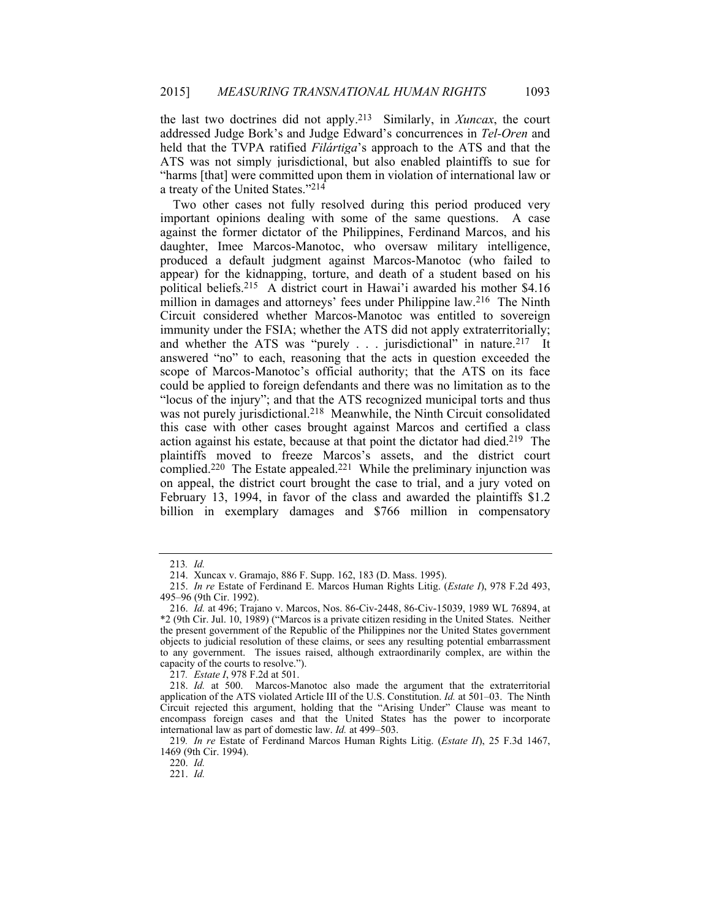the last two doctrines did not apply.213 Similarly, in *Xuncax*, the court addressed Judge Bork's and Judge Edward's concurrences in *Tel-Oren* and held that the TVPA ratified *Filártiga*'s approach to the ATS and that the ATS was not simply jurisdictional, but also enabled plaintiffs to sue for "harms [that] were committed upon them in violation of international law or a treaty of the United States."214

Two other cases not fully resolved during this period produced very important opinions dealing with some of the same questions. A case against the former dictator of the Philippines, Ferdinand Marcos, and his daughter, Imee Marcos-Manotoc, who oversaw military intelligence, produced a default judgment against Marcos-Manotoc (who failed to appear) for the kidnapping, torture, and death of a student based on his political beliefs.215 A district court in Hawai'i awarded his mother \$4.16 million in damages and attorneys' fees under Philippine law.<sup>216</sup> The Ninth Circuit considered whether Marcos-Manotoc was entitled to sovereign immunity under the FSIA; whether the ATS did not apply extraterritorially; and whether the ATS was "purely . . . jurisdictional" in nature.<sup>217</sup> It answered "no" to each, reasoning that the acts in question exceeded the scope of Marcos-Manotoc's official authority; that the ATS on its face could be applied to foreign defendants and there was no limitation as to the "locus of the injury"; and that the ATS recognized municipal torts and thus was not purely jurisdictional.<sup>218</sup> Meanwhile, the Ninth Circuit consolidated this case with other cases brought against Marcos and certified a class action against his estate, because at that point the dictator had died.<sup>219</sup> The plaintiffs moved to freeze Marcos's assets, and the district court complied.<sup>220</sup> The Estate appealed.<sup>221</sup> While the preliminary injunction was on appeal, the district court brought the case to trial, and a jury voted on February 13, 1994, in favor of the class and awarded the plaintiffs \$1.2 billion in exemplary damages and \$766 million in compensatory

217*. Estate I*, 978 F.2d at 501.

<sup>213</sup>*. Id.*

 <sup>214.</sup> Xuncax v. Gramajo, 886 F. Supp. 162, 183 (D. Mass. 1995).

 <sup>215.</sup> *In re* Estate of Ferdinand E. Marcos Human Rights Litig. (*Estate I*), 978 F.2d 493, 495–96 (9th Cir. 1992).

 <sup>216.</sup> *Id.* at 496; Trajano v. Marcos, Nos. 86-Civ-2448, 86-Civ-15039, 1989 WL 76894, at \*2 (9th Cir. Jul. 10, 1989) ("Marcos is a private citizen residing in the United States. Neither the present government of the Republic of the Philippines nor the United States government objects to judicial resolution of these claims, or sees any resulting potential embarrassment to any government. The issues raised, although extraordinarily complex, are within the capacity of the courts to resolve.").

 <sup>218.</sup> *Id.* at 500. Marcos-Manotoc also made the argument that the extraterritorial application of the ATS violated Article III of the U.S. Constitution. *Id.* at 501–03. The Ninth Circuit rejected this argument, holding that the "Arising Under" Clause was meant to encompass foreign cases and that the United States has the power to incorporate international law as part of domestic law. *Id.* at 499–503.

<sup>219</sup>*. In re* Estate of Ferdinand Marcos Human Rights Litig. (*Estate II*), 25 F.3d 1467, 1469 (9th Cir. 1994).

 <sup>220.</sup> *Id.*

 <sup>221.</sup> *Id.*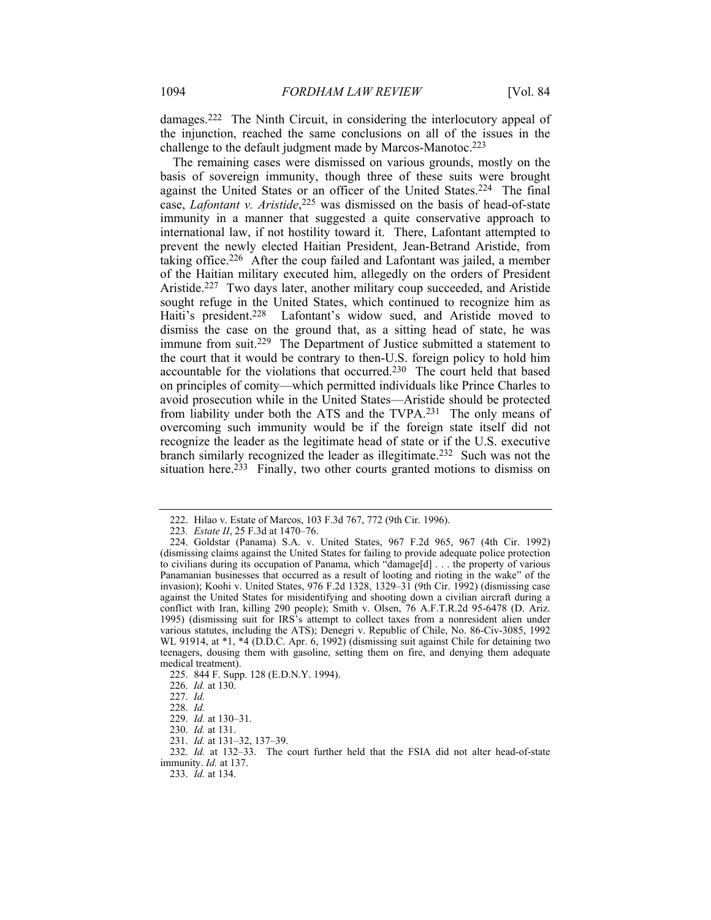damages.222 The Ninth Circuit, in considering the interlocutory appeal of the injunction, reached the same conclusions on all of the issues in the challenge to the default judgment made by Marcos-Manotoc.223

The remaining cases were dismissed on various grounds, mostly on the basis of sovereign immunity, though three of these suits were brought against the United States or an officer of the United States.224 The final case, *Lafontant v. Aristide*, 225 was dismissed on the basis of head-of-state immunity in a manner that suggested a quite conservative approach to international law, if not hostility toward it. There, Lafontant attempted to prevent the newly elected Haitian President, Jean-Betrand Aristide, from taking office.226 After the coup failed and Lafontant was jailed, a member of the Haitian military executed him, allegedly on the orders of President Aristide.227 Two days later, another military coup succeeded, and Aristide sought refuge in the United States, which continued to recognize him as Haiti's president.<sup>228</sup> Lafontant's widow sued, and Aristide moved to dismiss the case on the ground that, as a sitting head of state, he was immune from suit.<sup>229</sup> The Department of Justice submitted a statement to the court that it would be contrary to then-U.S. foreign policy to hold him accountable for the violations that occurred.230 The court held that based on principles of comity—which permitted individuals like Prince Charles to avoid prosecution while in the United States—Aristide should be protected from liability under both the ATS and the TVPA.231 The only means of overcoming such immunity would be if the foreign state itself did not recognize the leader as the legitimate head of state or if the U.S. executive branch similarly recognized the leader as illegitimate.232 Such was not the situation here.<sup>233</sup> Finally, two other courts granted motions to dismiss on

 <sup>222.</sup> Hilao v. Estate of Marcos, 103 F.3d 767, 772 (9th Cir. 1996).

<sup>223</sup>*. Estate II*, 25 F.3d at 1470–76.

 <sup>224.</sup> Goldstar (Panama) S.A. v. United States, 967 F.2d 965, 967 (4th Cir. 1992) (dismissing claims against the United States for failing to provide adequate police protection to civilians during its occupation of Panama, which "damage[d] . . . the property of various Panamanian businesses that occurred as a result of looting and rioting in the wake" of the invasion); Koohi v. United States, 976 F.2d 1328, 1329–31 (9th Cir. 1992) (dismissing case against the United States for misidentifying and shooting down a civilian aircraft during a conflict with Iran, killing 290 people); Smith v. Olsen, 76 A.F.T.R.2d 95-6478 (D. Ariz. 1995) (dismissing suit for IRS's attempt to collect taxes from a nonresident alien under various statutes, including the ATS); Denegri v. Republic of Chile, No. 86-Civ-3085, 1992 WL 91914, at  $*1$ ,  $*4$  (D.D.C. Apr. 6, 1992) (dismissing suit against Chile for detaining two teenagers, dousing them with gasoline, setting them on fire, and denying them adequate medical treatment).

 <sup>225. 844</sup> F. Supp. 128 (E.D.N.Y. 1994).

 <sup>226.</sup> *Id.* at 130.

 <sup>227.</sup> *Id.*

 <sup>228.</sup> *Id.*

 <sup>229.</sup> *Id.* at 130–31.

 <sup>230.</sup> *Id.* at 131.

 <sup>231.</sup> *Id.* at 131–32, 137–39.

 <sup>232.</sup> *Id.* at 132–33. The court further held that the FSIA did not alter head-of-state immunity. *Id.* at 137.

 <sup>233.</sup> *Id.* at 134.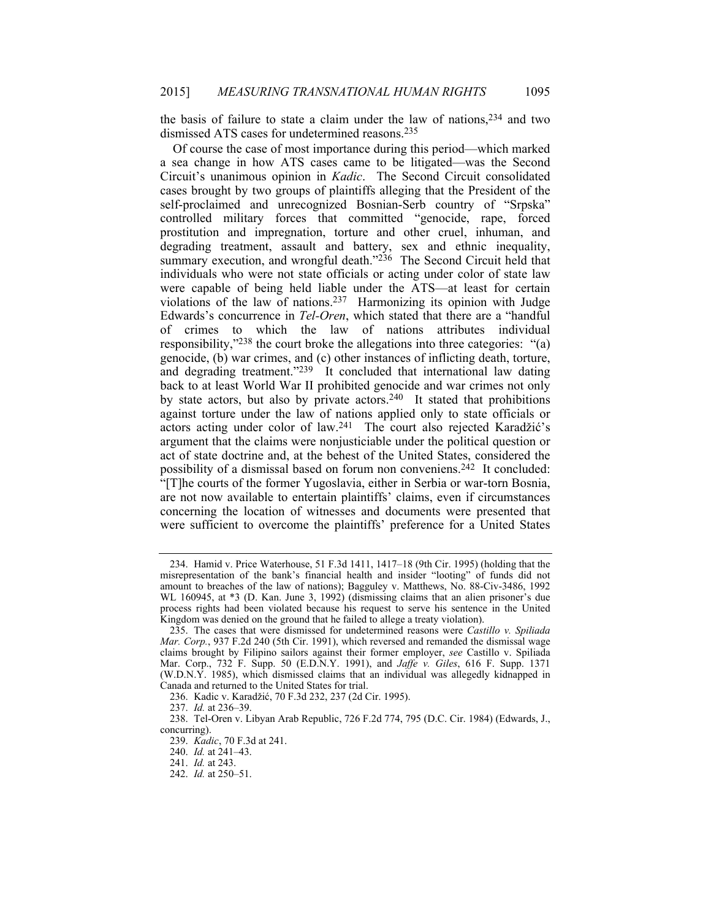the basis of failure to state a claim under the law of nations,  $2^{34}$  and two dismissed ATS cases for undetermined reasons.235

Of course the case of most importance during this period—which marked a sea change in how ATS cases came to be litigated—was the Second Circuit's unanimous opinion in *Kadic*. The Second Circuit consolidated cases brought by two groups of plaintiffs alleging that the President of the self-proclaimed and unrecognized Bosnian-Serb country of "Srpska" controlled military forces that committed "genocide, rape, forced prostitution and impregnation, torture and other cruel, inhuman, and degrading treatment, assault and battery, sex and ethnic inequality, summary execution, and wrongful death."<sup>236</sup> The Second Circuit held that individuals who were not state officials or acting under color of state law were capable of being held liable under the ATS—at least for certain violations of the law of nations.237 Harmonizing its opinion with Judge Edwards's concurrence in *Tel-Oren*, which stated that there are a "handful of crimes to which the law of nations attributes individual responsibility,"238 the court broke the allegations into three categories: "(a) genocide, (b) war crimes, and (c) other instances of inflicting death, torture, and degrading treatment." $239$  It concluded that international law dating back to at least World War II prohibited genocide and war crimes not only by state actors, but also by private actors.<sup>240</sup> It stated that prohibitions against torture under the law of nations applied only to state officials or actors acting under color of law.241 The court also rejected Karadžić's argument that the claims were nonjusticiable under the political question or act of state doctrine and, at the behest of the United States, considered the possibility of a dismissal based on forum non conveniens.<sup>242</sup> It concluded: "[T]he courts of the former Yugoslavia, either in Serbia or war-torn Bosnia, are not now available to entertain plaintiffs' claims, even if circumstances concerning the location of witnesses and documents were presented that were sufficient to overcome the plaintiffs' preference for a United States

 <sup>234.</sup> Hamid v. Price Waterhouse, 51 F.3d 1411, 1417–18 (9th Cir. 1995) (holding that the misrepresentation of the bank's financial health and insider "looting" of funds did not amount to breaches of the law of nations); Bagguley v. Matthews, No. 88-Civ-3486, 1992 WL 160945, at \*3 (D. Kan. June 3, 1992) (dismissing claims that an alien prisoner's due process rights had been violated because his request to serve his sentence in the United Kingdom was denied on the ground that he failed to allege a treaty violation).

 <sup>235.</sup> The cases that were dismissed for undetermined reasons were *Castillo v. Spiliada Mar. Corp.*, 937 F.2d 240 (5th Cir. 1991), which reversed and remanded the dismissal wage claims brought by Filipino sailors against their former employer, *see* Castillo v. Spiliada Mar. Corp., 732 F. Supp. 50 (E.D.N.Y. 1991), and *Jaffe v. Giles*, 616 F. Supp. 1371 (W.D.N.Y. 1985), which dismissed claims that an individual was allegedly kidnapped in Canada and returned to the United States for trial.

 <sup>236.</sup> Kadic v. Karadžić, 70 F.3d 232, 237 (2d Cir. 1995).

 <sup>237.</sup> *Id.* at 236–39.

 <sup>238.</sup> Tel-Oren v. Libyan Arab Republic, 726 F.2d 774, 795 (D.C. Cir. 1984) (Edwards, J., concurring).

 <sup>239.</sup> *Kadic*, 70 F.3d at 241.

 <sup>240.</sup> *Id.* at 241–43.

 <sup>241.</sup> *Id.* at 243.

 <sup>242.</sup> *Id.* at 250–51.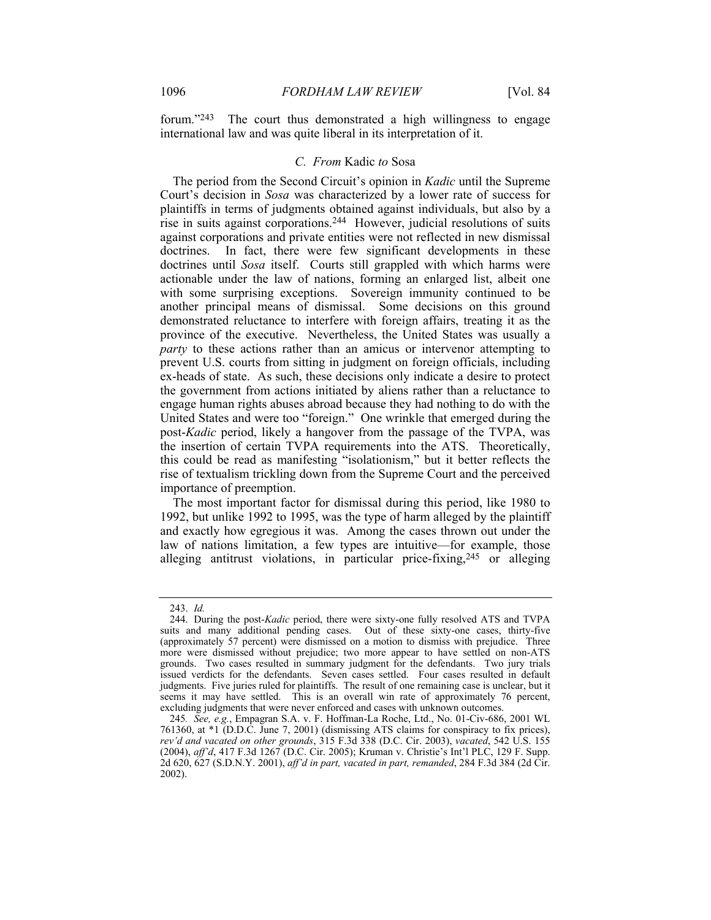forum."<sup>243</sup> The court thus demonstrated a high willingness to engage international law and was quite liberal in its interpretation of it.

#### *C. From* Kadic *to* Sosa

The period from the Second Circuit's opinion in *Kadic* until the Supreme Court's decision in *Sosa* was characterized by a lower rate of success for plaintiffs in terms of judgments obtained against individuals, but also by a rise in suits against corporations.244 However, judicial resolutions of suits against corporations and private entities were not reflected in new dismissal doctrines. In fact, there were few significant developments in these doctrines until *Sosa* itself. Courts still grappled with which harms were actionable under the law of nations, forming an enlarged list, albeit one with some surprising exceptions. Sovereign immunity continued to be another principal means of dismissal. Some decisions on this ground demonstrated reluctance to interfere with foreign affairs, treating it as the province of the executive. Nevertheless, the United States was usually a *party* to these actions rather than an amicus or intervenor attempting to prevent U.S. courts from sitting in judgment on foreign officials, including ex-heads of state. As such, these decisions only indicate a desire to protect the government from actions initiated by aliens rather than a reluctance to engage human rights abuses abroad because they had nothing to do with the United States and were too "foreign." One wrinkle that emerged during the post-*Kadic* period, likely a hangover from the passage of the TVPA, was the insertion of certain TVPA requirements into the ATS. Theoretically, this could be read as manifesting "isolationism," but it better reflects the rise of textualism trickling down from the Supreme Court and the perceived importance of preemption.

The most important factor for dismissal during this period, like 1980 to 1992, but unlike 1992 to 1995, was the type of harm alleged by the plaintiff and exactly how egregious it was. Among the cases thrown out under the law of nations limitation, a few types are intuitive—for example, those alleging antitrust violations, in particular price-fixing,  $245$  or alleging

 <sup>243.</sup> *Id.*

 <sup>244.</sup> During the post-*Kadic* period, there were sixty-one fully resolved ATS and TVPA suits and many additional pending cases. Out of these sixty-one cases, thirty-five (approximately 57 percent) were dismissed on a motion to dismiss with prejudice. Three more were dismissed without prejudice; two more appear to have settled on non-ATS grounds. Two cases resulted in summary judgment for the defendants. Two jury trials issued verdicts for the defendants. Seven cases settled. Four cases resulted in default judgments. Five juries ruled for plaintiffs. The result of one remaining case is unclear, but it seems it may have settled. This is an overall win rate of approximately 76 percent, excluding judgments that were never enforced and cases with unknown outcomes.

<sup>245</sup>*. See, e.g.*, Empagran S.A. v. F. Hoffman-La Roche, Ltd., No. 01-Civ-686, 2001 WL 761360, at \*1 (D.D.C. June 7, 2001) (dismissing ATS claims for conspiracy to fix prices), *rev'd and vacated on other grounds*, 315 F.3d 338 (D.C. Cir. 2003), *vacated*, 542 U.S. 155 (2004), *aff'd*, 417 F.3d 1267 (D.C. Cir. 2005); Kruman v. Christie's Int'l PLC, 129 F. Supp. 2d 620, 627 (S.D.N.Y. 2001), *aff'd in part, vacated in part, remanded*, 284 F.3d 384 (2d Cir. 2002).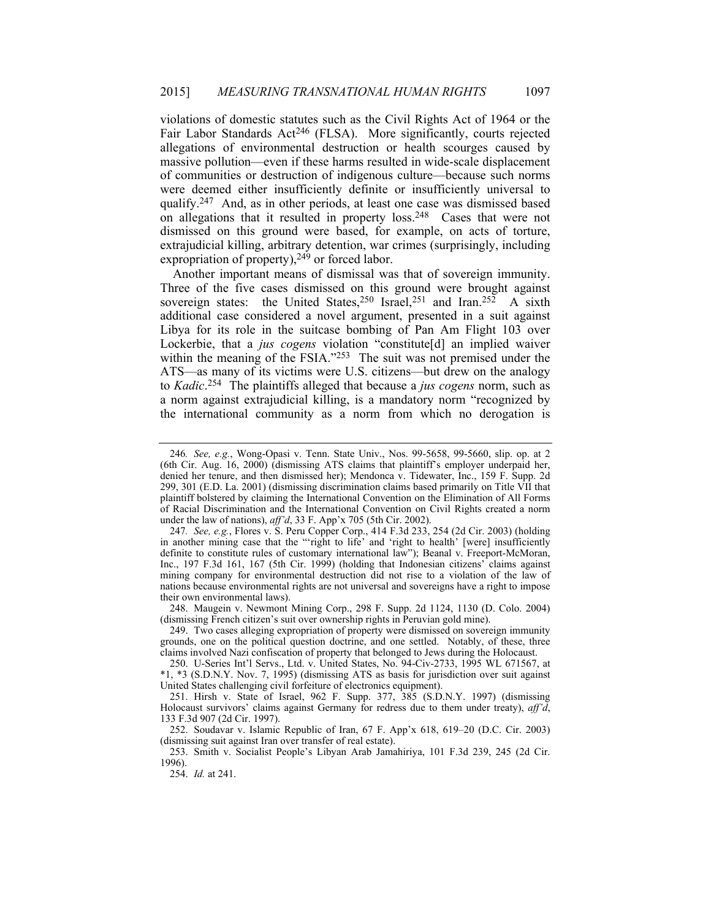violations of domestic statutes such as the Civil Rights Act of 1964 or the Fair Labor Standards Act<sup>246</sup> (FLSA). More significantly, courts rejected allegations of environmental destruction or health scourges caused by massive pollution—even if these harms resulted in wide-scale displacement of communities or destruction of indigenous culture—because such norms were deemed either insufficiently definite or insufficiently universal to qualify.247 And, as in other periods, at least one case was dismissed based on allegations that it resulted in property loss.248 Cases that were not dismissed on this ground were based, for example, on acts of torture, extrajudicial killing, arbitrary detention, war crimes (surprisingly, including expropriation of property),<sup>249</sup> or forced labor.

Another important means of dismissal was that of sovereign immunity. Three of the five cases dismissed on this ground were brought against sovereign states: the United States,<sup>250</sup> Israel,<sup>251</sup> and Iran.<sup>252</sup> A sixth additional case considered a novel argument, presented in a suit against Libya for its role in the suitcase bombing of Pan Am Flight 103 over Lockerbie, that a *jus cogens* violation "constitute[d] an implied waiver within the meaning of the FSIA."253 The suit was not premised under the ATS—as many of its victims were U.S. citizens—but drew on the analogy to *Kadic*. 254 The plaintiffs alleged that because a *jus cogens* norm, such as a norm against extrajudicial killing, is a mandatory norm "recognized by the international community as a norm from which no derogation is

 248. Maugein v. Newmont Mining Corp., 298 F. Supp. 2d 1124, 1130 (D. Colo. 2004) (dismissing French citizen's suit over ownership rights in Peruvian gold mine).

 253. Smith v. Socialist People's Libyan Arab Jamahiriya, 101 F.3d 239, 245 (2d Cir. 1996).

254. *Id.* at 241.

<sup>246</sup>*. See, e.g.*, Wong-Opasi v. Tenn. State Univ., Nos. 99-5658, 99-5660, slip. op. at 2 (6th Cir. Aug. 16, 2000) (dismissing ATS claims that plaintiff's employer underpaid her, denied her tenure, and then dismissed her); Mendonca v. Tidewater, Inc., 159 F. Supp. 2d 299, 301 (E.D. La. 2001) (dismissing discrimination claims based primarily on Title VII that plaintiff bolstered by claiming the International Convention on the Elimination of All Forms of Racial Discrimination and the International Convention on Civil Rights created a norm under the law of nations), *aff'd*, 33 F. App'x 705 (5th Cir. 2002).

<sup>247</sup>*. See, e.g.*, Flores v. S. Peru Copper Corp., 414 F.3d 233, 254 (2d Cir. 2003) (holding in another mining case that the "'right to life' and 'right to health' [were] insufficiently definite to constitute rules of customary international law"); Beanal v. Freeport-McMoran, Inc., 197 F.3d 161, 167 (5th Cir. 1999) (holding that Indonesian citizens' claims against mining company for environmental destruction did not rise to a violation of the law of nations because environmental rights are not universal and sovereigns have a right to impose their own environmental laws).

 <sup>249.</sup> Two cases alleging expropriation of property were dismissed on sovereign immunity grounds, one on the political question doctrine, and one settled. Notably, of these, three claims involved Nazi confiscation of property that belonged to Jews during the Holocaust.

 <sup>250.</sup> U-Series Int'l Servs., Ltd. v. United States, No. 94-Civ-2733, 1995 WL 671567, at \*1, \*3 (S.D.N.Y. Nov. 7, 1995) (dismissing ATS as basis for jurisdiction over suit against United States challenging civil forfeiture of electronics equipment).

 <sup>251.</sup> Hirsh v. State of Israel, 962 F. Supp. 377, 385 (S.D.N.Y. 1997) (dismissing Holocaust survivors' claims against Germany for redress due to them under treaty), *aff'd*, 133 F.3d 907 (2d Cir. 1997).

 <sup>252.</sup> Soudavar v. Islamic Republic of Iran, 67 F. App'x 618, 619–20 (D.C. Cir. 2003) (dismissing suit against Iran over transfer of real estate).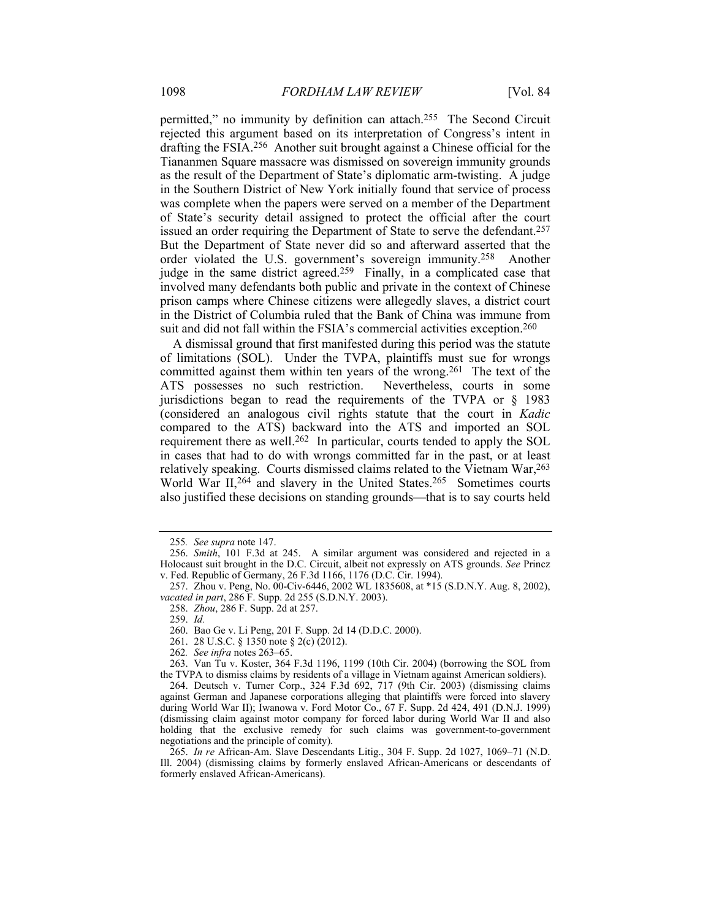permitted," no immunity by definition can attach.255 The Second Circuit rejected this argument based on its interpretation of Congress's intent in drafting the FSIA.256 Another suit brought against a Chinese official for the Tiananmen Square massacre was dismissed on sovereign immunity grounds as the result of the Department of State's diplomatic arm-twisting. A judge in the Southern District of New York initially found that service of process was complete when the papers were served on a member of the Department of State's security detail assigned to protect the official after the court issued an order requiring the Department of State to serve the defendant.257 But the Department of State never did so and afterward asserted that the order violated the U.S. government's sovereign immunity.258 Another judge in the same district agreed.259 Finally, in a complicated case that involved many defendants both public and private in the context of Chinese prison camps where Chinese citizens were allegedly slaves, a district court in the District of Columbia ruled that the Bank of China was immune from suit and did not fall within the FSIA's commercial activities exception.<sup>260</sup>

A dismissal ground that first manifested during this period was the statute of limitations (SOL). Under the TVPA, plaintiffs must sue for wrongs committed against them within ten years of the wrong.<sup>261</sup> The text of the ATS possesses no such restriction. Nevertheless, courts in some ATS possesses no such restriction. jurisdictions began to read the requirements of the TVPA or § 1983 (considered an analogous civil rights statute that the court in *Kadic* compared to the ATS) backward into the ATS and imported an SOL requirement there as well.<sup>262</sup> In particular, courts tended to apply the SOL in cases that had to do with wrongs committed far in the past, or at least relatively speaking. Courts dismissed claims related to the Vietnam War,  $^{263}$ World War II,<sup>264</sup> and slavery in the United States.<sup>265</sup> Sometimes courts also justified these decisions on standing grounds—that is to say courts held

259. *Id.*

<sup>255</sup>*. See supra* note 147.

 <sup>256.</sup> *Smith*, 101 F.3d at 245. A similar argument was considered and rejected in a Holocaust suit brought in the D.C. Circuit, albeit not expressly on ATS grounds. *See* Princz v. Fed. Republic of Germany, 26 F.3d 1166, 1176 (D.C. Cir. 1994).

 <sup>257.</sup> Zhou v. Peng, No. 00-Civ-6446, 2002 WL 1835608, at \*15 (S.D.N.Y. Aug. 8, 2002), *vacated in part*, 286 F. Supp. 2d 255 (S.D.N.Y. 2003).

 <sup>258.</sup> *Zhou*, 286 F. Supp. 2d at 257.

 <sup>260.</sup> Bao Ge v. Li Peng, 201 F. Supp. 2d 14 (D.D.C. 2000).

 <sup>261. 28</sup> U.S.C. § 1350 note § 2(c) (2012).

<sup>262</sup>*. See infra* notes 263–65.

 <sup>263.</sup> Van Tu v. Koster, 364 F.3d 1196, 1199 (10th Cir. 2004) (borrowing the SOL from the TVPA to dismiss claims by residents of a village in Vietnam against American soldiers).

 <sup>264.</sup> Deutsch v. Turner Corp., 324 F.3d 692, 717 (9th Cir. 2003) (dismissing claims against German and Japanese corporations alleging that plaintiffs were forced into slavery during World War II); Iwanowa v. Ford Motor Co., 67 F. Supp. 2d 424, 491 (D.N.J. 1999) (dismissing claim against motor company for forced labor during World War II and also holding that the exclusive remedy for such claims was government-to-government negotiations and the principle of comity).

 <sup>265.</sup> *In re* African-Am. Slave Descendants Litig., 304 F. Supp. 2d 1027, 1069–71 (N.D. Ill. 2004) (dismissing claims by formerly enslaved African-Americans or descendants of formerly enslaved African-Americans).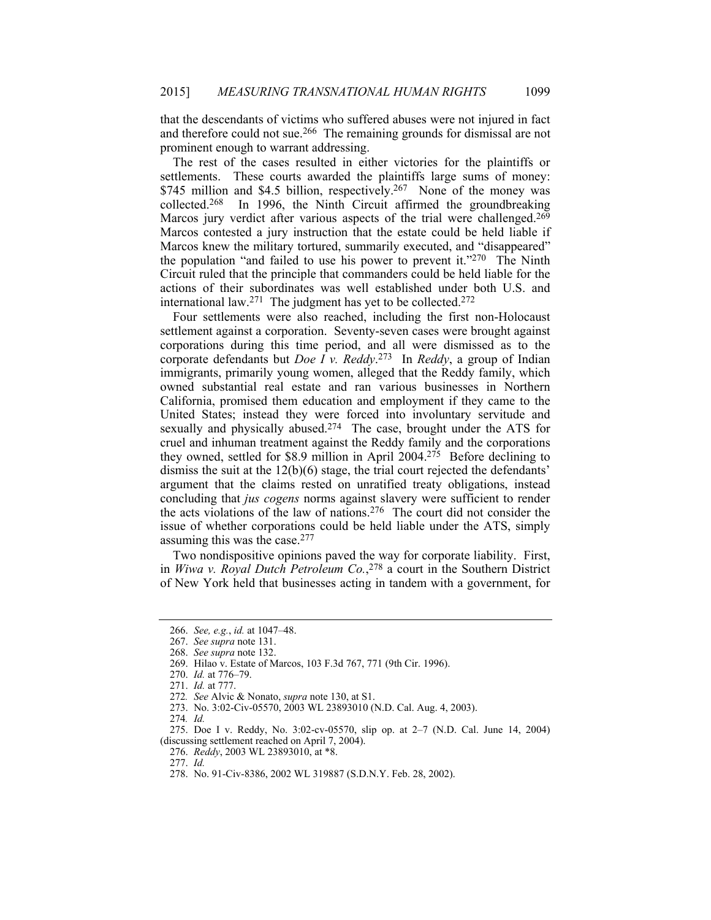that the descendants of victims who suffered abuses were not injured in fact and therefore could not sue.266 The remaining grounds for dismissal are not prominent enough to warrant addressing.

The rest of the cases resulted in either victories for the plaintiffs or settlements. These courts awarded the plaintiffs large sums of money: \$745 million and \$4.5 billion, respectively.<sup>267</sup> None of the money was collected.<sup>268</sup> In 1996, the Ninth Circuit affirmed the groundbreaking In 1996, the Ninth Circuit affirmed the groundbreaking Marcos jury verdict after various aspects of the trial were challenged.<sup>269</sup> Marcos contested a jury instruction that the estate could be held liable if Marcos knew the military tortured, summarily executed, and "disappeared" the population "and failed to use his power to prevent it."270 The Ninth Circuit ruled that the principle that commanders could be held liable for the actions of their subordinates was well established under both U.S. and international law.<sup>271</sup> The judgment has yet to be collected.<sup>272</sup>

Four settlements were also reached, including the first non-Holocaust settlement against a corporation. Seventy-seven cases were brought against corporations during this time period, and all were dismissed as to the corporate defendants but *Doe I v. Reddy*. 273 In *Reddy*, a group of Indian immigrants, primarily young women, alleged that the Reddy family, which owned substantial real estate and ran various businesses in Northern California, promised them education and employment if they came to the United States; instead they were forced into involuntary servitude and sexually and physically abused.<sup>274</sup> The case, brought under the ATS for cruel and inhuman treatment against the Reddy family and the corporations they owned, settled for \$8.9 million in April 2004.275 Before declining to dismiss the suit at the 12(b)(6) stage, the trial court rejected the defendants' argument that the claims rested on unratified treaty obligations, instead concluding that *jus cogens* norms against slavery were sufficient to render the acts violations of the law of nations.276 The court did not consider the issue of whether corporations could be held liable under the ATS, simply assuming this was the case.277

Two nondispositive opinions paved the way for corporate liability. First, in *Wiwa v. Royal Dutch Petroleum Co.*, 278 a court in the Southern District of New York held that businesses acting in tandem with a government, for

268. *See supra* note 132.

 275. Doe I v. Reddy, No. 3:02-cv-05570, slip op. at 2–7 (N.D. Cal. June 14, 2004) (discussing settlement reached on April 7, 2004).

277. *Id.*

<sup>266.</sup> *See, e.g.*, *id.* at 1047–48.

 <sup>267.</sup> *See supra* note 131.

 <sup>269.</sup> Hilao v. Estate of Marcos, 103 F.3d 767, 771 (9th Cir. 1996).

 <sup>270.</sup> *Id.* at 776–79.

 <sup>271.</sup> *Id.* at 777.

<sup>272</sup>*. See* Alvic & Nonato, *supra* note 130, at S1.

 <sup>273.</sup> No. 3:02-Civ-05570, 2003 WL 23893010 (N.D. Cal. Aug. 4, 2003).

<sup>274</sup>*. Id.*

 <sup>276.</sup> *Reddy*, 2003 WL 23893010, at \*8.

 <sup>278.</sup> No. 91-Civ-8386, 2002 WL 319887 (S.D.N.Y. Feb. 28, 2002).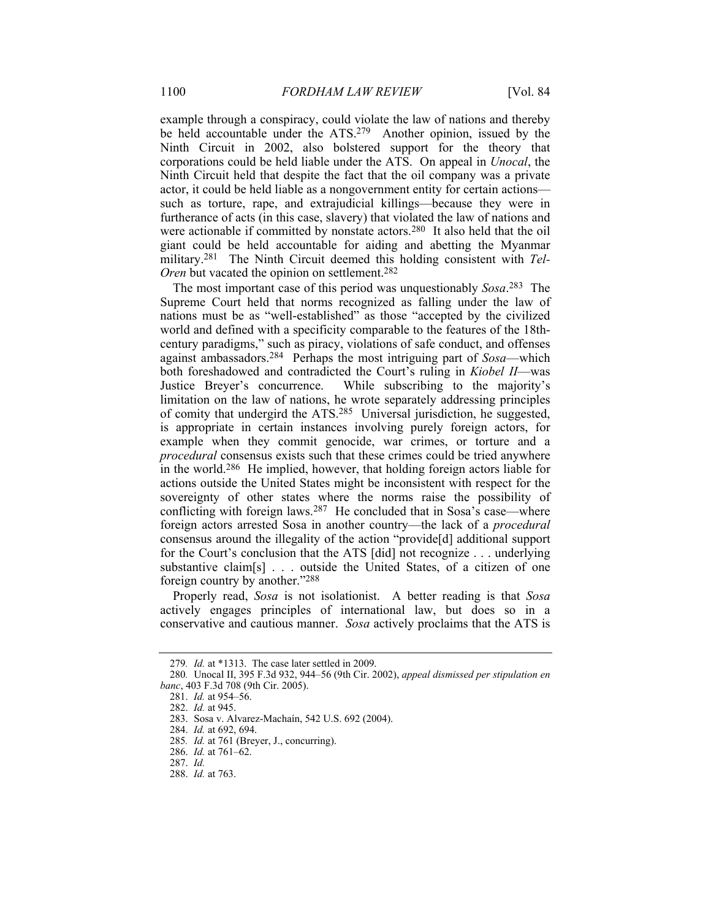example through a conspiracy, could violate the law of nations and thereby be held accountable under the ATS.279 Another opinion, issued by the Ninth Circuit in 2002, also bolstered support for the theory that corporations could be held liable under the ATS. On appeal in *Unocal*, the Ninth Circuit held that despite the fact that the oil company was a private actor, it could be held liable as a nongovernment entity for certain actions such as torture, rape, and extrajudicial killings—because they were in furtherance of acts (in this case, slavery) that violated the law of nations and were actionable if committed by nonstate actors.280 It also held that the oil giant could be held accountable for aiding and abetting the Myanmar military.<sup>281</sup> The Ninth Circuit deemed this holding consistent with *Tel-Oren* but vacated the opinion on settlement.<sup>282</sup>

The most important case of this period was unquestionably *Sosa*. 283 The Supreme Court held that norms recognized as falling under the law of nations must be as "well-established" as those "accepted by the civilized world and defined with a specificity comparable to the features of the 18thcentury paradigms," such as piracy, violations of safe conduct, and offenses against ambassadors.284 Perhaps the most intriguing part of *Sosa*—which both foreshadowed and contradicted the Court's ruling in *Kiobel II*—was Justice Breyer's concurrence. While subscribing to the majority's limitation on the law of nations, he wrote separately addressing principles of comity that undergird the ATS.285 Universal jurisdiction, he suggested, is appropriate in certain instances involving purely foreign actors, for example when they commit genocide, war crimes, or torture and a *procedural* consensus exists such that these crimes could be tried anywhere in the world.<sup>286</sup> He implied, however, that holding foreign actors liable for actions outside the United States might be inconsistent with respect for the sovereignty of other states where the norms raise the possibility of conflicting with foreign laws.<sup>287</sup> He concluded that in Sosa's case—where foreign actors arrested Sosa in another country—the lack of a *procedural* consensus around the illegality of the action "provide[d] additional support for the Court's conclusion that the ATS [did] not recognize . . . underlying substantive claim[s] . . . outside the United States, of a citizen of one foreign country by another."288

Properly read, *Sosa* is not isolationist. A better reading is that *Sosa* actively engages principles of international law, but does so in a conservative and cautious manner. *Sosa* actively proclaims that the ATS is

<sup>279</sup>*. Id.* at \*1313. The case later settled in 2009.

<sup>280</sup>*.* Unocal II, 395 F.3d 932, 944–56 (9th Cir. 2002), *appeal dismissed per stipulation en banc*, 403 F.3d 708 (9th Cir. 2005).

 <sup>281.</sup> *Id.* at 954–56.

 <sup>282.</sup> *Id.* at 945.

 <sup>283.</sup> Sosa v. Alvarez-Machaín, 542 U.S. 692 (2004).

 <sup>284.</sup> *Id.* at 692, 694.

<sup>285</sup>*. Id.* at 761 (Breyer, J., concurring).

 <sup>286.</sup> *Id.* at 761–62.

 <sup>287.</sup> *Id.*

 <sup>288.</sup> *Id.* at 763.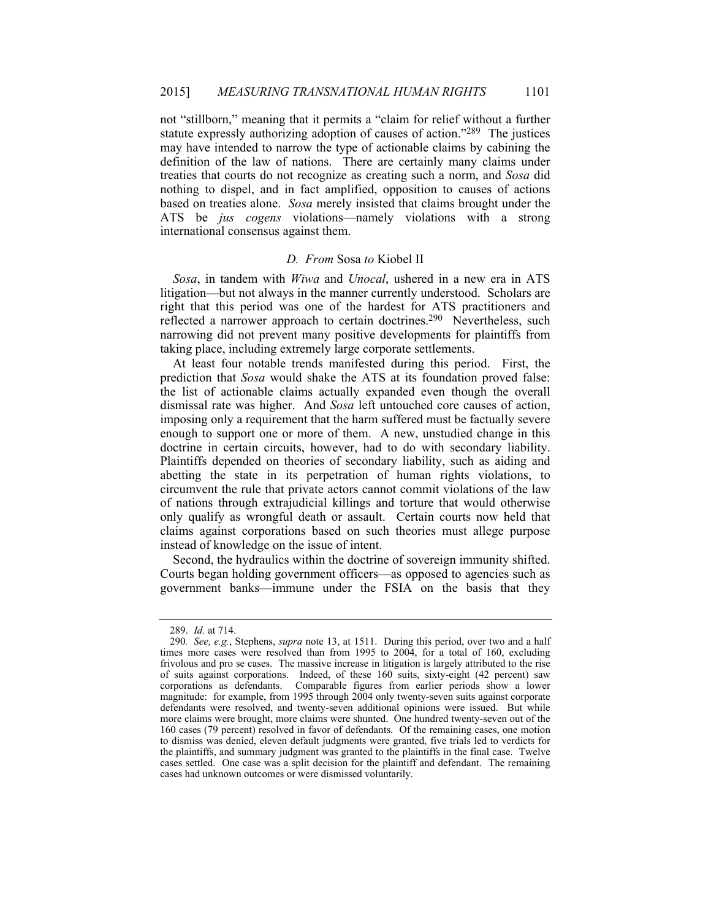not "stillborn," meaning that it permits a "claim for relief without a further statute expressly authorizing adoption of causes of action."289 The justices may have intended to narrow the type of actionable claims by cabining the definition of the law of nations. There are certainly many claims under treaties that courts do not recognize as creating such a norm, and *Sosa* did nothing to dispel, and in fact amplified, opposition to causes of actions based on treaties alone. *Sosa* merely insisted that claims brought under the ATS be *jus cogens* violations—namely violations with a strong international consensus against them.

# *D. From* Sosa *to* Kiobel II

*Sosa*, in tandem with *Wiwa* and *Unocal*, ushered in a new era in ATS litigation—but not always in the manner currently understood. Scholars are right that this period was one of the hardest for ATS practitioners and reflected a narrower approach to certain doctrines.<sup>290</sup> Nevertheless, such narrowing did not prevent many positive developments for plaintiffs from taking place, including extremely large corporate settlements.

At least four notable trends manifested during this period. First, the prediction that *Sosa* would shake the ATS at its foundation proved false: the list of actionable claims actually expanded even though the overall dismissal rate was higher. And *Sosa* left untouched core causes of action, imposing only a requirement that the harm suffered must be factually severe enough to support one or more of them. A new, unstudied change in this doctrine in certain circuits, however, had to do with secondary liability. Plaintiffs depended on theories of secondary liability, such as aiding and abetting the state in its perpetration of human rights violations, to circumvent the rule that private actors cannot commit violations of the law of nations through extrajudicial killings and torture that would otherwise only qualify as wrongful death or assault. Certain courts now held that claims against corporations based on such theories must allege purpose instead of knowledge on the issue of intent.

Second, the hydraulics within the doctrine of sovereign immunity shifted. Courts began holding government officers—as opposed to agencies such as government banks—immune under the FSIA on the basis that they

 <sup>289.</sup> *Id.* at 714.

<sup>290</sup>*. See, e.g.*, Stephens, *supra* note 13, at 1511. During this period, over two and a half times more cases were resolved than from 1995 to 2004, for a total of 160, excluding frivolous and pro se cases. The massive increase in litigation is largely attributed to the rise of suits against corporations. Indeed, of these 160 suits, sixty-eight (42 percent) saw corporations as defendants. Comparable figures from earlier periods show a lower magnitude: for example, from 1995 through 2004 only twenty-seven suits against corporate defendants were resolved, and twenty-seven additional opinions were issued. But while more claims were brought, more claims were shunted. One hundred twenty-seven out of the 160 cases (79 percent) resolved in favor of defendants. Of the remaining cases, one motion to dismiss was denied, eleven default judgments were granted, five trials led to verdicts for the plaintiffs, and summary judgment was granted to the plaintiffs in the final case. Twelve cases settled. One case was a split decision for the plaintiff and defendant. The remaining cases had unknown outcomes or were dismissed voluntarily.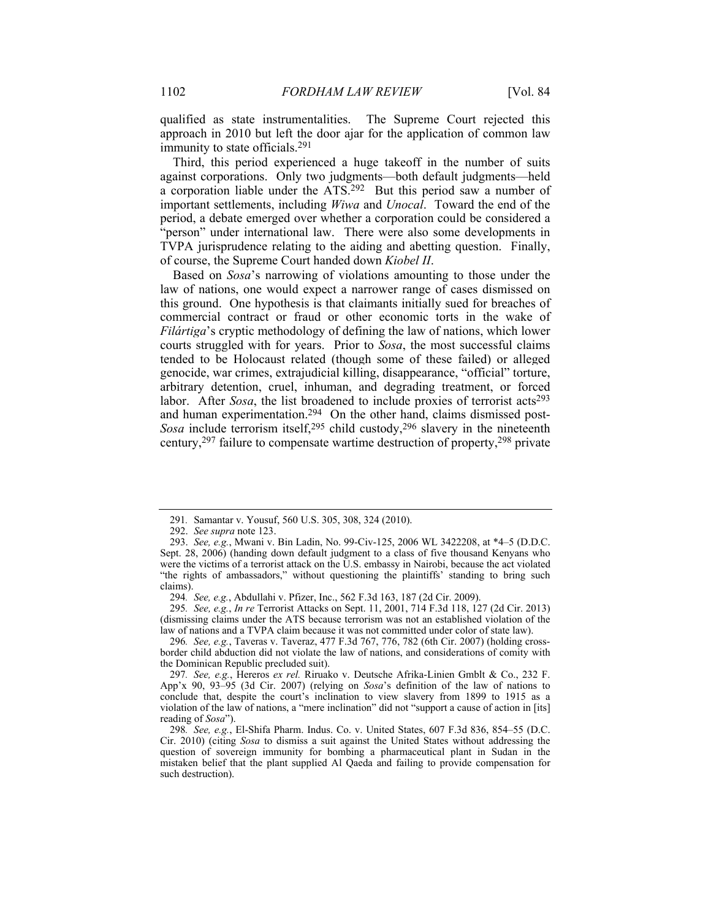qualified as state instrumentalities. The Supreme Court rejected this approach in 2010 but left the door ajar for the application of common law immunity to state officials.291

Third, this period experienced a huge takeoff in the number of suits against corporations. Only two judgments—both default judgments—held a corporation liable under the ATS.292 But this period saw a number of important settlements, including *Wiwa* and *Unocal*. Toward the end of the period, a debate emerged over whether a corporation could be considered a "person" under international law. There were also some developments in TVPA jurisprudence relating to the aiding and abetting question. Finally, of course, the Supreme Court handed down *Kiobel II*.

Based on *Sosa*'s narrowing of violations amounting to those under the law of nations, one would expect a narrower range of cases dismissed on this ground. One hypothesis is that claimants initially sued for breaches of commercial contract or fraud or other economic torts in the wake of *Filártiga*'s cryptic methodology of defining the law of nations, which lower courts struggled with for years. Prior to *Sosa*, the most successful claims tended to be Holocaust related (though some of these failed) or alleged genocide, war crimes, extrajudicial killing, disappearance, "official" torture, arbitrary detention, cruel, inhuman, and degrading treatment, or forced labor. After *Sosa*, the list broadened to include proxies of terrorist  $\arctan 293$ and human experimentation.294 On the other hand, claims dismissed post-*Sosa* include terrorism itself,<sup>295</sup> child custody,<sup>296</sup> slavery in the nineteenth century,297 failure to compensate wartime destruction of property,298 private

296*. See, e.g.*, Taveras v. Taveraz, 477 F.3d 767, 776, 782 (6th Cir. 2007) (holding crossborder child abduction did not violate the law of nations, and considerations of comity with the Dominican Republic precluded suit).

<sup>291</sup>*.* Samantar v. Yousuf, 560 U.S. 305, 308, 324 (2010).

 <sup>292.</sup> *See supra* note 123.

 <sup>293.</sup> *See, e.g.*, Mwani v. Bin Ladin, No. 99-Civ-125, 2006 WL 3422208, at \*4–5 (D.D.C. Sept. 28, 2006) (handing down default judgment to a class of five thousand Kenyans who were the victims of a terrorist attack on the U.S. embassy in Nairobi, because the act violated "the rights of ambassadors," without questioning the plaintiffs' standing to bring such claims).

<sup>294</sup>*. See, e.g.*, Abdullahi v. Pfizer, Inc., 562 F.3d 163, 187 (2d Cir. 2009).

<sup>295</sup>*. See, e.g.*, *In re* Terrorist Attacks on Sept. 11, 2001, 714 F.3d 118, 127 (2d Cir. 2013) (dismissing claims under the ATS because terrorism was not an established violation of the law of nations and a TVPA claim because it was not committed under color of state law).

<sup>297</sup>*. See, e.g.*, Hereros *ex rel.* Riruako v. Deutsche Afrika-Linien Gmblt & Co., 232 F. App'x 90, 93–95 (3d Cir. 2007) (relying on *Sosa*'s definition of the law of nations to conclude that, despite the court's inclination to view slavery from 1899 to 1915 as a violation of the law of nations, a "mere inclination" did not "support a cause of action in [its] reading of *Sosa*").

<sup>298</sup>*. See, e.g.*, El-Shifa Pharm. Indus. Co. v. United States, 607 F.3d 836, 854–55 (D.C. Cir. 2010) (citing *Sosa* to dismiss a suit against the United States without addressing the question of sovereign immunity for bombing a pharmaceutical plant in Sudan in the mistaken belief that the plant supplied Al Qaeda and failing to provide compensation for such destruction).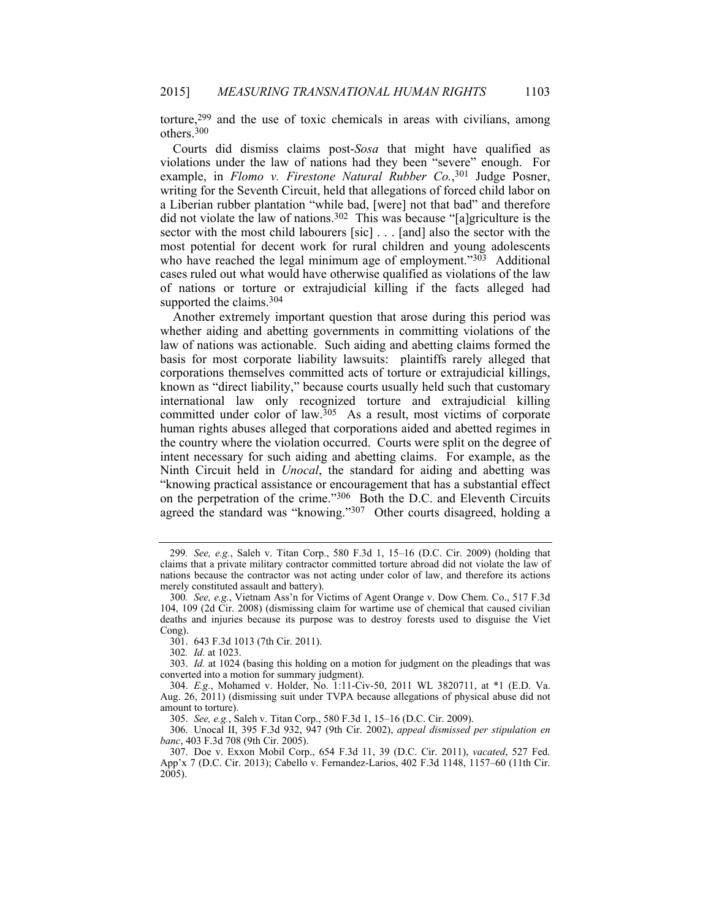torture,299 and the use of toxic chemicals in areas with civilians, among others.300

Courts did dismiss claims post-*Sosa* that might have qualified as violations under the law of nations had they been "severe" enough. For example, in *Flomo v. Firestone Natural Rubber Co.*,<sup>301</sup> Judge Posner, writing for the Seventh Circuit, held that allegations of forced child labor on a Liberian rubber plantation "while bad, [were] not that bad" and therefore did not violate the law of nations.302 This was because "[a]griculture is the sector with the most child labourers [sic] . . . [and] also the sector with the most potential for decent work for rural children and young adolescents who have reached the legal minimum age of employment." $303$  Additional cases ruled out what would have otherwise qualified as violations of the law of nations or torture or extrajudicial killing if the facts alleged had supported the claims.<sup>304</sup>

Another extremely important question that arose during this period was whether aiding and abetting governments in committing violations of the law of nations was actionable. Such aiding and abetting claims formed the basis for most corporate liability lawsuits: plaintiffs rarely alleged that corporations themselves committed acts of torture or extrajudicial killings, known as "direct liability," because courts usually held such that customary international law only recognized torture and extrajudicial killing committed under color of law.<sup>305</sup> As a result, most victims of corporate human rights abuses alleged that corporations aided and abetted regimes in the country where the violation occurred. Courts were split on the degree of intent necessary for such aiding and abetting claims. For example, as the Ninth Circuit held in *Unocal*, the standard for aiding and abetting was "knowing practical assistance or encouragement that has a substantial effect on the perpetration of the crime."306 Both the D.C. and Eleventh Circuits agreed the standard was "knowing."307 Other courts disagreed, holding a

<sup>299</sup>*. See, e.g.*, Saleh v. Titan Corp., 580 F.3d 1, 15–16 (D.C. Cir. 2009) (holding that claims that a private military contractor committed torture abroad did not violate the law of nations because the contractor was not acting under color of law, and therefore its actions merely constituted assault and battery).

<sup>300</sup>*. See, e.g.*, Vietnam Ass'n for Victims of Agent Orange v. Dow Chem. Co., 517 F.3d 104, 109 (2d Cir. 2008) (dismissing claim for wartime use of chemical that caused civilian deaths and injuries because its purpose was to destroy forests used to disguise the Viet Cong).

 <sup>301. 643</sup> F.3d 1013 (7th Cir. 2011).

<sup>302</sup>*. Id.* at 1023.

 <sup>303.</sup> *Id.* at 1024 (basing this holding on a motion for judgment on the pleadings that was converted into a motion for summary judgment).

 <sup>304.</sup> *E.g.*, Mohamed v. Holder, No. 1:11-Civ-50, 2011 WL 3820711, at \*1 (E.D. Va. Aug. 26, 2011) (dismissing suit under TVPA because allegations of physical abuse did not amount to torture).

 <sup>305.</sup> *See, e.g.*, Saleh v. Titan Corp., 580 F.3d 1, 15–16 (D.C. Cir. 2009).

 <sup>306.</sup> Unocal II, 395 F.3d 932, 947 (9th Cir. 2002), *appeal dismissed per stipulation en banc*, 403 F.3d 708 (9th Cir. 2005).

 <sup>307.</sup> Doe v. Exxon Mobil Corp., 654 F.3d 11, 39 (D.C. Cir. 2011), *vacated*, 527 Fed. App'x 7 (D.C. Cir. 2013); Cabello v. Fernandez-Larios, 402 F.3d 1148, 1157–60 (11th Cir. 2005).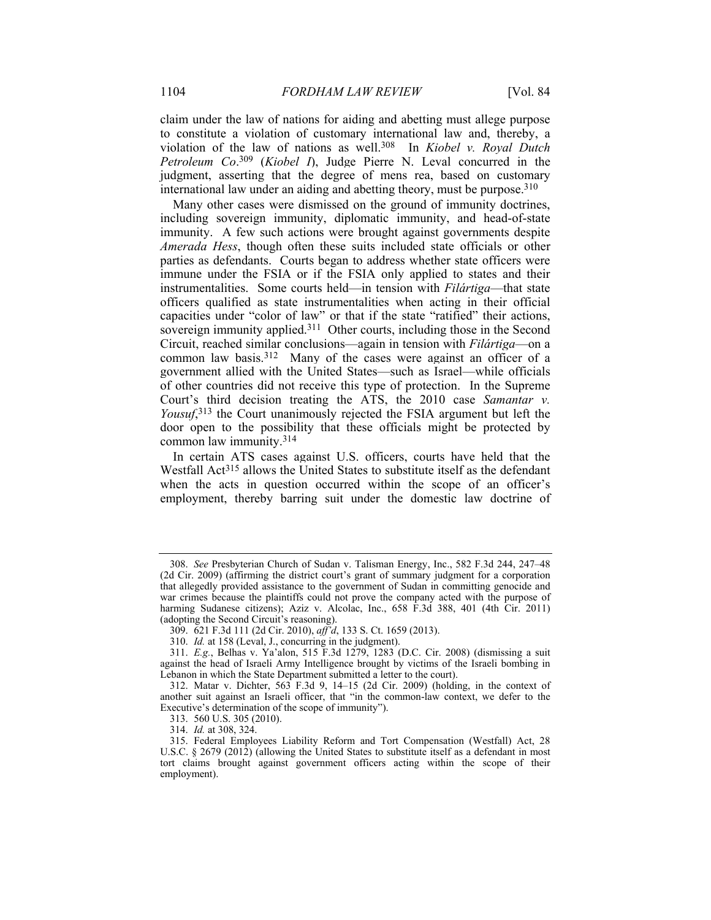claim under the law of nations for aiding and abetting must allege purpose to constitute a violation of customary international law and, thereby, a violation of the law of nations as well.308 In *Kiobel v. Royal Dutch Petroleum Co*. 309 (*Kiobel I*), Judge Pierre N. Leval concurred in the judgment, asserting that the degree of mens rea, based on customary international law under an aiding and abetting theory, must be purpose.310

Many other cases were dismissed on the ground of immunity doctrines, including sovereign immunity, diplomatic immunity, and head-of-state immunity. A few such actions were brought against governments despite *Amerada Hess*, though often these suits included state officials or other parties as defendants. Courts began to address whether state officers were immune under the FSIA or if the FSIA only applied to states and their instrumentalities. Some courts held—in tension with *Filártiga*—that state officers qualified as state instrumentalities when acting in their official capacities under "color of law" or that if the state "ratified" their actions, sovereign immunity applied.311 Other courts, including those in the Second Circuit, reached similar conclusions—again in tension with *Filártiga*—on a common law basis.<sup>312</sup> Many of the cases were against an officer of a government allied with the United States—such as Israel—while officials of other countries did not receive this type of protection. In the Supreme Court's third decision treating the ATS, the 2010 case *Samantar v. Yousuf*, 313 the Court unanimously rejected the FSIA argument but left the door open to the possibility that these officials might be protected by common law immunity.314

In certain ATS cases against U.S. officers, courts have held that the Westfall Act<sup>315</sup> allows the United States to substitute itself as the defendant when the acts in question occurred within the scope of an officer's employment, thereby barring suit under the domestic law doctrine of

 <sup>308.</sup> *See* Presbyterian Church of Sudan v. Talisman Energy, Inc., 582 F.3d 244, 247–48 (2d Cir. 2009) (affirming the district court's grant of summary judgment for a corporation that allegedly provided assistance to the government of Sudan in committing genocide and war crimes because the plaintiffs could not prove the company acted with the purpose of harming Sudanese citizens); Aziz v. Alcolac, Inc., 658 F.3d 388, 401 (4th Cir. 2011) (adopting the Second Circuit's reasoning).

 <sup>309. 621</sup> F.3d 111 (2d Cir. 2010), *aff'd*, 133 S. Ct. 1659 (2013).

 <sup>310.</sup> *Id.* at 158 (Leval, J., concurring in the judgment).

 <sup>311.</sup> *E.g.*, Belhas v. Ya'alon, 515 F.3d 1279, 1283 (D.C. Cir. 2008) (dismissing a suit against the head of Israeli Army Intelligence brought by victims of the Israeli bombing in Lebanon in which the State Department submitted a letter to the court).

 <sup>312.</sup> Matar v. Dichter, 563 F.3d 9, 14–15 (2d Cir. 2009) (holding, in the context of another suit against an Israeli officer, that "in the common-law context, we defer to the Executive's determination of the scope of immunity").

 <sup>313. 560</sup> U.S. 305 (2010).

 <sup>314.</sup> *Id.* at 308, 324.

 <sup>315.</sup> Federal Employees Liability Reform and Tort Compensation (Westfall) Act, 28 U.S.C. § 2679 (2012) (allowing the United States to substitute itself as a defendant in most tort claims brought against government officers acting within the scope of their employment).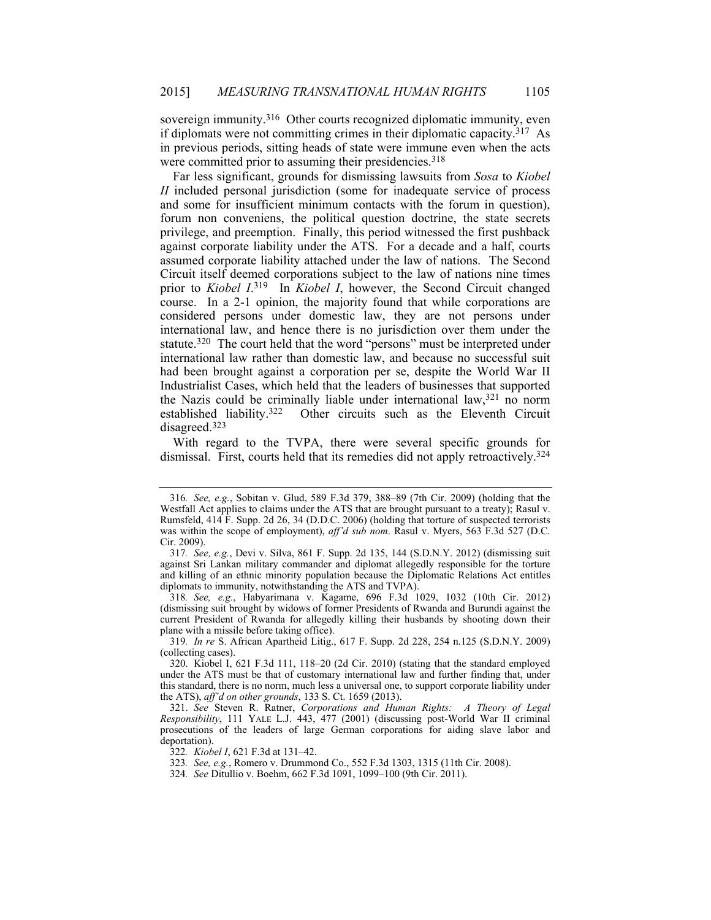sovereign immunity.<sup>316</sup> Other courts recognized diplomatic immunity, even if diplomats were not committing crimes in their diplomatic capacity.317 As in previous periods, sitting heads of state were immune even when the acts were committed prior to assuming their presidencies.<sup>318</sup>

Far less significant, grounds for dismissing lawsuits from *Sosa* to *Kiobel II* included personal jurisdiction (some for inadequate service of process and some for insufficient minimum contacts with the forum in question), forum non conveniens, the political question doctrine, the state secrets privilege, and preemption. Finally, this period witnessed the first pushback against corporate liability under the ATS. For a decade and a half, courts assumed corporate liability attached under the law of nations. The Second Circuit itself deemed corporations subject to the law of nations nine times prior to *Kiobel I*. 319 In *Kiobel I*, however, the Second Circuit changed course. In a 2-1 opinion, the majority found that while corporations are considered persons under domestic law, they are not persons under international law, and hence there is no jurisdiction over them under the statute.<sup>320</sup> The court held that the word "persons" must be interpreted under international law rather than domestic law, and because no successful suit had been brought against a corporation per se, despite the World War II Industrialist Cases, which held that the leaders of businesses that supported the Nazis could be criminally liable under international law,  $321$  no norm established liability  $322$  Other circuits such as the Eleventh Circuit Other circuits such as the Eleventh Circuit disagreed.323

With regard to the TVPA, there were several specific grounds for dismissal. First, courts held that its remedies did not apply retroactively.324

318*. See, e.g.*, Habyarimana v. Kagame, 696 F.3d 1029, 1032 (10th Cir. 2012) (dismissing suit brought by widows of former Presidents of Rwanda and Burundi against the current President of Rwanda for allegedly killing their husbands by shooting down their plane with a missile before taking office).

319*. In re* S. African Apartheid Litig., 617 F. Supp. 2d 228, 254 n.125 (S.D.N.Y. 2009) (collecting cases).

323*. See, e.g.*, Romero v. Drummond Co., 552 F.3d 1303, 1315 (11th Cir. 2008).

<sup>316</sup>*. See, e.g.*, Sobitan v. Glud, 589 F.3d 379, 388–89 (7th Cir. 2009) (holding that the Westfall Act applies to claims under the ATS that are brought pursuant to a treaty); Rasul v. Rumsfeld, 414 F. Supp. 2d 26, 34 (D.D.C. 2006) (holding that torture of suspected terrorists was within the scope of employment), *aff'd sub nom*. Rasul v. Myers, 563 F.3d 527 (D.C. Cir. 2009).

<sup>317</sup>*. See, e.g.*, Devi v. Silva, 861 F. Supp. 2d 135, 144 (S.D.N.Y. 2012) (dismissing suit against Sri Lankan military commander and diplomat allegedly responsible for the torture and killing of an ethnic minority population because the Diplomatic Relations Act entitles diplomats to immunity, notwithstanding the ATS and TVPA).

 <sup>320.</sup> Kiobel I, 621 F.3d 111, 118–20 (2d Cir. 2010) (stating that the standard employed under the ATS must be that of customary international law and further finding that, under this standard, there is no norm, much less a universal one, to support corporate liability under the ATS), *aff'd on other grounds*, 133 S. Ct. 1659 (2013).

 <sup>321.</sup> *See* Steven R. Ratner, *Corporations and Human Rights: A Theory of Legal Responsibility*, 111 YALE L.J. 443, 477 (2001) (discussing post-World War II criminal prosecutions of the leaders of large German corporations for aiding slave labor and deportation).

<sup>322</sup>*. Kiobel I*, 621 F.3d at 131–42.

<sup>324</sup>*. See* Ditullio v. Boehm, 662 F.3d 1091, 1099–100 (9th Cir. 2011).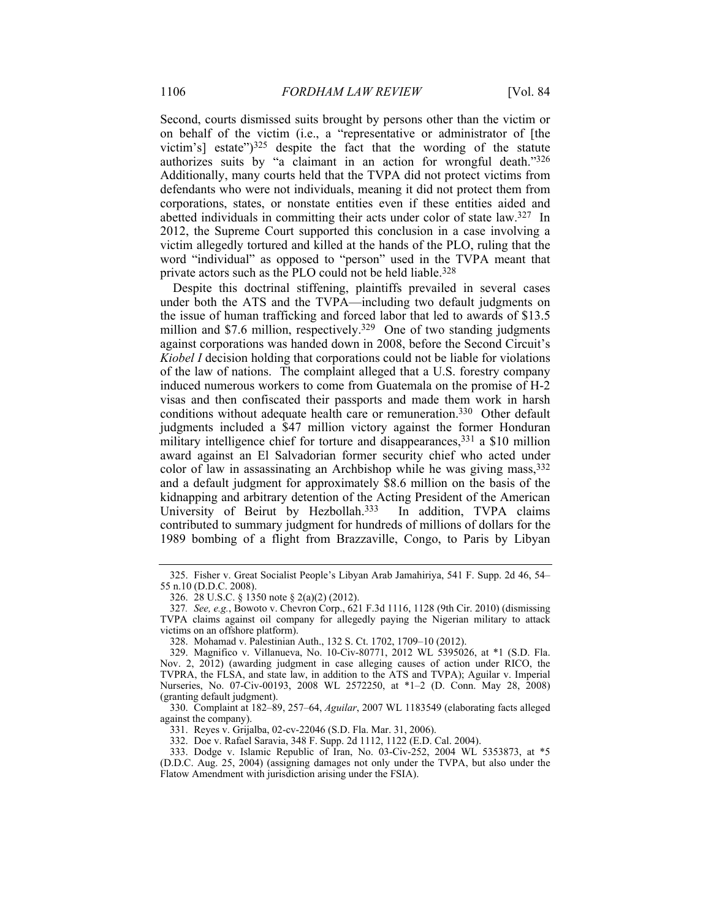Second, courts dismissed suits brought by persons other than the victim or on behalf of the victim (i.e., a "representative or administrator of [the victim's] estate" $)^{325}$  despite the fact that the wording of the statute authorizes suits by "a claimant in an action for wrongful death."326 Additionally, many courts held that the TVPA did not protect victims from defendants who were not individuals, meaning it did not protect them from corporations, states, or nonstate entities even if these entities aided and abetted individuals in committing their acts under color of state law.327 In 2012, the Supreme Court supported this conclusion in a case involving a victim allegedly tortured and killed at the hands of the PLO, ruling that the word "individual" as opposed to "person" used in the TVPA meant that private actors such as the PLO could not be held liable.<sup>328</sup>

Despite this doctrinal stiffening, plaintiffs prevailed in several cases under both the ATS and the TVPA—including two default judgments on the issue of human trafficking and forced labor that led to awards of \$13.5 million and \$7.6 million, respectively.<sup>329</sup> One of two standing judgments against corporations was handed down in 2008, before the Second Circuit's *Kiobel I* decision holding that corporations could not be liable for violations of the law of nations. The complaint alleged that a U.S. forestry company induced numerous workers to come from Guatemala on the promise of H-2 visas and then confiscated their passports and made them work in harsh conditions without adequate health care or remuneration.330 Other default judgments included a \$47 million victory against the former Honduran military intelligence chief for torture and disappearances,<sup>331</sup> a \$10 million award against an El Salvadorian former security chief who acted under color of law in assassinating an Archbishop while he was giving mass,332 and a default judgment for approximately \$8.6 million on the basis of the kidnapping and arbitrary detention of the Acting President of the American<br>University of Beirut by Hezbollah.<sup>333</sup> In addition, TVPA claims University of Beirut by Hezbollah.<sup>333</sup> contributed to summary judgment for hundreds of millions of dollars for the 1989 bombing of a flight from Brazzaville, Congo, to Paris by Libyan

331. Reyes v. Grijalba, 02-cv-22046 (S.D. Fla. Mar. 31, 2006).

332. Doe v. Rafael Saravia, 348 F. Supp. 2d 1112, 1122 (E.D. Cal. 2004).

 333. Dodge v. Islamic Republic of Iran, No. 03-Civ-252, 2004 WL 5353873, at \*5 (D.D.C. Aug. 25, 2004) (assigning damages not only under the TVPA, but also under the Flatow Amendment with jurisdiction arising under the FSIA).

 <sup>325.</sup> Fisher v. Great Socialist People's Libyan Arab Jamahiriya, 541 F. Supp. 2d 46, 54– 55 n.10 (D.D.C. 2008).

 <sup>326. 28</sup> U.S.C. § 1350 note § 2(a)(2) (2012).

<sup>327</sup>*. See, e.g.*, Bowoto v. Chevron Corp., 621 F.3d 1116, 1128 (9th Cir. 2010) (dismissing TVPA claims against oil company for allegedly paying the Nigerian military to attack victims on an offshore platform).

 <sup>328.</sup> Mohamad v. Palestinian Auth., 132 S. Ct. 1702, 1709–10 (2012).

 <sup>329.</sup> Magnifico v. Villanueva, No. 10-Civ-80771, 2012 WL 5395026, at \*1 (S.D. Fla. Nov. 2, 2012) (awarding judgment in case alleging causes of action under RICO, the TVPRA, the FLSA, and state law, in addition to the ATS and TVPA); Aguilar v. Imperial Nurseries, No. 07-Civ-00193, 2008 WL 2572250, at \*1–2 (D. Conn. May 28, 2008) (granting default judgment).

 <sup>330.</sup> Complaint at 182–89, 257–64, *Aguilar*, 2007 WL 1183549 (elaborating facts alleged against the company).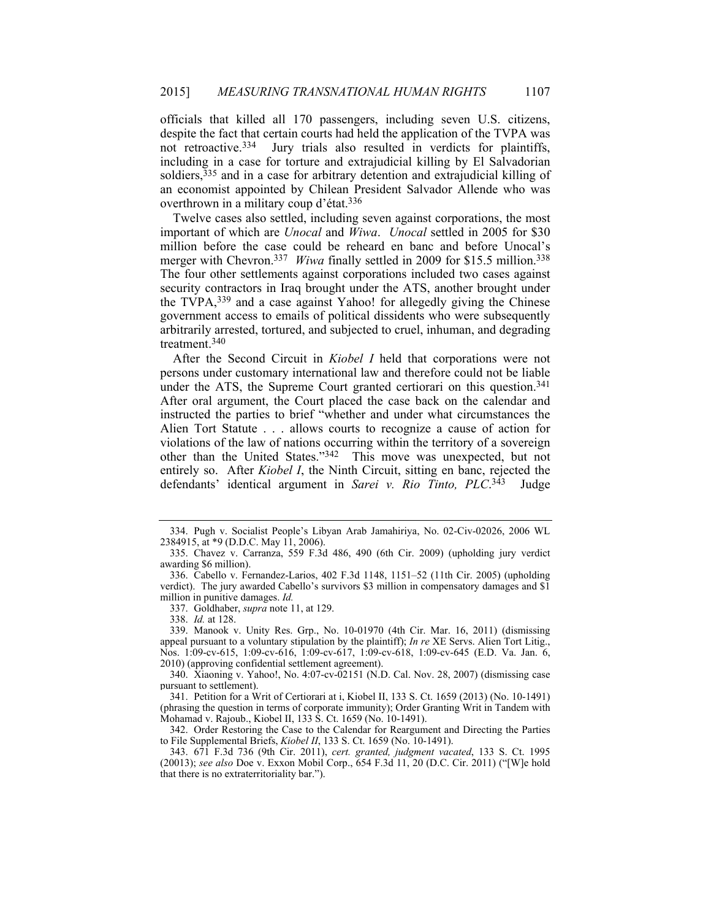officials that killed all 170 passengers, including seven U.S. citizens, despite the fact that certain courts had held the application of the TVPA was not retroactive.<sup>334</sup> Jury trials also resulted in verdicts for plaintiffs, Jury trials also resulted in verdicts for plaintiffs, including in a case for torture and extrajudicial killing by El Salvadorian soldiers, 335 and in a case for arbitrary detention and extrajudicial killing of an economist appointed by Chilean President Salvador Allende who was overthrown in a military coup d'état.336

Twelve cases also settled, including seven against corporations, the most important of which are *Unocal* and *Wiwa*. *Unocal* settled in 2005 for \$30 million before the case could be reheard en banc and before Unocal's merger with Chevron.<sup>337</sup> *Wiwa* finally settled in 2009 for \$15.5 million.<sup>338</sup> The four other settlements against corporations included two cases against security contractors in Iraq brought under the ATS, another brought under the TVPA,339 and a case against Yahoo! for allegedly giving the Chinese government access to emails of political dissidents who were subsequently arbitrarily arrested, tortured, and subjected to cruel, inhuman, and degrading treatment.340

After the Second Circuit in *Kiobel I* held that corporations were not persons under customary international law and therefore could not be liable under the ATS, the Supreme Court granted certiorari on this question.<sup>341</sup> After oral argument, the Court placed the case back on the calendar and instructed the parties to brief "whether and under what circumstances the Alien Tort Statute . . . allows courts to recognize a cause of action for violations of the law of nations occurring within the territory of a sovereign other than the United States."342 This move was unexpected, but not entirely so. After *Kiobel I*, the Ninth Circuit, sitting en banc, rejected the defendants' identical argument in *Sarei v. Rio Tinto, PLC*. 343 Judge

 <sup>334.</sup> Pugh v. Socialist People's Libyan Arab Jamahiriya, No. 02-Civ-02026, 2006 WL 2384915, at \*9 (D.D.C. May 11, 2006).

 <sup>335.</sup> Chavez v. Carranza, 559 F.3d 486, 490 (6th Cir. 2009) (upholding jury verdict awarding \$6 million).

 <sup>336.</sup> Cabello v. Fernandez-Larios, 402 F.3d 1148, 1151–52 (11th Cir. 2005) (upholding verdict). The jury awarded Cabello's survivors \$3 million in compensatory damages and \$1 million in punitive damages. *Id.*

 <sup>337.</sup> Goldhaber, *supra* note 11, at 129.

 <sup>338.</sup> *Id.* at 128.

 <sup>339.</sup> Manook v. Unity Res. Grp., No. 10-01970 (4th Cir. Mar. 16, 2011) (dismissing appeal pursuant to a voluntary stipulation by the plaintiff); *In re* XE Servs. Alien Tort Litig., Nos. 1:09-cv-615, 1:09-cv-616, 1:09-cv-617, 1:09-cv-618, 1:09-cv-645 (E.D. Va. Jan. 6, 2010) (approving confidential settlement agreement).

 <sup>340.</sup> Xiaoning v. Yahoo!, No. 4:07-cv-02151 (N.D. Cal. Nov. 28, 2007) (dismissing case pursuant to settlement).

 <sup>341.</sup> Petition for a Writ of Certiorari at i, Kiobel II, 133 S. Ct. 1659 (2013) (No. 10-1491) (phrasing the question in terms of corporate immunity); Order Granting Writ in Tandem with Mohamad v. Rajoub., Kiobel II, 133 S. Ct. 1659 (No. 10-1491).

 <sup>342.</sup> Order Restoring the Case to the Calendar for Reargument and Directing the Parties to File Supplemental Briefs, *Kiobel II*, 133 S. Ct. 1659 (No. 10-1491).

 <sup>343. 671</sup> F.3d 736 (9th Cir. 2011), *cert. granted, judgment vacated*, 133 S. Ct. 1995 (20013); *see also* Doe v. Exxon Mobil Corp., 654 F.3d 11, 20 (D.C. Cir. 2011) ("[W]e hold that there is no extraterritoriality bar.").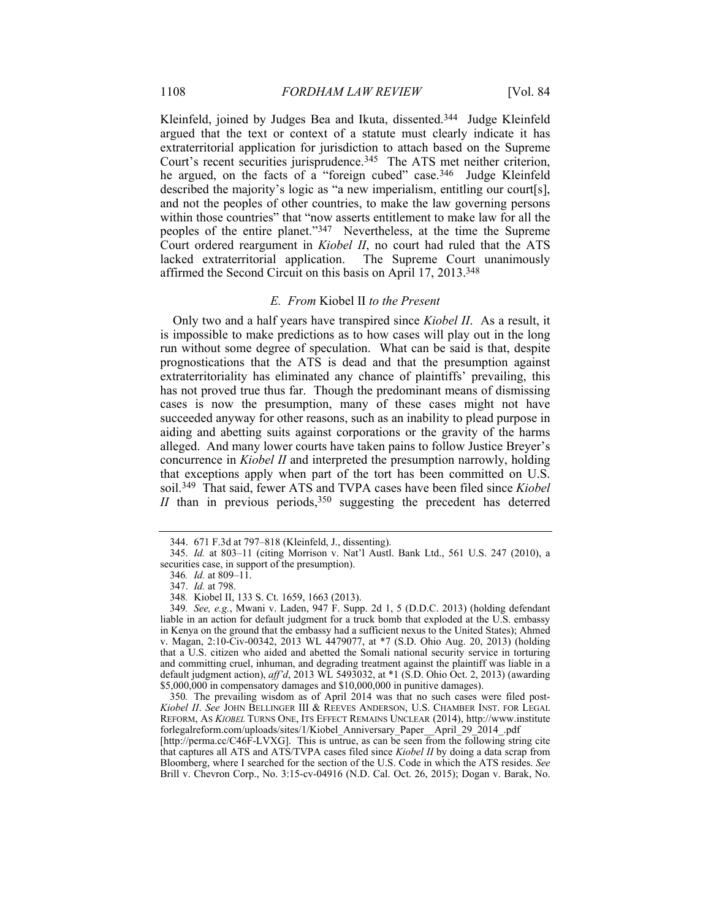Kleinfeld, joined by Judges Bea and Ikuta, dissented.<sup>344</sup> Judge Kleinfeld argued that the text or context of a statute must clearly indicate it has extraterritorial application for jurisdiction to attach based on the Supreme Court's recent securities jurisprudence.<sup>345</sup> The ATS met neither criterion, he argued, on the facts of a "foreign cubed" case.<sup>346</sup> Judge Kleinfeld described the majority's logic as "a new imperialism, entitling our court[s], and not the peoples of other countries, to make the law governing persons within those countries" that "now asserts entitlement to make law for all the peoples of the entire planet."347 Nevertheless, at the time the Supreme Court ordered reargument in *Kiobel II*, no court had ruled that the ATS lacked extraterritorial application. The Supreme Court unanimously affirmed the Second Circuit on this basis on April 17, 2013.348

### *E. From* Kiobel II *to the Present*

Only two and a half years have transpired since *Kiobel II*. As a result, it is impossible to make predictions as to how cases will play out in the long run without some degree of speculation. What can be said is that, despite prognostications that the ATS is dead and that the presumption against extraterritoriality has eliminated any chance of plaintiffs' prevailing, this has not proved true thus far. Though the predominant means of dismissing cases is now the presumption, many of these cases might not have succeeded anyway for other reasons, such as an inability to plead purpose in aiding and abetting suits against corporations or the gravity of the harms alleged. And many lower courts have taken pains to follow Justice Breyer's concurrence in *Kiobel II* and interpreted the presumption narrowly, holding that exceptions apply when part of the tort has been committed on U.S. soil.349 That said, fewer ATS and TVPA cases have been filed since *Kiobel II* than in previous periods,  $350$  suggesting the precedent has deterred

 <sup>344. 671</sup> F.3d at 797–818 (Kleinfeld, J., dissenting).

 <sup>345.</sup> *Id.* at 803–11 (citing Morrison v. Nat'l Austl. Bank Ltd., 561 U.S. 247 (2010), a securities case, in support of the presumption).

<sup>346</sup>*. Id.* at 809–11.

 <sup>347.</sup> *Id.* at 798.

<sup>348</sup>*.* Kiobel II, 133 S. Ct. 1659, 1663 (2013).

<sup>349</sup>*. See, e.g.*, Mwani v. Laden, 947 F. Supp. 2d 1, 5 (D.D.C. 2013) (holding defendant liable in an action for default judgment for a truck bomb that exploded at the U.S. embassy in Kenya on the ground that the embassy had a sufficient nexus to the United States); Ahmed v. Magan, 2:10-Civ-00342, 2013 WL 4479077, at \*7 (S.D. Ohio Aug. 20, 2013) (holding that a U.S. citizen who aided and abetted the Somali national security service in torturing and committing cruel, inhuman, and degrading treatment against the plaintiff was liable in a default judgment action), *aff'd*, 2013 WL 5493032, at \*1 (S.D. Ohio Oct. 2, 2013) (awarding \$5,000,000 in compensatory damages and \$10,000,000 in punitive damages).

<sup>350</sup>*.* The prevailing wisdom as of April 2014 was that no such cases were filed post-*Kiobel II*. *See* JOHN BELLINGER III & REEVES ANDERSON, U.S. CHAMBER INST. FOR LEGAL REFORM, AS *KIOBEL* TURNS ONE, ITS EFFECT REMAINS UNCLEAR (2014), http://www.institute forlegalreform.com/uploads/sites/1/Kiobel\_Anniversary\_Paper\_\_April\_29\_2014\_.pdf

<sup>[</sup>http://perma.cc/C46F-LVXG]. This is untrue, as can be seen from the following string cite that captures all ATS and ATS/TVPA cases filed since *Kiobel II* by doing a data scrap from Bloomberg, where I searched for the section of the U.S. Code in which the ATS resides. *See* Brill v. Chevron Corp., No. 3:15-cv-04916 (N.D. Cal. Oct. 26, 2015); Dogan v. Barak, No.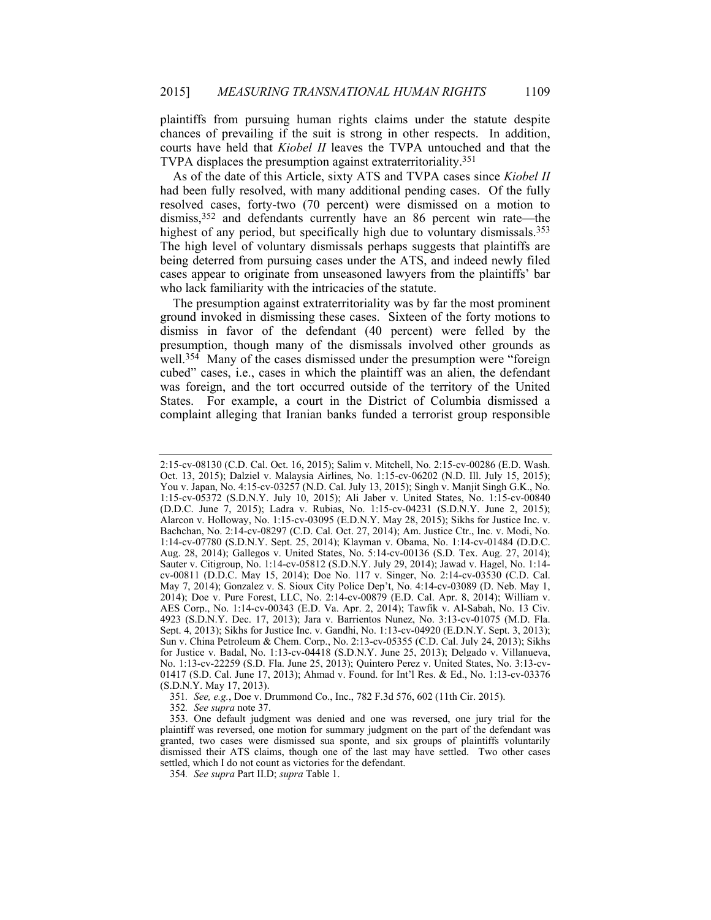plaintiffs from pursuing human rights claims under the statute despite chances of prevailing if the suit is strong in other respects. In addition, courts have held that *Kiobel II* leaves the TVPA untouched and that the TVPA displaces the presumption against extraterritoriality.351

As of the date of this Article, sixty ATS and TVPA cases since *Kiobel II* had been fully resolved, with many additional pending cases. Of the fully resolved cases, forty-two (70 percent) were dismissed on a motion to dismiss,<sup>352</sup> and defendants currently have an 86 percent win rate—the highest of any period, but specifically high due to voluntary dismissals.<sup>353</sup> The high level of voluntary dismissals perhaps suggests that plaintiffs are being deterred from pursuing cases under the ATS, and indeed newly filed cases appear to originate from unseasoned lawyers from the plaintiffs' bar who lack familiarity with the intricacies of the statute.

The presumption against extraterritoriality was by far the most prominent ground invoked in dismissing these cases. Sixteen of the forty motions to dismiss in favor of the defendant (40 percent) were felled by the presumption, though many of the dismissals involved other grounds as well.<sup>354</sup> Many of the cases dismissed under the presumption were "foreign" cubed" cases, i.e., cases in which the plaintiff was an alien, the defendant was foreign, and the tort occurred outside of the territory of the United States. For example, a court in the District of Columbia dismissed a complaint alleging that Iranian banks funded a terrorist group responsible

351*. See, e.g.*, Doe v. Drummond Co., Inc., 782 F.3d 576, 602 (11th Cir. 2015).

352*. See supra* note 37.

<sup>2:15-</sup>cv-08130 (C.D. Cal. Oct. 16, 2015); Salim v. Mitchell, No. 2:15-cv-00286 (E.D. Wash. Oct. 13, 2015); Dalziel v. Malaysia Airlines, No. 1:15-cv-06202 (N.D. Ill. July 15, 2015); You v. Japan, No. 4:15-cv-03257 (N.D. Cal. July 13, 2015); Singh v. Manjit Singh G.K., No. 1:15-cv-05372 (S.D.N.Y. July 10, 2015); Ali Jaber v. United States, No. 1:15-cv-00840 (D.D.C. June 7, 2015); Ladra v. Rubias, No. 1:15-cv-04231 (S.D.N.Y. June 2, 2015); Alarcon v. Holloway, No. 1:15-cv-03095 (E.D.N.Y. May 28, 2015); Sikhs for Justice Inc. v. Bachchan, No. 2:14-cv-08297 (C.D. Cal. Oct. 27, 2014); Am. Justice Ctr., Inc. v. Modi, No. 1:14-cv-07780 (S.D.N.Y. Sept. 25, 2014); Klayman v. Obama, No. 1:14-cv-01484 (D.D.C. Aug. 28, 2014); Gallegos v. United States, No. 5:14-cv-00136 (S.D. Tex. Aug. 27, 2014); Sauter v. Citigroup, No. 1:14-cv-05812 (S.D.N.Y. July 29, 2014); Jawad v. Hagel, No. 1:14 cv-00811 (D.D.C. May 15, 2014); Doe No. 117 v. Singer, No. 2:14-cv-03530 (C.D. Cal. May 7, 2014); Gonzalez v. S. Sioux City Police Dep't, No. 4:14-cv-03089 (D. Neb. May 1, 2014); Doe v. Pure Forest, LLC, No. 2:14-cv-00879 (E.D. Cal. Apr. 8, 2014); William v. AES Corp., No. 1:14-cv-00343 (E.D. Va. Apr. 2, 2014); Tawfik v. Al-Sabah, No. 13 Civ. 4923 (S.D.N.Y. Dec. 17, 2013); Jara v. Barrientos Nunez, No. 3:13-cv-01075 (M.D. Fla. Sept. 4, 2013); Sikhs for Justice Inc. v. Gandhi, No. 1:13-cv-04920 (E.D.N.Y. Sept. 3, 2013); Sun v. China Petroleum & Chem. Corp., No. 2:13-cv-05355 (C.D. Cal. July 24, 2013); Sikhs for Justice v. Badal, No. 1:13-cv-04418 (S.D.N.Y. June 25, 2013); Delgado v. Villanueva, No. 1:13-cv-22259 (S.D. Fla. June 25, 2013); Quintero Perez v. United States, No. 3:13-cv-01417 (S.D. Cal. June 17, 2013); Ahmad v. Found. for Int'l Res. & Ed., No. 1:13-cv-03376 (S.D.N.Y. May 17, 2013).

 <sup>353.</sup> One default judgment was denied and one was reversed, one jury trial for the plaintiff was reversed, one motion for summary judgment on the part of the defendant was granted, two cases were dismissed sua sponte, and six groups of plaintiffs voluntarily dismissed their ATS claims, though one of the last may have settled. Two other cases settled, which I do not count as victories for the defendant.

<sup>354</sup>*. See supra* Part II.D; *supra* Table 1.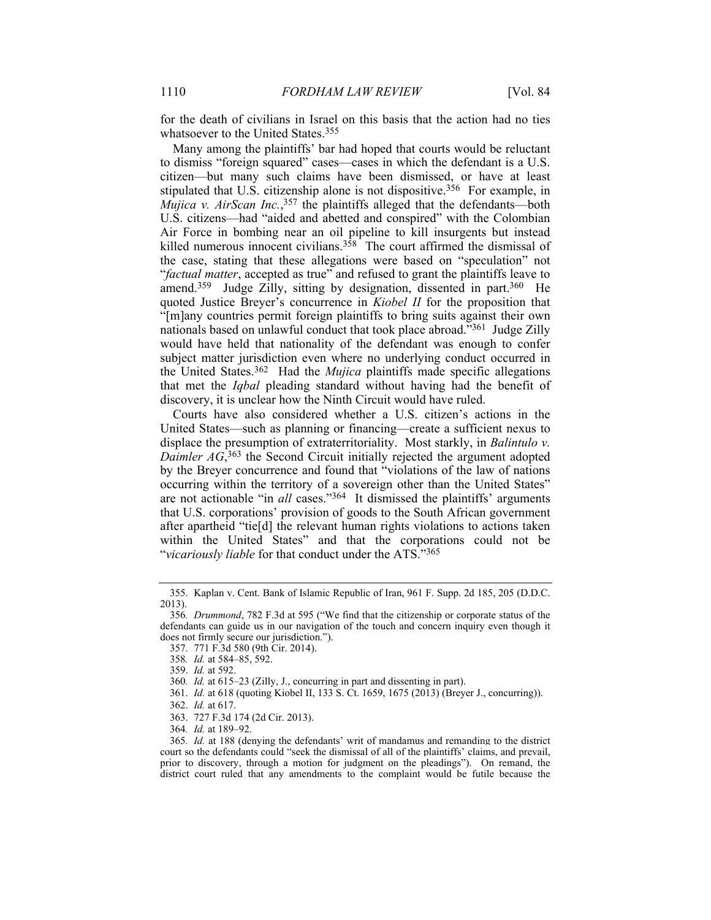for the death of civilians in Israel on this basis that the action had no ties whatsoever to the United States.<sup>355</sup>

Many among the plaintiffs' bar had hoped that courts would be reluctant to dismiss "foreign squared" cases—cases in which the defendant is a U.S. citizen—but many such claims have been dismissed, or have at least stipulated that U.S. citizenship alone is not dispositive.356 For example, in *Mujica v. AirScan Inc.*, 357 the plaintiffs alleged that the defendants—both U.S. citizens—had "aided and abetted and conspired" with the Colombian Air Force in bombing near an oil pipeline to kill insurgents but instead killed numerous innocent civilians.<sup>358</sup> The court affirmed the dismissal of the case, stating that these allegations were based on "speculation" not "*factual matter*, accepted as true" and refused to grant the plaintiffs leave to amend.<sup>359</sup> Judge Zilly, sitting by designation, dissented in part.<sup>360</sup> He quoted Justice Breyer's concurrence in *Kiobel II* for the proposition that "[m]any countries permit foreign plaintiffs to bring suits against their own nationals based on unlawful conduct that took place abroad."361 Judge Zilly would have held that nationality of the defendant was enough to confer subject matter jurisdiction even where no underlying conduct occurred in the United States.362 Had the *Mujica* plaintiffs made specific allegations that met the *Iqbal* pleading standard without having had the benefit of discovery, it is unclear how the Ninth Circuit would have ruled.

Courts have also considered whether a U.S. citizen's actions in the United States—such as planning or financing—create a sufficient nexus to displace the presumption of extraterritoriality. Most starkly, in *Balintulo v.*  Daimler AG,<sup>363</sup> the Second Circuit initially rejected the argument adopted by the Breyer concurrence and found that "violations of the law of nations occurring within the territory of a sovereign other than the United States" are not actionable "in *all* cases."364 It dismissed the plaintiffs' arguments that U.S. corporations' provision of goods to the South African government after apartheid "tie[d] the relevant human rights violations to actions taken within the United States" and that the corporations could not be "*vicariously liable* for that conduct under the ATS."365

 <sup>355.</sup> Kaplan v. Cent. Bank of Islamic Republic of Iran, 961 F. Supp. 2d 185, 205 (D.D.C. 2013).

<sup>356</sup>*. Drummond*, 782 F.3d at 595 ("We find that the citizenship or corporate status of the defendants can guide us in our navigation of the touch and concern inquiry even though it does not firmly secure our jurisdiction.").

 <sup>357. 771</sup> F.3d 580 (9th Cir. 2014).

<sup>358</sup>*. Id.* at 584–85, 592.

 <sup>359.</sup> *Id.* at 592.

<sup>360</sup>*. Id.* at 615–23 (Zilly, J., concurring in part and dissenting in part).

 <sup>361.</sup> *Id.* at 618 (quoting Kiobel II, 133 S. Ct. 1659, 1675 (2013) (Breyer J., concurring)).

 <sup>362.</sup> *Id.* at 617.

 <sup>363. 727</sup> F.3d 174 (2d Cir. 2013).

<sup>364</sup>*. Id.* at 189–92.

<sup>365</sup>*. Id.* at 188 (denying the defendants' writ of mandamus and remanding to the district court so the defendants could "seek the dismissal of all of the plaintiffs' claims, and prevail, prior to discovery, through a motion for judgment on the pleadings"). On remand, the district court ruled that any amendments to the complaint would be futile because the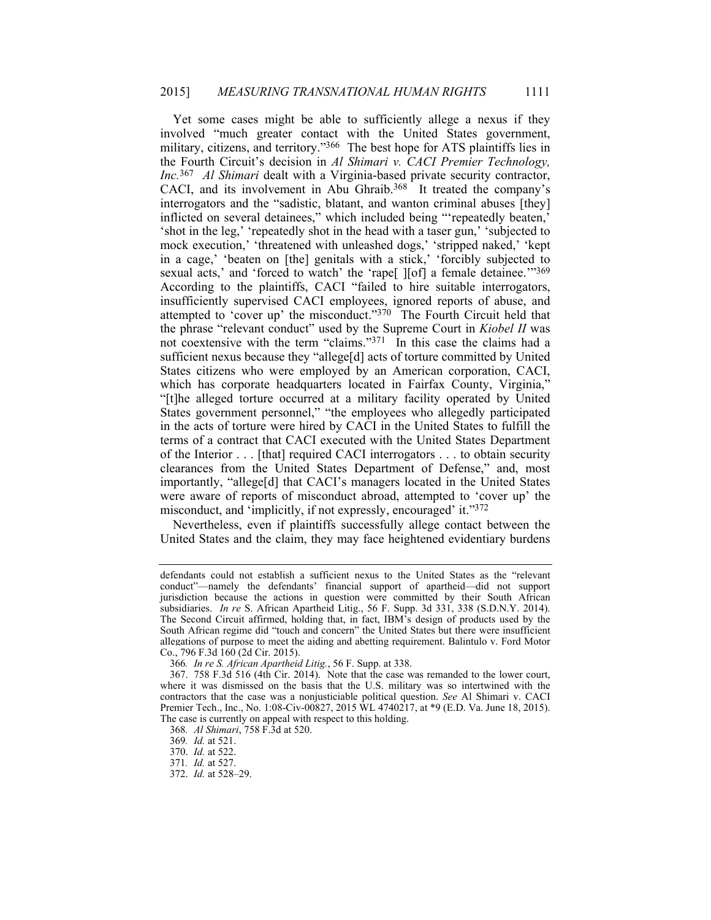Yet some cases might be able to sufficiently allege a nexus if they involved "much greater contact with the United States government, military, citizens, and territory."<sup>366</sup> The best hope for ATS plaintiffs lies in the Fourth Circuit's decision in *Al Shimari v. CACI Premier Technology, Inc.*367 *Al Shimari* dealt with a Virginia-based private security contractor, CACI, and its involvement in Abu Ghraib.<sup>368</sup> It treated the company's interrogators and the "sadistic, blatant, and wanton criminal abuses [they] inflicted on several detainees," which included being "'repeatedly beaten,' 'shot in the leg,' 'repeatedly shot in the head with a taser gun,' 'subjected to mock execution,' 'threatened with unleashed dogs,' 'stripped naked,' 'kept in a cage,' 'beaten on [the] genitals with a stick,' 'forcibly subjected to sexual acts,' and 'forced to watch' the 'rape[ ][of] a female detainee.'"369 According to the plaintiffs, CACI "failed to hire suitable interrogators, insufficiently supervised CACI employees, ignored reports of abuse, and attempted to 'cover up' the misconduct."370 The Fourth Circuit held that the phrase "relevant conduct" used by the Supreme Court in *Kiobel II* was not coextensive with the term "claims."<sup>371</sup> In this case the claims had a sufficient nexus because they "allege[d] acts of torture committed by United States citizens who were employed by an American corporation, CACI, which has corporate headquarters located in Fairfax County, Virginia," "[t]he alleged torture occurred at a military facility operated by United States government personnel," "the employees who allegedly participated in the acts of torture were hired by CACI in the United States to fulfill the terms of a contract that CACI executed with the United States Department of the Interior . . . [that] required CACI interrogators . . . to obtain security clearances from the United States Department of Defense," and, most importantly, "allege[d] that CACI's managers located in the United States were aware of reports of misconduct abroad, attempted to 'cover up' the misconduct, and 'implicitly, if not expressly, encouraged' it."372

Nevertheless, even if plaintiffs successfully allege contact between the United States and the claim, they may face heightened evidentiary burdens

defendants could not establish a sufficient nexus to the United States as the "relevant conduct"—namely the defendants' financial support of apartheid—did not support jurisdiction because the actions in question were committed by their South African subsidiaries. *In re* S. African Apartheid Litig., 56 F. Supp. 3d 331, 338 (S.D.N.Y. 2014). The Second Circuit affirmed, holding that, in fact, IBM's design of products used by the South African regime did "touch and concern" the United States but there were insufficient allegations of purpose to meet the aiding and abetting requirement. Balintulo v. Ford Motor Co., 796 F.3d 160 (2d Cir. 2015).

<sup>366</sup>*. In re S. African Apartheid Litig.*, 56 F. Supp. at 338.

 <sup>367. 758</sup> F.3d 516 (4th Cir. 2014). Note that the case was remanded to the lower court, where it was dismissed on the basis that the U.S. military was so intertwined with the contractors that the case was a nonjusticiable political question. *See* Al Shimari v. CACI Premier Tech., Inc., No. 1:08-Civ-00827, 2015 WL 4740217, at \*9 (E.D. Va. June 18, 2015). The case is currently on appeal with respect to this holding.

<sup>368</sup>*. Al Shimari*, 758 F.3d at 520.

<sup>369</sup>*. Id.* at 521.

 <sup>370.</sup> *Id.* at 522.

<sup>371</sup>*. Id.* at 527.

 <sup>372.</sup> *Id.* at 528–29.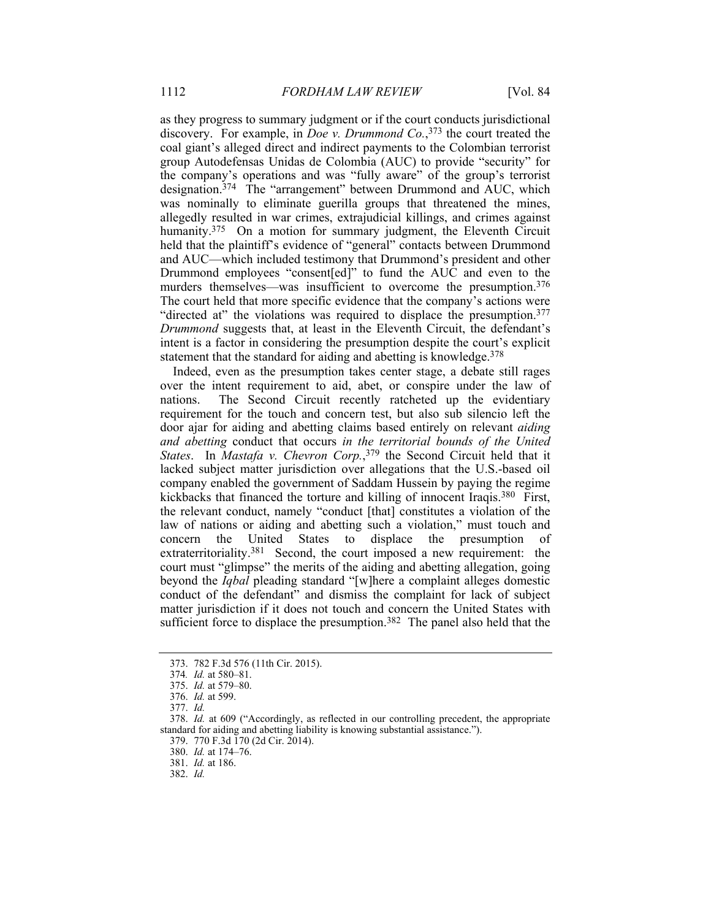as they progress to summary judgment or if the court conducts jurisdictional discovery. For example, in *Doe v. Drummond Co.*, 373 the court treated the coal giant's alleged direct and indirect payments to the Colombian terrorist group Autodefensas Unidas de Colombia (AUC) to provide "security" for the company's operations and was "fully aware" of the group's terrorist designation.374 The "arrangement" between Drummond and AUC, which was nominally to eliminate guerilla groups that threatened the mines, allegedly resulted in war crimes, extrajudicial killings, and crimes against humanity.<sup>375</sup> On a motion for summary judgment, the Eleventh Circuit held that the plaintiff's evidence of "general" contacts between Drummond and AUC—which included testimony that Drummond's president and other Drummond employees "consent[ed]" to fund the AUC and even to the murders themselves—was insufficient to overcome the presumption.376 The court held that more specific evidence that the company's actions were "directed at" the violations was required to displace the presumption.377 *Drummond* suggests that, at least in the Eleventh Circuit, the defendant's intent is a factor in considering the presumption despite the court's explicit statement that the standard for aiding and abetting is knowledge.<sup>378</sup>

Indeed, even as the presumption takes center stage, a debate still rages over the intent requirement to aid, abet, or conspire under the law of nations. The Second Circuit recently ratcheted up the evidentiary requirement for the touch and concern test, but also sub silencio left the door ajar for aiding and abetting claims based entirely on relevant *aiding and abetting* conduct that occurs *in the territorial bounds of the United States*. In *Mastafa v. Chevron Corp.*, 379 the Second Circuit held that it lacked subject matter jurisdiction over allegations that the U.S.-based oil company enabled the government of Saddam Hussein by paying the regime kickbacks that financed the torture and killing of innocent Iraqis.380 First, the relevant conduct, namely "conduct [that] constitutes a violation of the law of nations or aiding and abetting such a violation," must touch and concern the United States to displace the presumption of extraterritoriality.381 Second, the court imposed a new requirement: the court must "glimpse" the merits of the aiding and abetting allegation, going beyond the *Iqbal* pleading standard "[w]here a complaint alleges domestic conduct of the defendant" and dismiss the complaint for lack of subject matter jurisdiction if it does not touch and concern the United States with sufficient force to displace the presumption.<sup>382</sup> The panel also held that the

 <sup>373. 782</sup> F.3d 576 (11th Cir. 2015).

<sup>374</sup>*. Id.* at 580–81.

 <sup>375.</sup> *Id.* at 579–80.

 <sup>376.</sup> *Id.* at 599.

 <sup>377.</sup> *Id.*

 <sup>378.</sup> *Id.* at 609 ("Accordingly, as reflected in our controlling precedent, the appropriate standard for aiding and abetting liability is knowing substantial assistance.").

 <sup>379. 770</sup> F.3d 170 (2d Cir. 2014).

 <sup>380.</sup> *Id.* at 174–76.

 <sup>381.</sup> *Id.* at 186.

 <sup>382.</sup> *Id.*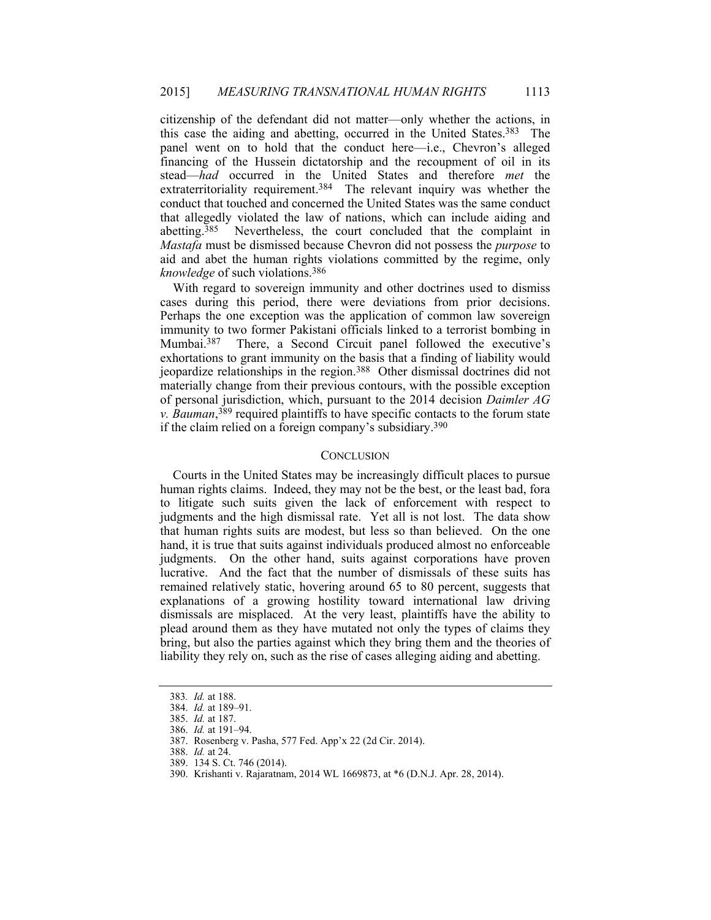citizenship of the defendant did not matter—only whether the actions, in this case the aiding and abetting, occurred in the United States.383 The panel went on to hold that the conduct here—i.e., Chevron's alleged financing of the Hussein dictatorship and the recoupment of oil in its stead—*had* occurred in the United States and therefore *met* the extraterritoriality requirement.<sup>384</sup> The relevant inquiry was whether the conduct that touched and concerned the United States was the same conduct that allegedly violated the law of nations, which can include aiding and abetting.385 Nevertheless, the court concluded that the complaint in *Mastafa* must be dismissed because Chevron did not possess the *purpose* to aid and abet the human rights violations committed by the regime, only *knowledge* of such violations.386

With regard to sovereign immunity and other doctrines used to dismiss cases during this period, there were deviations from prior decisions. Perhaps the one exception was the application of common law sovereign immunity to two former Pakistani officials linked to a terrorist bombing in Mumbai.387 There, a Second Circuit panel followed the executive's exhortations to grant immunity on the basis that a finding of liability would jeopardize relationships in the region.388 Other dismissal doctrines did not materially change from their previous contours, with the possible exception of personal jurisdiction, which, pursuant to the 2014 decision *Daimler AG v. Bauman*, 389 required plaintiffs to have specific contacts to the forum state if the claim relied on a foreign company's subsidiary.390

# **CONCLUSION**

Courts in the United States may be increasingly difficult places to pursue human rights claims. Indeed, they may not be the best, or the least bad, fora to litigate such suits given the lack of enforcement with respect to judgments and the high dismissal rate. Yet all is not lost. The data show that human rights suits are modest, but less so than believed. On the one hand, it is true that suits against individuals produced almost no enforceable judgments. On the other hand, suits against corporations have proven lucrative. And the fact that the number of dismissals of these suits has remained relatively static, hovering around 65 to 80 percent, suggests that explanations of a growing hostility toward international law driving dismissals are misplaced. At the very least, plaintiffs have the ability to plead around them as they have mutated not only the types of claims they bring, but also the parties against which they bring them and the theories of liability they rely on, such as the rise of cases alleging aiding and abetting.

<sup>383</sup>*. Id.* at 188.

 <sup>384.</sup> *Id.* at 189–91. 385. *Id.* at 187.

 <sup>386.</sup> *Id.* at 191–94.

 <sup>387.</sup> Rosenberg v. Pasha, 577 Fed. App'x 22 (2d Cir. 2014).

 <sup>388.</sup> *Id.* at 24.

 <sup>389. 134</sup> S. Ct. 746 (2014).

 <sup>390.</sup> Krishanti v. Rajaratnam, 2014 WL 1669873, at \*6 (D.N.J. Apr. 28, 2014).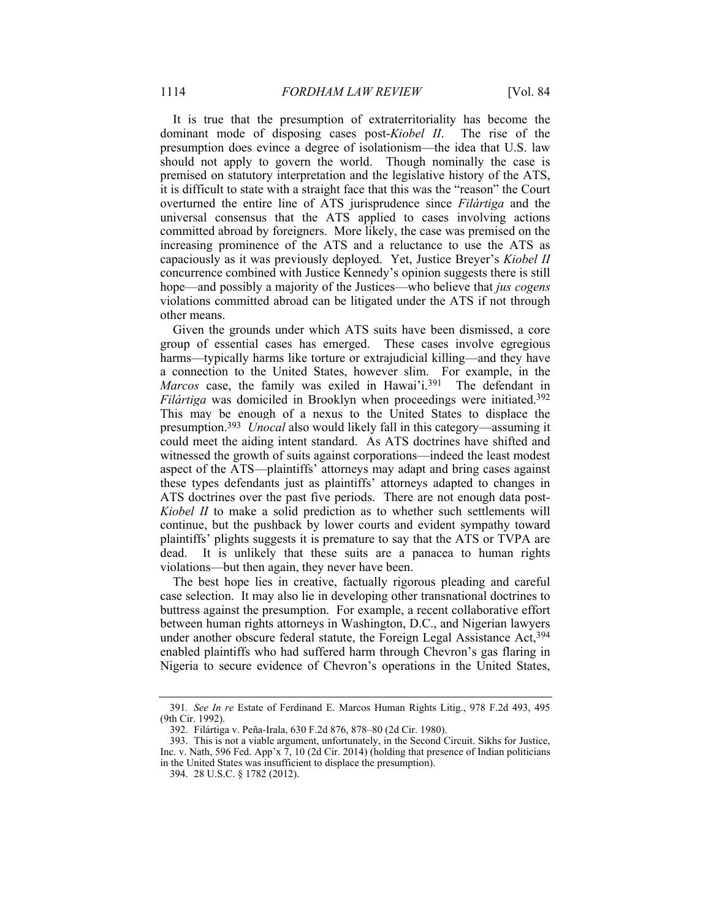It is true that the presumption of extraterritoriality has become the dominant mode of disposing cases post-*Kiobel II*. The rise of the presumption does evince a degree of isolationism—the idea that U.S. law should not apply to govern the world. Though nominally the case is premised on statutory interpretation and the legislative history of the ATS, it is difficult to state with a straight face that this was the "reason" the Court overturned the entire line of ATS jurisprudence since *Filártiga* and the universal consensus that the ATS applied to cases involving actions committed abroad by foreigners. More likely, the case was premised on the increasing prominence of the ATS and a reluctance to use the ATS as capaciously as it was previously deployed. Yet, Justice Breyer's *Kiobel II* concurrence combined with Justice Kennedy's opinion suggests there is still hope—and possibly a majority of the Justices—who believe that *jus cogens* violations committed abroad can be litigated under the ATS if not through other means.

Given the grounds under which ATS suits have been dismissed, a core group of essential cases has emerged. These cases involve egregious harms—typically harms like torture or extrajudicial killing—and they have a connection to the United States, however slim. For example, in the *Marcos* case, the family was exiled in Hawai'i.<sup>391</sup> The defendant in *Filártiga* was domiciled in Brooklyn when proceedings were initiated.<sup>392</sup> This may be enough of a nexus to the United States to displace the presumption.393 *Unocal* also would likely fall in this category—assuming it could meet the aiding intent standard. As ATS doctrines have shifted and witnessed the growth of suits against corporations—indeed the least modest aspect of the ATS—plaintiffs' attorneys may adapt and bring cases against these types defendants just as plaintiffs' attorneys adapted to changes in ATS doctrines over the past five periods. There are not enough data post-*Kiobel II* to make a solid prediction as to whether such settlements will continue, but the pushback by lower courts and evident sympathy toward plaintiffs' plights suggests it is premature to say that the ATS or TVPA are dead. It is unlikely that these suits are a panacea to human rights violations—but then again, they never have been.

The best hope lies in creative, factually rigorous pleading and careful case selection. It may also lie in developing other transnational doctrines to buttress against the presumption. For example, a recent collaborative effort between human rights attorneys in Washington, D.C., and Nigerian lawyers under another obscure federal statute, the Foreign Legal Assistance Act,<sup>394</sup> enabled plaintiffs who had suffered harm through Chevron's gas flaring in Nigeria to secure evidence of Chevron's operations in the United States,

<sup>391</sup>*. See In re* Estate of Ferdinand E. Marcos Human Rights Litig., 978 F.2d 493, 495 (9th Cir. 1992).

 <sup>392.</sup> Filártiga v. Peña-Irala, 630 F.2d 876, 878–80 (2d Cir. 1980).

 <sup>393.</sup> This is not a viable argument, unfortunately, in the Second Circuit. Sikhs for Justice, Inc. v. Nath, 596 Fed. App'x 7, 10 (2d Cir. 2014) (holding that presence of Indian politicians in the United States was insufficient to displace the presumption).

 <sup>394. 28</sup> U.S.C. § 1782 (2012).